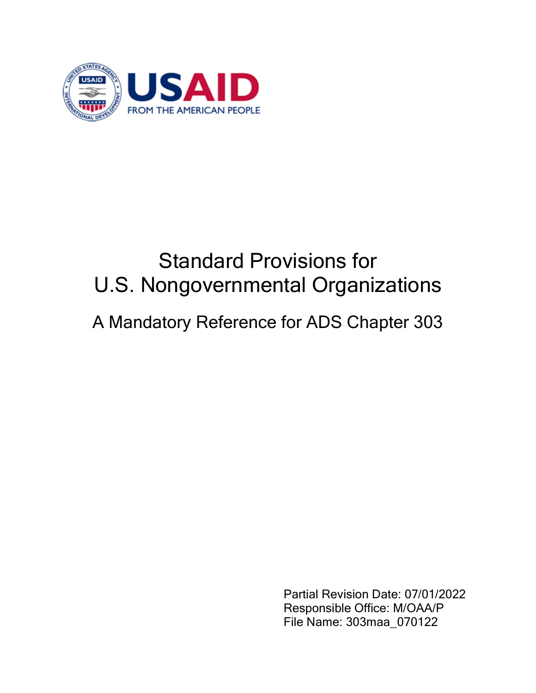

# Standard Provisions for U.S. Nongovernmental Organizations A Mandatory Reference for ADS Chapter 303

Partial Revision Date: 07/01/2022 Responsible Office: M/OAA/P File Name: 303maa\_070122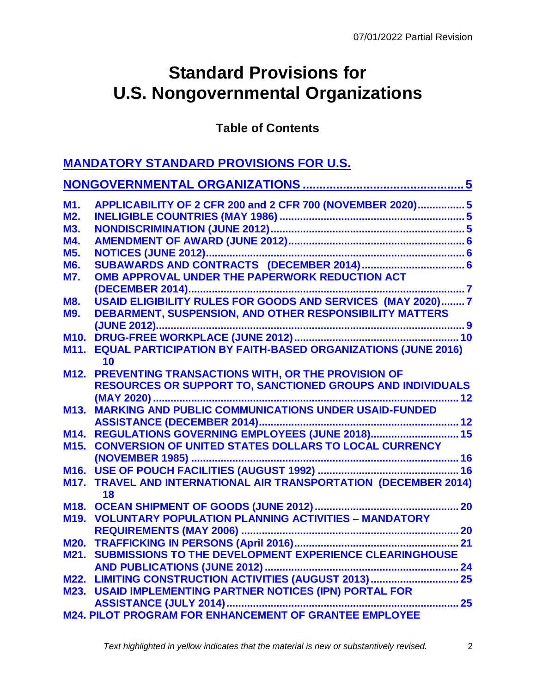## **Standard Provisions for U.S. Nongovernmental Organizations**

**Table of Contents**

| <b>MANDATORY STANDARD PROVISIONS FOR U.S.</b> |                                                                     |  |  |
|-----------------------------------------------|---------------------------------------------------------------------|--|--|
|                                               |                                                                     |  |  |
| <b>M1.</b>                                    | APPLICABILITY OF 2 CFR 200 and 2 CFR 700 (NOVEMBER 2020) 5          |  |  |
| M2.                                           |                                                                     |  |  |
| <b>M3.</b>                                    |                                                                     |  |  |
| M4.                                           |                                                                     |  |  |
| <b>M5.</b>                                    |                                                                     |  |  |
| M6.                                           |                                                                     |  |  |
| <b>M7.</b>                                    | OMB APPROVAL UNDER THE PAPERWORK REDUCTION ACT                      |  |  |
|                                               |                                                                     |  |  |
| <b>M8.</b>                                    | USAID ELIGIBILITY RULES FOR GOODS AND SERVICES (MAY 2020)7          |  |  |
| <b>M9.</b>                                    | DEBARMENT, SUSPENSION, AND OTHER RESPONSIBILITY MATTERS             |  |  |
|                                               |                                                                     |  |  |
| M <sub>10</sub> .                             |                                                                     |  |  |
| M11.                                          | <b>EQUAL PARTICIPATION BY FAITH-BASED ORGANIZATIONS (JUNE 2016)</b> |  |  |
|                                               | 10                                                                  |  |  |
| M12.                                          | PREVENTING TRANSACTIONS WITH, OR THE PROVISION OF                   |  |  |
|                                               | RESOURCES OR SUPPORT TO, SANCTIONED GROUPS AND INDIVIDUALS          |  |  |
|                                               |                                                                     |  |  |
| M <sub>13</sub> .                             | MARKING AND PUBLIC COMMUNICATIONS UNDER USAID-FUNDED                |  |  |
|                                               |                                                                     |  |  |
| M14.                                          |                                                                     |  |  |
| M <sub>15</sub> .                             | <b>CONVERSION OF UNITED STATES DOLLARS TO LOCAL CURRENCY</b>        |  |  |
|                                               |                                                                     |  |  |
| M <sub>16</sub> .                             |                                                                     |  |  |
| <b>M17.</b>                                   | <b>TRAVEL AND INTERNATIONAL AIR TRANSPORTATION (DECEMBER 2014)</b>  |  |  |
|                                               | 18                                                                  |  |  |
|                                               | 20                                                                  |  |  |
| M <sub>19.</sub>                              | <b>VOLUNTARY POPULATION PLANNING ACTIVITIES - MANDATORY</b>         |  |  |
|                                               |                                                                     |  |  |
| <b>M20.</b>                                   |                                                                     |  |  |
|                                               | M21. SUBMISSIONS TO THE DEVELOPMENT EXPERIENCE CLEARINGHOUSE        |  |  |
|                                               |                                                                     |  |  |
|                                               | M22. LIMITING CONSTRUCTION ACTIVITIES (AUGUST 2013)  25             |  |  |
|                                               | M23. USAID IMPLEMENTING PARTNER NOTICES (IPN) PORTAL FOR            |  |  |
|                                               |                                                                     |  |  |
|                                               | M24. PILOT PROGRAM FOR ENHANCEMENT OF GRANTEE EMPLOYEE              |  |  |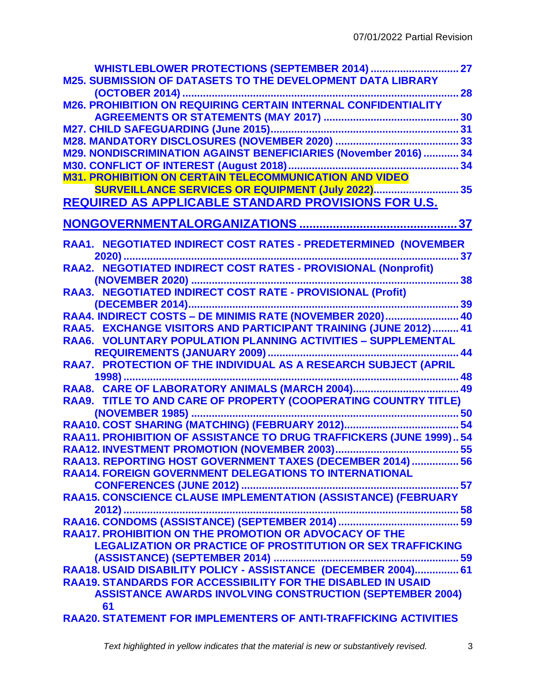|                                                                         | 27 |
|-------------------------------------------------------------------------|----|
| <b>M25. SUBMISSION OF DATASETS TO THE DEVELOPMENT DATA LIBRARY</b>      |    |
|                                                                         | 28 |
| <b>M26. PROHIBITION ON REQUIRING CERTAIN INTERNAL CONFIDENTIALITY</b>   |    |
|                                                                         | 30 |
|                                                                         |    |
|                                                                         |    |
| M29. NONDISCRIMINATION AGAINST BENEFICIARIES (November 2016)  34        |    |
|                                                                         |    |
| <b>M31. PROHIBITION ON CERTAIN TELECOMMUNICATION AND VIDEO</b>          |    |
| SURVEILLANCE SERVICES OR EQUIPMENT (July 2022) 35                       |    |
| <b>REQUIRED AS APPLICABLE STANDARD PROVISIONS FOR U.S.</b>              |    |
|                                                                         |    |
| RAA1. NEGOTIATED INDIRECT COST RATES - PREDETERMINED (NOVEMBER          |    |
|                                                                         | 37 |
| RAA2. NEGOTIATED INDIRECT COST RATES - PROVISIONAL (Nonprofit)          |    |
| 38                                                                      |    |
| RAA3. NEGOTIATED INDIRECT COST RATE - PROVISIONAL (Profit)              |    |
|                                                                         |    |
| RAA4. INDIRECT COSTS - DE MINIMIS RATE (NOVEMBER 2020) 40               |    |
| RAA5. EXCHANGE VISITORS AND PARTICIPANT TRAINING (JUNE 2012) 41         |    |
| RAA6. VOLUNTARY POPULATION PLANNING ACTIVITIES - SUPPLEMENTAL           |    |
|                                                                         | 44 |
| RAA7. PROTECTION OF THE INDIVIDUAL AS A RESEARCH SUBJECT (APRIL         |    |
|                                                                         |    |
|                                                                         |    |
| RAA9. TITLE TO AND CARE OF PROPERTY (COOPERATING COUNTRY TITLE)         |    |
|                                                                         |    |
|                                                                         | 54 |
| RAA11. PROHIBITION OF ASSISTANCE TO DRUG TRAFFICKERS (JUNE 1999) 54     |    |
|                                                                         |    |
| RAA13. REPORTING HOST GOVERNMENT TAXES (DECEMBER 2014)  56              |    |
| <b>RAA14. FOREIGN GOVERNMENT DELEGATIONS TO INTERNATIONAL</b>           |    |
|                                                                         |    |
|                                                                         |    |
|                                                                         |    |
|                                                                         |    |
| <b>RAA17. PROHIBITION ON THE PROMOTION OR ADVOCACY OF THE</b>           |    |
| <b>LEGALIZATION OR PRACTICE OF PROSTITUTION OR SEX TRAFFICKING</b>      |    |
|                                                                         |    |
|                                                                         |    |
| <b>RAA19. STANDARDS FOR ACCESSIBILITY FOR THE DISABLED IN USAID</b>     |    |
| <b>ASSISTANCE AWARDS INVOLVING CONSTRUCTION (SEPTEMBER 2004)</b>        |    |
| 61                                                                      |    |
| <b>RAA20. STATEMENT FOR IMPLEMENTERS OF ANTI-TRAFFICKING ACTIVITIES</b> |    |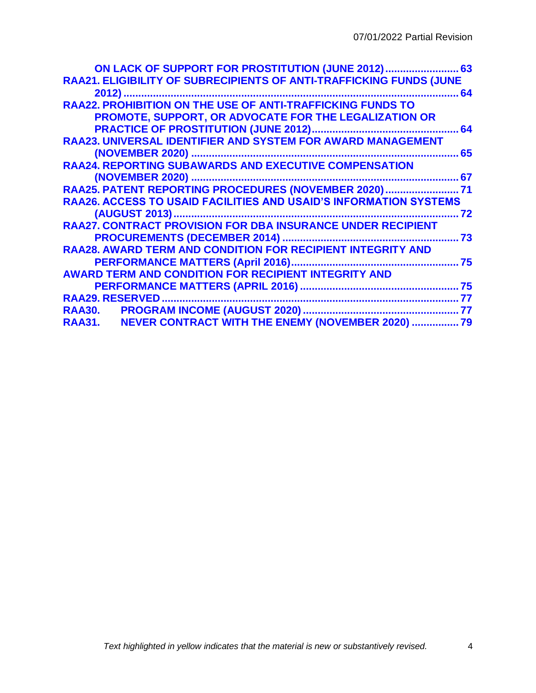| ON LACK OF SUPPORT FOR PROSTITUTION (JUNE 2012) 63                       |      |
|--------------------------------------------------------------------------|------|
| RAA21. ELIGIBILITY OF SUBRECIPIENTS OF ANTI-TRAFFICKING FUNDS (JUNE      |      |
| 2012)                                                                    | . 64 |
| <b>RAA22. PROHIBITION ON THE USE OF ANTI-TRAFFICKING FUNDS TO</b>        |      |
| <b>PROMOTE, SUPPORT, OR ADVOCATE FOR THE LEGALIZATION OR</b>             |      |
|                                                                          | 64   |
| <b>RAA23. UNIVERSAL IDENTIFIER AND SYSTEM FOR AWARD MANAGEMENT</b>       |      |
|                                                                          | 65   |
| <b>RAA24. REPORTING SUBAWARDS AND EXECUTIVE COMPENSATION</b>             |      |
|                                                                          | 67   |
| RAA25. PATENT REPORTING PROCEDURES (NOVEMBER 2020) 71                    |      |
| <b>RAA26. ACCESS TO USAID FACILITIES AND USAID'S INFORMATION SYSTEMS</b> |      |
|                                                                          | 72   |
| <b>RAA27. CONTRACT PROVISION FOR DBA INSURANCE UNDER RECIPIENT</b>       |      |
|                                                                          | 73   |
| <b>RAA28. AWARD TERM AND CONDITION FOR RECIPIENT INTEGRITY AND</b>       |      |
| PERFORMANCE MATTERS (April 2016)                                         | 75   |
| <b>AWARD TERM AND CONDITION FOR RECIPIENT INTEGRITY AND</b>              |      |
|                                                                          |      |
|                                                                          | 77   |
|                                                                          |      |
| RAA31. NEVER CONTRACT WITH THE ENEMY (NOVEMBER 2020)  79                 |      |
|                                                                          |      |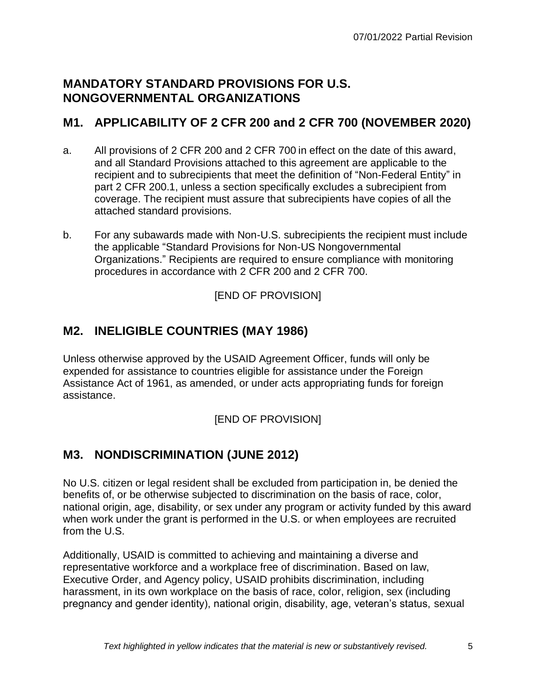## <span id="page-4-0"></span>**MANDATORY STANDARD PROVISIONS FOR U.S. NONGOVERNMENTAL ORGANIZATIONS**

## <span id="page-4-1"></span>**M1. APPLICABILITY OF 2 CFR 200 and 2 CFR 700 (NOVEMBER 2020)**

- a. All provisions of 2 CFR 200 and 2 CFR 700 in effect on the date of this award, and all Standard Provisions attached to this agreement are applicable to the recipient and to subrecipients that meet the definition of "Non-Federal Entity" in part 2 CFR 200.1, unless a section specifically excludes a subrecipient from coverage. The recipient must assure that subrecipients have copies of all the attached standard provisions.
- b. For any subawards made with Non-U.S. subrecipients the recipient must include the applicable "Standard Provisions for Non-US Nongovernmental Organizations." Recipients are required to ensure compliance with monitoring procedures in accordance with 2 CFR 200 and 2 CFR 700.

[END OF PROVISION]

## <span id="page-4-2"></span>**M2. INELIGIBLE COUNTRIES (MAY 1986)**

Unless otherwise approved by the USAID Agreement Officer, funds will only be expended for assistance to countries eligible for assistance under the Foreign Assistance Act of 1961, as amended, or under acts appropriating funds for foreign assistance.

[END OF PROVISION]

## <span id="page-4-3"></span>**M3. NONDISCRIMINATION (JUNE 2012)**

No U.S. citizen or legal resident shall be excluded from participation in, be denied the benefits of, or be otherwise subjected to discrimination on the basis of race, color, national origin, age, disability, or sex under any program or activity funded by this award when work under the grant is performed in the U.S. or when employees are recruited from the U.S.

Additionally, USAID is committed to achieving and maintaining a diverse and representative workforce and a workplace free of discrimination. Based on law, Executive Order, and Agency policy, USAID prohibits discrimination, including harassment, in its own workplace on the basis of race, color, religion, sex (including pregnancy and gender identity), national origin, disability, age, veteran's status, sexual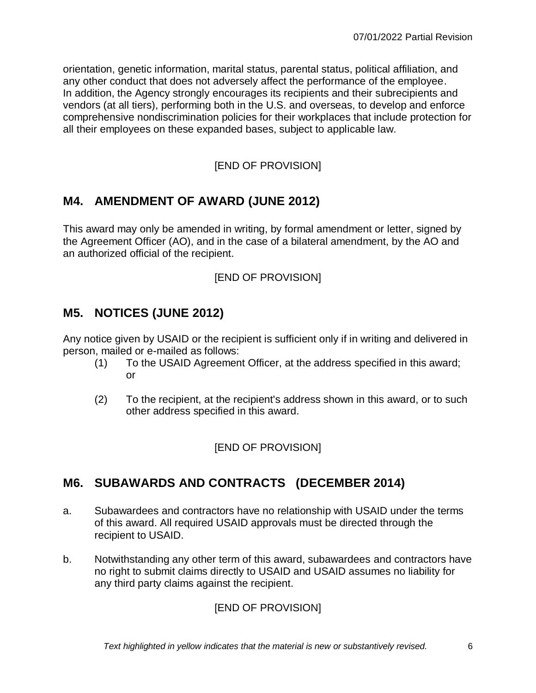orientation, genetic information, marital status, parental status, political affiliation, and any other conduct that does not adversely affect the performance of the employee. In addition, the Agency strongly encourages its recipients and their subrecipients and vendors (at all tiers), performing both in the U.S. and overseas, to develop and enforce comprehensive nondiscrimination policies for their workplaces that include protection for all their employees on these expanded bases, subject to applicable law.

### [END OF PROVISION]

## <span id="page-5-0"></span>**M4. AMENDMENT OF AWARD (JUNE 2012)**

This award may only be amended in writing, by formal amendment or letter, signed by the Agreement Officer (AO), and in the case of a bilateral amendment, by the AO and an authorized official of the recipient.

#### [END OF PROVISION]

## <span id="page-5-1"></span>**M5. NOTICES (JUNE 2012)**

Any notice given by USAID or the recipient is sufficient only if in writing and delivered in person, mailed or e-mailed as follows:

- (1) To the USAID Agreement Officer, at the address specified in this award; or
- (2) To the recipient, at the recipient's address shown in this award, or to such other address specified in this award.

#### [END OF PROVISION]

## <span id="page-5-2"></span>**M6. SUBAWARDS AND CONTRACTS (DECEMBER 2014)**

- a. Subawardees and contractors have no relationship with USAID under the terms of this award. All required USAID approvals must be directed through the recipient to USAID.
- b. Notwithstanding any other term of this award, subawardees and contractors have no right to submit claims directly to USAID and USAID assumes no liability for any third party claims against the recipient.

[END OF PROVISION]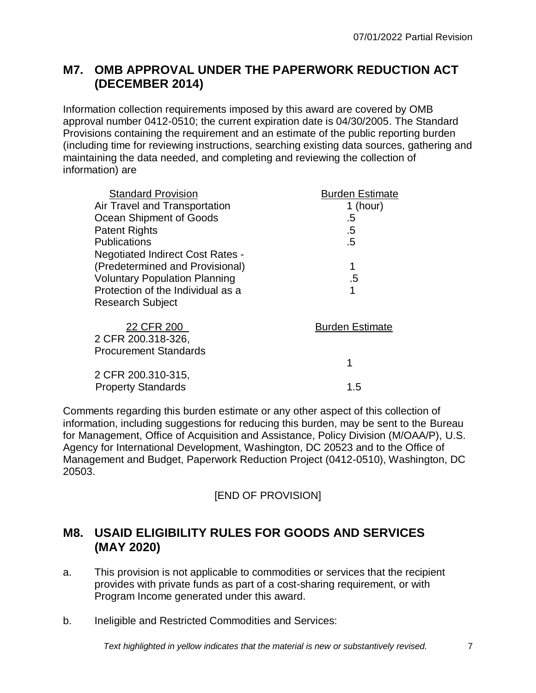## <span id="page-6-0"></span>**M7. OMB APPROVAL UNDER THE PAPERWORK REDUCTION ACT (DECEMBER 2014)**

Information collection requirements imposed by this award are covered by OMB approval number 0412-0510; the current expiration date is 04/30/2005. The Standard Provisions containing the requirement and an estimate of the public reporting burden (including time for reviewing instructions, searching existing data sources, gathering and maintaining the data needed, and completing and reviewing the collection of information) are

| <b>Standard Provision</b>               | <b>Burden Estimate</b> |
|-----------------------------------------|------------------------|
| Air Travel and Transportation           | 1 (hour)               |
| Ocean Shipment of Goods                 | .5                     |
| <b>Patent Rights</b>                    | .5                     |
| <b>Publications</b>                     | .5                     |
| <b>Negotiated Indirect Cost Rates -</b> |                        |
| (Predetermined and Provisional)         | 1                      |
| <b>Voluntary Population Planning</b>    | .5                     |
| Protection of the Individual as a       | 1                      |
| <b>Research Subject</b>                 |                        |
| 22 CFR 200                              | <b>Burden Estimate</b> |
| 2 CFR 200.318-326,                      |                        |
| <b>Procurement Standards</b>            |                        |
|                                         | 1                      |
| 2 CFR 200.310-315,                      |                        |
| <b>Property Standards</b>               | 1.5                    |

Comments regarding this burden estimate or any other aspect of this collection of information, including suggestions for reducing this burden, may be sent to the Bureau for Management, Office of Acquisition and Assistance, Policy Division (M/OAA/P), U.S. Agency for International Development, Washington, DC 20523 and to the Office of Management and Budget, Paperwork Reduction Project (0412-0510), Washington, DC 20503.

## [END OF PROVISION]

## <span id="page-6-1"></span>**M8. USAID ELIGIBILITY RULES FOR GOODS AND SERVICES (MAY 2020)**

- a. This provision is not applicable to commodities or services that the recipient provides with private funds as part of a cost-sharing requirement, or with Program Income generated under this award.
- b. Ineligible and Restricted Commodities and Services: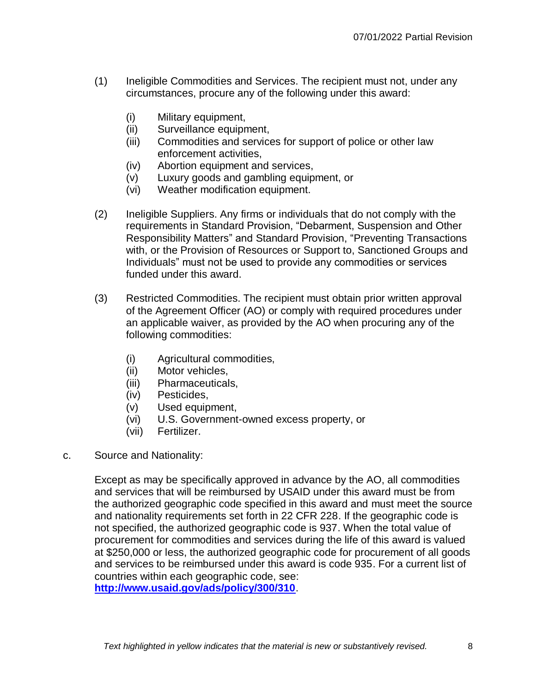- (1) Ineligible Commodities and Services. The recipient must not, under any circumstances, procure any of the following under this award:
	- (i) Military equipment,
	- (ii) Surveillance equipment,
	- (iii) Commodities and services for support of police or other law enforcement activities,
	- (iv) Abortion equipment and services,
	- (v) Luxury goods and gambling equipment, or
	- (vi) Weather modification equipment.
- (2) Ineligible Suppliers. Any firms or individuals that do not comply with the requirements in Standard Provision, "Debarment, Suspension and Other Responsibility Matters" and Standard Provision, "Preventing Transactions with, or the Provision of Resources or Support to, Sanctioned Groups and Individuals" must not be used to provide any commodities or services funded under this award.
- (3) Restricted Commodities. The recipient must obtain prior written approval of the Agreement Officer (AO) or comply with required procedures under an applicable waiver, as provided by the AO when procuring any of the following commodities:
	- (i) Agricultural commodities,
	- (ii) Motor vehicles,
	- (iii) Pharmaceuticals,
	- (iv) Pesticides,
	- (v) Used equipment,
	- (vi) U.S. Government-owned excess property, or
	- (vii) Fertilizer.
- c. Source and Nationality:

Except as may be specifically approved in advance by the AO, all commodities and services that will be reimbursed by USAID under this award must be from the authorized geographic code specified in this award and must meet the source and nationality requirements set forth in 22 CFR 228. If the geographic code is not specified, the authorized geographic code is 937. When the total value of procurement for commodities and services during the life of this award is valued at \$250,000 or less, the authorized geographic code for procurement of all goods and services to be reimbursed under this award is code 935. For a current list of countries within each geographic code, see: **<http://www.usaid.gov/ads/policy/300/310>**.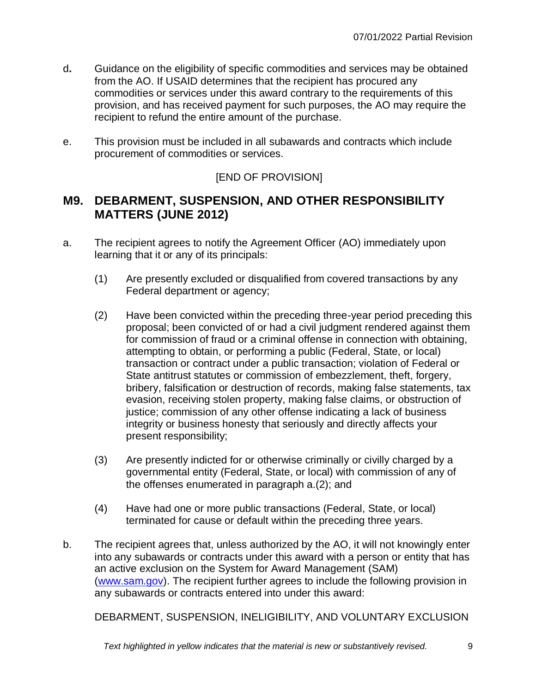- d**.** Guidance on the eligibility of specific commodities and services may be obtained from the AO. If USAID determines that the recipient has procured any commodities or services under this award contrary to the requirements of this provision, and has received payment for such purposes, the AO may require the recipient to refund the entire amount of the purchase.
- e. This provision must be included in all subawards and contracts which include procurement of commodities or services.

### [END OF PROVISION]

## <span id="page-8-0"></span>**M9. DEBARMENT, SUSPENSION, AND OTHER RESPONSIBILITY MATTERS (JUNE 2012)**

- a. The recipient agrees to notify the Agreement Officer (AO) immediately upon learning that it or any of its principals:
	- (1) Are presently excluded or disqualified from covered transactions by any Federal department or agency;
	- (2) Have been convicted within the preceding three-year period preceding this proposal; been convicted of or had a civil judgment rendered against them for commission of fraud or a criminal offense in connection with obtaining, attempting to obtain, or performing a public (Federal, State, or local) transaction or contract under a public transaction; violation of Federal or State antitrust statutes or commission of embezzlement, theft, forgery, bribery, falsification or destruction of records, making false statements, tax evasion, receiving stolen property, making false claims, or obstruction of justice; commission of any other offense indicating a lack of business integrity or business honesty that seriously and directly affects your present responsibility;
	- (3) Are presently indicted for or otherwise criminally or civilly charged by a governmental entity (Federal, State, or local) with commission of any of the offenses enumerated in paragraph a.(2); and
	- (4) Have had one or more public transactions (Federal, State, or local) terminated for cause or default within the preceding three years.
- b. The recipient agrees that, unless authorized by the AO, it will not knowingly enter into any subawards or contracts under this award with a person or entity that has an active exclusion on the System for Award Management (SAM) [\(www.sam.gov\)](http://www.sam.gov/). The recipient further agrees to include the following provision in any subawards or contracts entered into under this award:

DEBARMENT, SUSPENSION, INELIGIBILITY, AND VOLUNTARY EXCLUSION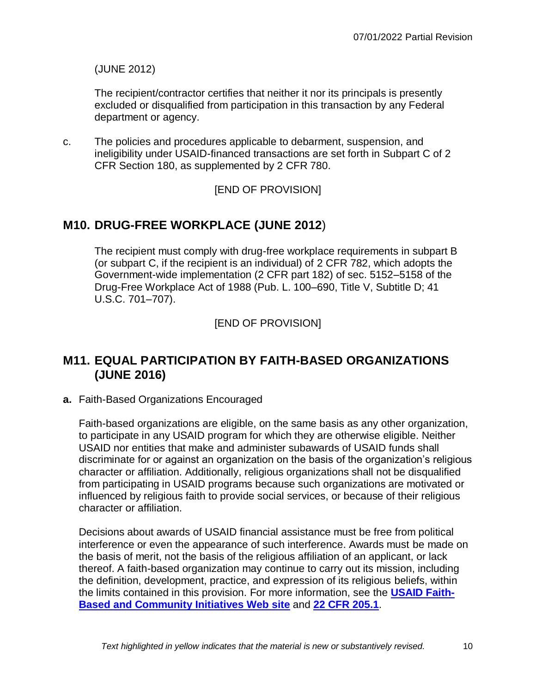(JUNE 2012)

The recipient/contractor certifies that neither it nor its principals is presently excluded or disqualified from participation in this transaction by any Federal department or agency.

c. The policies and procedures applicable to debarment, suspension, and ineligibility under USAID-financed transactions are set forth in Subpart C of 2 CFR Section 180, as supplemented by 2 CFR 780.

[END OF PROVISION]

## <span id="page-9-0"></span>**M10. DRUG-FREE WORKPLACE (JUNE 2012**)

The recipient must comply with drug-free workplace requirements in subpart B (or subpart C, if the recipient is an individual) of 2 CFR 782, which adopts the Government-wide implementation (2 CFR part 182) of sec. 5152–5158 of the Drug-Free Workplace Act of 1988 (Pub. L. 100–690, Title V, Subtitle D; 41 U.S.C. 701–707).

[END OF PROVISION]

## <span id="page-9-1"></span>**M11. EQUAL PARTICIPATION BY FAITH-BASED ORGANIZATIONS (JUNE 2016)**

**a.** Faith-Based Organizations Encouraged

Faith-based organizations are eligible, on the same basis as any other organization, to participate in any USAID program for which they are otherwise eligible. Neither USAID nor entities that make and administer subawards of USAID funds shall discriminate for or against an organization on the basis of the organization's religious character or affiliation. Additionally, religious organizations shall not be disqualified from participating in USAID programs because such organizations are motivated or influenced by religious faith to provide social services, or because of their religious character or affiliation.

Decisions about awards of USAID financial assistance must be free from political interference or even the appearance of such interference. Awards must be made on the basis of merit, not the basis of the religious affiliation of an applicant, or lack thereof. A faith-based organization may continue to carry out its mission, including the definition, development, practice, and expression of its religious beliefs, within the limits contained in this provision. For more information, see the **[USAID Faith-](https://www.usaid.gov/faith-based-and-community-initiatives)[Based and Community Initiatives Web site](https://www.usaid.gov/faith-based-and-community-initiatives)** and **[22 CFR 205.1](https://www.ecfr.gov/cgi-bin/text-idx?SID=9aedaa1289c83ff9ac27a8caa637aaf1&mc=true&node=pt22.1.205&rgn=div5)**.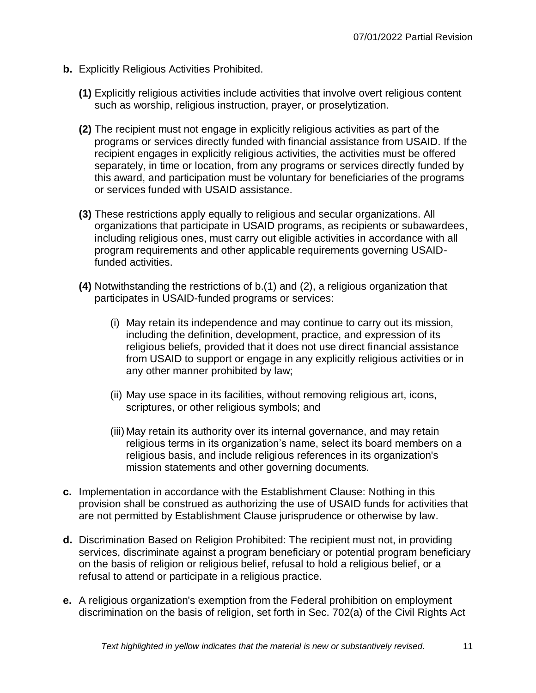- **b.** Explicitly Religious Activities Prohibited.
	- **(1)** Explicitly religious activities include activities that involve overt religious content such as worship, religious instruction, prayer, or proselytization.
	- **(2)** The recipient must not engage in explicitly religious activities as part of the programs or services directly funded with financial assistance from USAID. If the recipient engages in explicitly religious activities, the activities must be offered separately, in time or location, from any programs or services directly funded by this award, and participation must be voluntary for beneficiaries of the programs or services funded with USAID assistance.
	- **(3)** These restrictions apply equally to religious and secular organizations. All organizations that participate in USAID programs, as recipients or subawardees, including religious ones, must carry out eligible activities in accordance with all program requirements and other applicable requirements governing USAIDfunded activities.
	- **(4)** Notwithstanding the restrictions of b.(1) and (2), a religious organization that participates in USAID-funded programs or services:
		- (i) May retain its independence and may continue to carry out its mission, including the definition, development, practice, and expression of its religious beliefs, provided that it does not use direct financial assistance from USAID to support or engage in any explicitly religious activities or in any other manner prohibited by law;
		- (ii) May use space in its facilities, without removing religious art, icons, scriptures, or other religious symbols; and
		- (iii) May retain its authority over its internal governance, and may retain religious terms in its organization's name, select its board members on a religious basis, and include religious references in its organization's mission statements and other governing documents.
- **c.** Implementation in accordance with the Establishment Clause: Nothing in this provision shall be construed as authorizing the use of USAID funds for activities that are not permitted by Establishment Clause jurisprudence or otherwise by law.
- **d.** Discrimination Based on Religion Prohibited: The recipient must not, in providing services, discriminate against a program beneficiary or potential program beneficiary on the basis of religion or religious belief, refusal to hold a religious belief, or a refusal to attend or participate in a religious practice.
- **e.** A religious organization's exemption from the Federal prohibition on employment discrimination on the basis of religion, set forth in Sec. 702(a) of the Civil Rights Act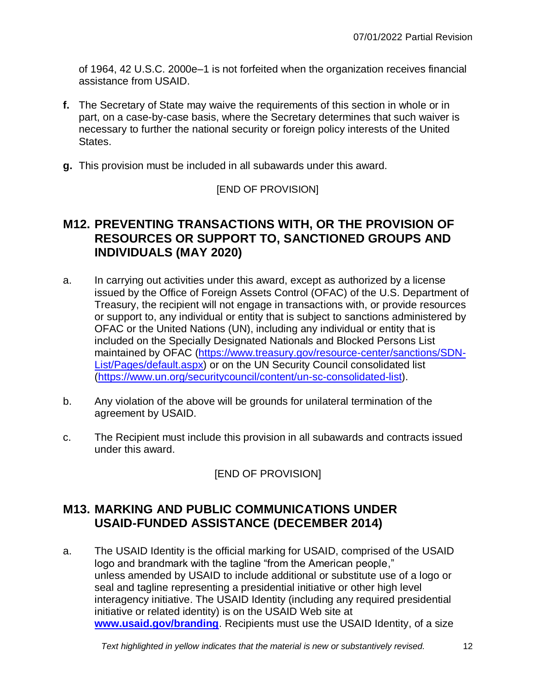of 1964, 42 U.S.C. 2000e–1 is not forfeited when the organization receives financial assistance from USAID.

- **f.** The Secretary of State may waive the requirements of this section in whole or in part, on a case-by-case basis, where the Secretary determines that such waiver is necessary to further the national security or foreign policy interests of the United States.
- **g.** This provision must be included in all subawards under this award.

#### [END OF PROVISION]

### <span id="page-11-0"></span>**M12. PREVENTING TRANSACTIONS WITH, OR THE PROVISION OF RESOURCES OR SUPPORT TO, SANCTIONED GROUPS AND INDIVIDUALS (MAY 2020)**

- a. In carrying out activities under this award, except as authorized by a license issued by the Office of Foreign Assets Control (OFAC) of the U.S. Department of Treasury, the recipient will not engage in transactions with, or provide resources or support to, any individual or entity that is subject to sanctions administered by OFAC or the United Nations (UN), including any individual or entity that is included on the Specially Designated Nationals and Blocked Persons List maintained by OFAC [\(https://www.treasury.gov/resource-center/sanctions/SDN-](https://www.treasury.gov/resource-center/sanctions/SDN-List/Pages/default.aspx)[List/Pages/default.aspx\)](https://www.treasury.gov/resource-center/sanctions/SDN-List/Pages/default.aspx) or on the UN Security Council consolidated list [\(https://www.un.org/securitycouncil/content/un-sc-consolidated-list\)](https://www.un.org/securitycouncil/content/un-sc-consolidated-list).
- b. Any violation of the above will be grounds for unilateral termination of the agreement by USAID.
- c. The Recipient must include this provision in all subawards and contracts issued under this award.

[END OF PROVISION]

## <span id="page-11-1"></span>**M13. MARKING AND PUBLIC COMMUNICATIONS UNDER USAID-FUNDED ASSISTANCE (DECEMBER 2014)**

a. The USAID Identity is the official marking for USAID, comprised of the USAID logo and brandmark with the tagline "from the American people," unless amended by USAID to include additional or substitute use of a logo or seal and tagline representing a presidential initiative or other high level interagency initiative. The USAID Identity (including any required presidential initiative or related identity) is on the USAID Web site at **[www.usaid.gov/branding](http://www.usaid.gov/branding)**. Recipients must use the USAID Identity, of a size

*Text highlighted in yellow indicates that the material is new or substantively revised.* 12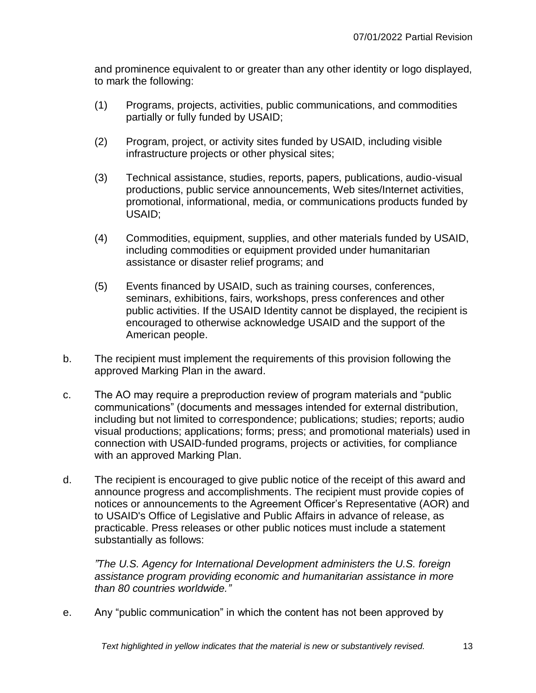and prominence equivalent to or greater than any other identity or logo displayed, to mark the following:

- (1) Programs, projects, activities, public communications, and commodities partially or fully funded by USAID;
- (2) Program, project, or activity sites funded by USAID, including visible infrastructure projects or other physical sites;
- (3) Technical assistance, studies, reports, papers, publications, audio-visual productions, public service announcements, Web sites/Internet activities, promotional, informational, media, or communications products funded by USAID;
- (4) Commodities, equipment, supplies, and other materials funded by USAID, including commodities or equipment provided under humanitarian assistance or disaster relief programs; and
- (5) Events financed by USAID, such as training courses, conferences, seminars, exhibitions, fairs, workshops, press conferences and other public activities. If the USAID Identity cannot be displayed, the recipient is encouraged to otherwise acknowledge USAID and the support of the American people.
- b. The recipient must implement the requirements of this provision following the approved Marking Plan in the award.
- c. The AO may require a preproduction review of program materials and "public communications" (documents and messages intended for external distribution, including but not limited to correspondence; publications; studies; reports; audio visual productions; applications; forms; press; and promotional materials) used in connection with USAID-funded programs, projects or activities, for compliance with an approved Marking Plan.
- d. The recipient is encouraged to give public notice of the receipt of this award and announce progress and accomplishments. The recipient must provide copies of notices or announcements to the Agreement Officer's Representative (AOR) and to USAID's Office of Legislative and Public Affairs in advance of release, as practicable. Press releases or other public notices must include a statement substantially as follows:

*"The U.S. Agency for International Development administers the U.S. foreign assistance program providing economic and humanitarian assistance in more than 80 countries worldwide."*

e. Any "public communication" in which the content has not been approved by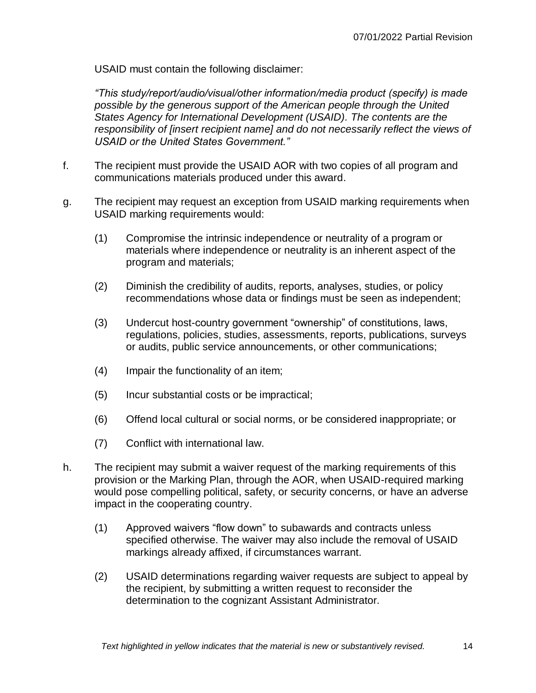USAID must contain the following disclaimer:

*"This study/report/audio/visual/other information/media product (specify) is made possible by the generous support of the American people through the United States Agency for International Development (USAID). The contents are the responsibility of [insert recipient name] and do not necessarily reflect the views of USAID or the United States Government."*

- f. The recipient must provide the USAID AOR with two copies of all program and communications materials produced under this award.
- g. The recipient may request an exception from USAID marking requirements when USAID marking requirements would:
	- (1) Compromise the intrinsic independence or neutrality of a program or materials where independence or neutrality is an inherent aspect of the program and materials;
	- (2) Diminish the credibility of audits, reports, analyses, studies, or policy recommendations whose data or findings must be seen as independent;
	- (3) Undercut host-country government "ownership" of constitutions, laws, regulations, policies, studies, assessments, reports, publications, surveys or audits, public service announcements, or other communications;
	- (4) Impair the functionality of an item;
	- (5) Incur substantial costs or be impractical;
	- (6) Offend local cultural or social norms, or be considered inappropriate; or
	- (7) Conflict with international law.
- h. The recipient may submit a waiver request of the marking requirements of this provision or the Marking Plan, through the AOR, when USAID-required marking would pose compelling political, safety, or security concerns, or have an adverse impact in the cooperating country.
	- (1) Approved waivers "flow down" to subawards and contracts unless specified otherwise. The waiver may also include the removal of USAID markings already affixed, if circumstances warrant.
	- (2) USAID determinations regarding waiver requests are subject to appeal by the recipient, by submitting a written request to reconsider the determination to the cognizant Assistant Administrator.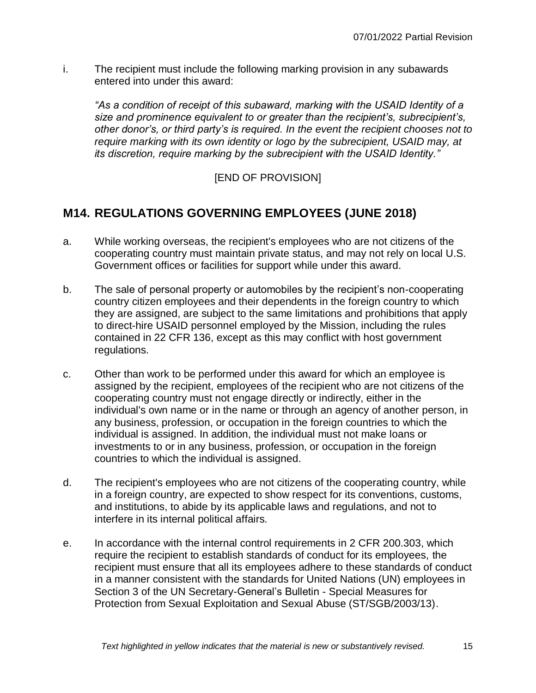i. The recipient must include the following marking provision in any subawards entered into under this award:

*"As a condition of receipt of this subaward, marking with the USAID Identity of a size and prominence equivalent to or greater than the recipient's, subrecipient's, other donor's, or third party's is required. In the event the recipient chooses not to require marking with its own identity or logo by the subrecipient, USAID may, at its discretion, require marking by the subrecipient with the USAID Identity."*

**IEND OF PROVISION]** 

## <span id="page-14-0"></span>**M14. REGULATIONS GOVERNING EMPLOYEES (JUNE 2018)**

- a. While working overseas, the recipient's employees who are not citizens of the cooperating country must maintain private status, and may not rely on local U.S. Government offices or facilities for support while under this award.
- b. The sale of personal property or automobiles by the recipient's non-cooperating country citizen employees and their dependents in the foreign country to which they are assigned, are subject to the same limitations and prohibitions that apply to direct-hire USAID personnel employed by the Mission, including the rules contained in 22 CFR 136, except as this may conflict with host government regulations.
- c. Other than work to be performed under this award for which an employee is assigned by the recipient, employees of the recipient who are not citizens of the cooperating country must not engage directly or indirectly, either in the individual's own name or in the name or through an agency of another person, in any business, profession, or occupation in the foreign countries to which the individual is assigned. In addition, the individual must not make loans or investments to or in any business, profession, or occupation in the foreign countries to which the individual is assigned.
- d. The recipient's employees who are not citizens of the cooperating country, while in a foreign country, are expected to show respect for its conventions, customs, and institutions, to abide by its applicable laws and regulations, and not to interfere in its internal political affairs.
- e. In accordance with the internal control requirements in 2 CFR 200.303, which require the recipient to establish standards of conduct for its employees, the recipient must ensure that all its employees adhere to these standards of conduct in a manner consistent with the standards for United Nations (UN) employees in Section 3 of the UN Secretary-General's Bulletin - Special Measures for Protection from Sexual Exploitation and Sexual Abuse (ST/SGB/2003/13).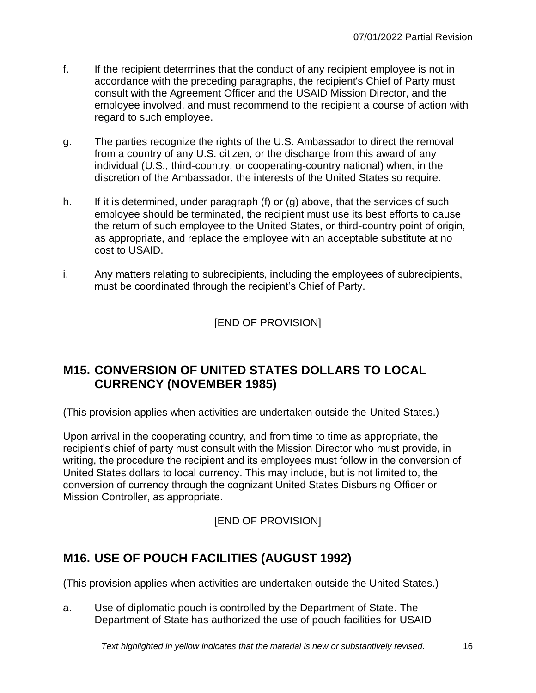- f. If the recipient determines that the conduct of any recipient employee is not in accordance with the preceding paragraphs, the recipient's Chief of Party must consult with the Agreement Officer and the USAID Mission Director, and the employee involved, and must recommend to the recipient a course of action with regard to such employee.
- g. The parties recognize the rights of the U.S. Ambassador to direct the removal from a country of any U.S. citizen, or the discharge from this award of any individual (U.S., third-country, or cooperating-country national) when, in the discretion of the Ambassador, the interests of the United States so require.
- h. If it is determined, under paragraph (f) or  $(g)$  above, that the services of such employee should be terminated, the recipient must use its best efforts to cause the return of such employee to the United States, or third-country point of origin, as appropriate, and replace the employee with an acceptable substitute at no cost to USAID.
- i. Any matters relating to subrecipients, including the employees of subrecipients, must be coordinated through the recipient's Chief of Party.

[END OF PROVISION]

## <span id="page-15-0"></span>**M15. CONVERSION OF UNITED STATES DOLLARS TO LOCAL CURRENCY (NOVEMBER 1985)**

(This provision applies when activities are undertaken outside the United States.)

Upon arrival in the cooperating country, and from time to time as appropriate, the recipient's chief of party must consult with the Mission Director who must provide, in writing, the procedure the recipient and its employees must follow in the conversion of United States dollars to local currency. This may include, but is not limited to, the conversion of currency through the cognizant United States Disbursing Officer or Mission Controller, as appropriate.

[END OF PROVISION]

## <span id="page-15-1"></span>**M16. USE OF POUCH FACILITIES (AUGUST 1992)**

(This provision applies when activities are undertaken outside the United States.)

a. Use of diplomatic pouch is controlled by the Department of State. The Department of State has authorized the use of pouch facilities for USAID

*Text highlighted in yellow indicates that the material is new or substantively revised.* 16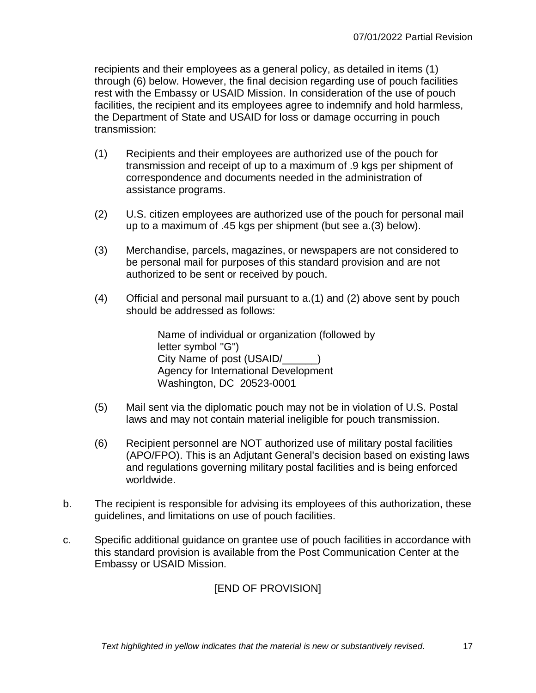recipients and their employees as a general policy, as detailed in items (1) through (6) below. However, the final decision regarding use of pouch facilities rest with the Embassy or USAID Mission. In consideration of the use of pouch facilities, the recipient and its employees agree to indemnify and hold harmless, the Department of State and USAID for loss or damage occurring in pouch transmission:

- (1) Recipients and their employees are authorized use of the pouch for transmission and receipt of up to a maximum of .9 kgs per shipment of correspondence and documents needed in the administration of assistance programs.
- (2) U.S. citizen employees are authorized use of the pouch for personal mail up to a maximum of .45 kgs per shipment (but see a.(3) below).
- (3) Merchandise, parcels, magazines, or newspapers are not considered to be personal mail for purposes of this standard provision and are not authorized to be sent or received by pouch.
- (4) Official and personal mail pursuant to a.(1) and (2) above sent by pouch should be addressed as follows:

Name of individual or organization (followed by letter symbol "G") City Name of post (USAID/ ) Agency for International Development Washington, DC 20523-0001

- (5) Mail sent via the diplomatic pouch may not be in violation of U.S. Postal laws and may not contain material ineligible for pouch transmission.
- (6) Recipient personnel are NOT authorized use of military postal facilities (APO/FPO). This is an Adjutant General's decision based on existing laws and regulations governing military postal facilities and is being enforced worldwide.
- b. The recipient is responsible for advising its employees of this authorization, these guidelines, and limitations on use of pouch facilities.
- c. Specific additional guidance on grantee use of pouch facilities in accordance with this standard provision is available from the Post Communication Center at the Embassy or USAID Mission.

## [END OF PROVISION]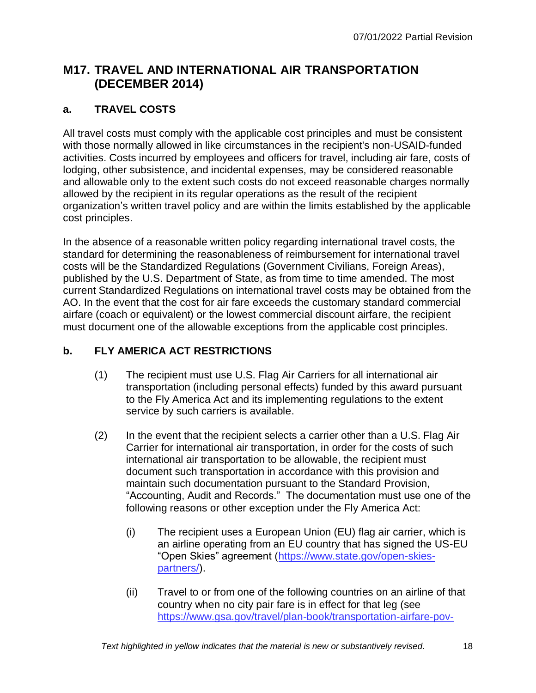## <span id="page-17-0"></span>**M17. TRAVEL AND INTERNATIONAL AIR TRANSPORTATION (DECEMBER 2014)**

#### **a. TRAVEL COSTS**

All travel costs must comply with the applicable cost principles and must be consistent with those normally allowed in like circumstances in the recipient's non-USAID-funded activities. Costs incurred by employees and officers for travel, including air fare, costs of lodging, other subsistence, and incidental expenses, may be considered reasonable and allowable only to the extent such costs do not exceed reasonable charges normally allowed by the recipient in its regular operations as the result of the recipient organization's written travel policy and are within the limits established by the applicable cost principles.

In the absence of a reasonable written policy regarding international travel costs, the standard for determining the reasonableness of reimbursement for international travel costs will be the Standardized Regulations (Government Civilians, Foreign Areas), published by the U.S. Department of State, as from time to time amended. The most current Standardized Regulations on international travel costs may be obtained from the AO. In the event that the cost for air fare exceeds the customary standard commercial airfare (coach or equivalent) or the lowest commercial discount airfare, the recipient must document one of the allowable exceptions from the applicable cost principles.

#### **b. FLY AMERICA ACT RESTRICTIONS**

- (1) The recipient must use U.S. Flag Air Carriers for all international air transportation (including personal effects) funded by this award pursuant to the Fly America Act and its implementing regulations to the extent service by such carriers is available.
- (2) In the event that the recipient selects a carrier other than a U.S. Flag Air Carrier for international air transportation, in order for the costs of such international air transportation to be allowable, the recipient must document such transportation in accordance with this provision and maintain such documentation pursuant to the Standard Provision, "Accounting, Audit and Records." The documentation must use one of the following reasons or other exception under the Fly America Act:
	- (i) The recipient uses a European Union (EU) flag air carrier, which is an airline operating from an EU country that has signed the US-EU "Open Skies" agreement [\(https://www.state.gov/open-skies](https://www.state.gov/open-skies-partners/)[partners/\)](https://www.state.gov/open-skies-partners/).
	- (ii) Travel to or from one of the following countries on an airline of that country when no city pair fare is in effect for that leg (see [https://www.gsa.gov/travel/plan-book/transportation-airfare-pov-](https://www.gsa.gov/travel/plan-book/transportation-airfare-pov-etc/city-pair-program-cpp)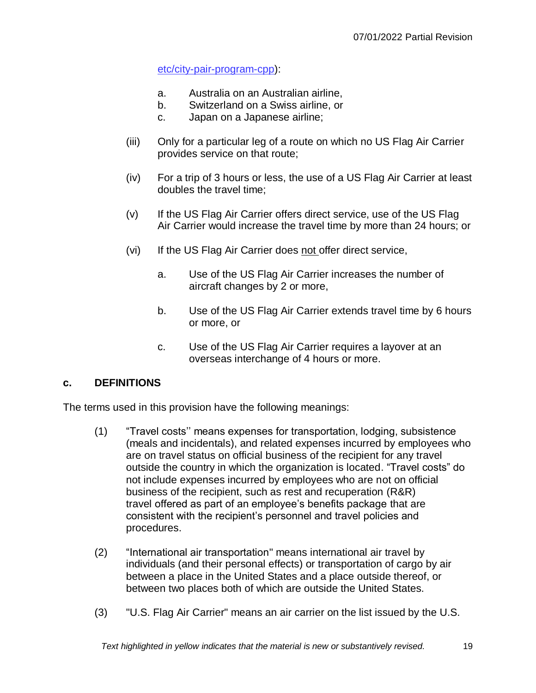[etc/city-pair-program-cpp\)](https://www.gsa.gov/travel/plan-book/transportation-airfare-pov-etc/city-pair-program-cpp):

- a. Australia on an Australian airline,
- b. Switzerland on a Swiss airline, or
- c. Japan on a Japanese airline;
- (iii) Only for a particular leg of a route on which no US Flag Air Carrier provides service on that route;
- (iv) For a trip of 3 hours or less, the use of a US Flag Air Carrier at least doubles the travel time;
- (v) If the US Flag Air Carrier offers direct service, use of the US Flag Air Carrier would increase the travel time by more than 24 hours; or
- (vi) If the US Flag Air Carrier does not offer direct service,
	- a. Use of the US Flag Air Carrier increases the number of aircraft changes by 2 or more,
	- b. Use of the US Flag Air Carrier extends travel time by 6 hours or more, or
	- c. Use of the US Flag Air Carrier requires a layover at an overseas interchange of 4 hours or more.

#### **c. DEFINITIONS**

The terms used in this provision have the following meanings:

- (1) "Travel costs'' means expenses for transportation, lodging, subsistence (meals and incidentals), and related expenses incurred by employees who are on travel status on official business of the recipient for any travel outside the country in which the organization is located. "Travel costs" do not include expenses incurred by employees who are not on official business of the recipient, such as rest and recuperation (R&R) travel offered as part of an employee's benefits package that are consistent with the recipient's personnel and travel policies and procedures.
- (2) "International air transportation" means international air travel by individuals (and their personal effects) or transportation of cargo by air between a place in the United States and a place outside thereof, or between two places both of which are outside the United States.
- (3) "U.S. Flag Air Carrier" means an air carrier on the list issued by the U.S.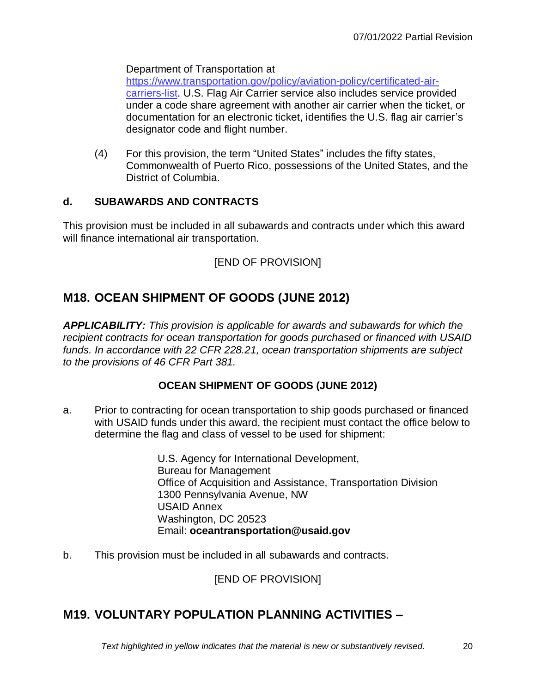Department of Transportation at

[https://www.transportation.gov/policy/aviation-policy/certificated-air](https://www.transportation.gov/policy/aviation-policy/certificated-air-carriers-list)[carriers-list.](https://www.transportation.gov/policy/aviation-policy/certificated-air-carriers-list) U.S. Flag Air Carrier service also includes service provided under a code share agreement with another air carrier when the ticket, or documentation for an electronic ticket, identifies the U.S. flag air carrier's designator code and flight number.

(4) For this provision, the term "United States" includes the fifty states, Commonwealth of Puerto Rico, possessions of the United States, and the District of Columbia.

#### **d. SUBAWARDS AND CONTRACTS**

This provision must be included in all subawards and contracts under which this award will finance international air transportation.

#### [END OF PROVISION]

## <span id="page-19-0"></span>**M18. OCEAN SHIPMENT OF GOODS (JUNE 2012)**

*APPLICABILITY: This provision is applicable for awards and subawards for which the recipient contracts for ocean transportation for goods purchased or financed with USAID funds. In accordance with 22 CFR 228.21, ocean transportation shipments are subject to the provisions of 46 CFR Part 381.*

#### **OCEAN SHIPMENT OF GOODS (JUNE 2012)**

a. Prior to contracting for ocean transportation to ship goods purchased or financed with USAID funds under this award, the recipient must contact the office below to determine the flag and class of vessel to be used for shipment:

> U.S. Agency for International Development, Bureau for Management Office of Acquisition and Assistance, Transportation Division 1300 Pennsylvania Avenue, NW USAID Annex Washington, DC 20523 Email: **oceantransportation@usaid.gov**

b. This provision must be included in all subawards and contracts.

[END OF PROVISION]

## <span id="page-19-1"></span>**M19. VOLUNTARY POPULATION PLANNING ACTIVITIES –**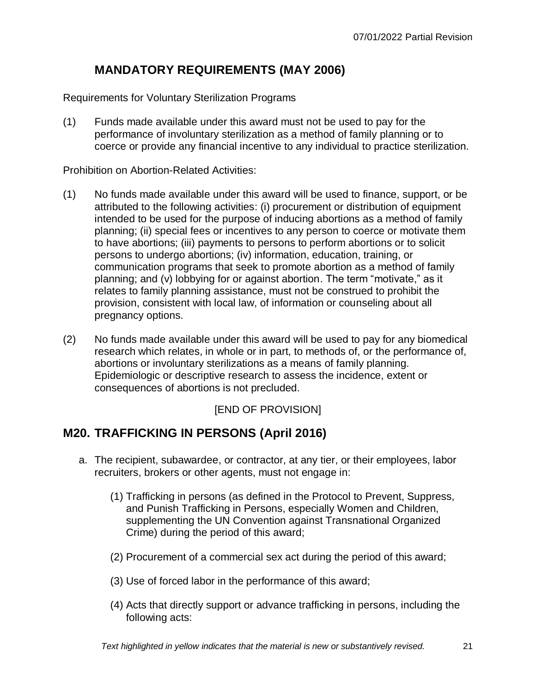## **MANDATORY REQUIREMENTS (MAY 2006)**

Requirements for Voluntary Sterilization Programs

(1) Funds made available under this award must not be used to pay for the performance of involuntary sterilization as a method of family planning or to coerce or provide any financial incentive to any individual to practice sterilization.

Prohibition on Abortion-Related Activities:

- (1) No funds made available under this award will be used to finance, support, or be attributed to the following activities: (i) procurement or distribution of equipment intended to be used for the purpose of inducing abortions as a method of family planning; (ii) special fees or incentives to any person to coerce or motivate them to have abortions; (iii) payments to persons to perform abortions or to solicit persons to undergo abortions; (iv) information, education, training, or communication programs that seek to promote abortion as a method of family planning; and (v) lobbying for or against abortion. The term "motivate," as it relates to family planning assistance, must not be construed to prohibit the provision, consistent with local law, of information or counseling about all pregnancy options.
- (2) No funds made available under this award will be used to pay for any biomedical research which relates, in whole or in part, to methods of, or the performance of, abortions or involuntary sterilizations as a means of family planning. Epidemiologic or descriptive research to assess the incidence, extent or consequences of abortions is not precluded.

#### [END OF PROVISION]

#### <span id="page-20-0"></span>**M20. TRAFFICKING IN PERSONS (April 2016)**

- a. The recipient, subawardee, or contractor, at any tier, or their employees, labor recruiters, brokers or other agents, must not engage in:
	- (1) Trafficking in persons (as defined in the Protocol to Prevent, Suppress, and Punish Trafficking in Persons, especially Women and Children, supplementing the UN Convention against Transnational Organized Crime) during the period of this award;
	- (2) Procurement of a commercial sex act during the period of this award;
	- (3) Use of forced labor in the performance of this award;
	- (4) Acts that directly support or advance trafficking in persons, including the following acts: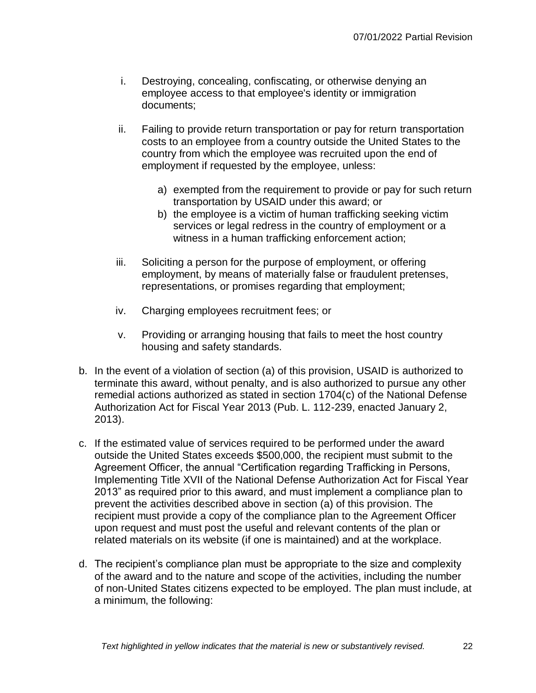- i. Destroying, concealing, confiscating, or otherwise denying an employee access to that employee's identity or immigration documents;
- ii. Failing to provide return transportation or pay for return transportation costs to an employee from a country outside the United States to the country from which the employee was recruited upon the end of employment if requested by the employee, unless:
	- a) exempted from the requirement to provide or pay for such return transportation by USAID under this award; or
	- b) the employee is a victim of human trafficking seeking victim services or legal redress in the country of employment or a witness in a human trafficking enforcement action;
- iii. Soliciting a person for the purpose of employment, or offering employment, by means of materially false or fraudulent pretenses, representations, or promises regarding that employment;
- iv. Charging employees recruitment fees; or
- v. Providing or arranging housing that fails to meet the host country housing and safety standards.
- b. In the event of a violation of section (a) of this provision, USAID is authorized to terminate this award, without penalty, and is also authorized to pursue any other remedial actions authorized as stated in section 1704(c) of the National Defense Authorization Act for Fiscal Year 2013 (Pub. L. 112-239, enacted January 2, 2013).
- c. If the estimated value of services required to be performed under the award outside the United States exceeds \$500,000, the recipient must submit to the Agreement Officer, the annual "Certification regarding Trafficking in Persons, Implementing Title XVII of the National Defense Authorization Act for Fiscal Year 2013" as required prior to this award, and must implement a compliance plan to prevent the activities described above in section (a) of this provision. The recipient must provide a copy of the compliance plan to the Agreement Officer upon request and must post the useful and relevant contents of the plan or related materials on its website (if one is maintained) and at the workplace.
- d. The recipient's compliance plan must be appropriate to the size and complexity of the award and to the nature and scope of the activities, including the number of non-United States citizens expected to be employed. The plan must include, at a minimum, the following: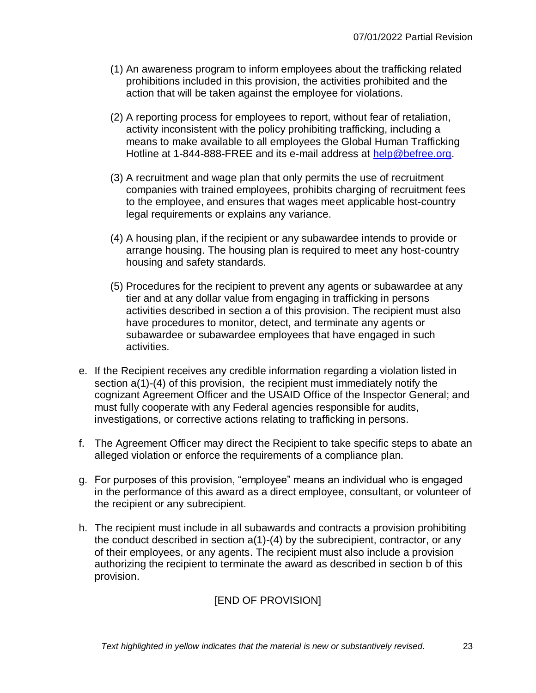- (1) An awareness program to inform employees about the trafficking related prohibitions included in this provision, the activities prohibited and the action that will be taken against the employee for violations.
- (2) A reporting process for employees to report, without fear of retaliation, activity inconsistent with the policy prohibiting trafficking, including a means to make available to all employees the Global Human Trafficking Hotline at 1-844-888-FREE and its e-mail address at [help@befree.org.](mailto:help@befree.org)
- (3) A recruitment and wage plan that only permits the use of recruitment companies with trained employees, prohibits charging of recruitment fees to the employee, and ensures that wages meet applicable host-country legal requirements or explains any variance.
- (4) A housing plan, if the recipient or any subawardee intends to provide or arrange housing. The housing plan is required to meet any host-country housing and safety standards.
- (5) Procedures for the recipient to prevent any agents or subawardee at any tier and at any dollar value from engaging in trafficking in persons activities described in section a of this provision. The recipient must also have procedures to monitor, detect, and terminate any agents or subawardee or subawardee employees that have engaged in such activities.
- e. If the Recipient receives any credible information regarding a violation listed in section a(1)-(4) of this provision, the recipient must immediately notify the cognizant Agreement Officer and the USAID Office of the Inspector General; and must fully cooperate with any Federal agencies responsible for audits, investigations, or corrective actions relating to trafficking in persons.
- f. The Agreement Officer may direct the Recipient to take specific steps to abate an alleged violation or enforce the requirements of a compliance plan.
- g. For purposes of this provision, "employee" means an individual who is engaged in the performance of this award as a direct employee, consultant, or volunteer of the recipient or any subrecipient.
- h. The recipient must include in all subawards and contracts a provision prohibiting the conduct described in section a(1)-(4) by the subrecipient, contractor, or any of their employees, or any agents. The recipient must also include a provision authorizing the recipient to terminate the award as described in section b of this provision.

#### [END OF PROVISION]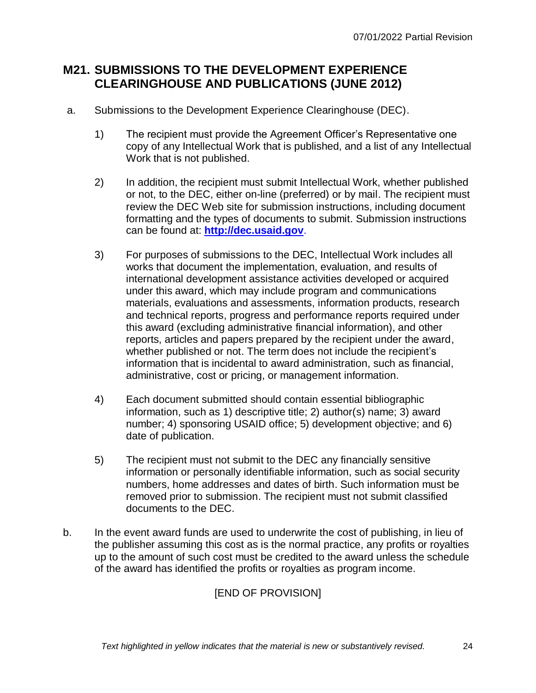## <span id="page-23-0"></span>**M21. SUBMISSIONS TO THE DEVELOPMENT EXPERIENCE CLEARINGHOUSE AND PUBLICATIONS (JUNE 2012)**

- a. Submissions to the Development Experience Clearinghouse (DEC).
	- 1) The recipient must provide the Agreement Officer's Representative one copy of any Intellectual Work that is published, and a list of any Intellectual Work that is not published.
	- 2) In addition, the recipient must submit Intellectual Work, whether published or not, to the DEC, either on-line (preferred) or by mail. The recipient must review the DEC Web site for submission instructions, including document formatting and the types of documents to submit. Submission instructions can be found at: **[http://dec.usaid.gov](http://dec.usaid.gov/)**.
	- 3) For purposes of submissions to the DEC, Intellectual Work includes all works that document the implementation, evaluation, and results of international development assistance activities developed or acquired under this award, which may include program and communications materials, evaluations and assessments, information products, research and technical reports, progress and performance reports required under this award (excluding administrative financial information), and other reports, articles and papers prepared by the recipient under the award, whether published or not. The term does not include the recipient's information that is incidental to award administration, such as financial, administrative, cost or pricing, or management information.
	- 4) Each document submitted should contain essential bibliographic information, such as 1) descriptive title; 2) author(s) name; 3) award number; 4) sponsoring USAID office; 5) development objective; and 6) date of publication.
	- 5) The recipient must not submit to the DEC any financially sensitive information or personally identifiable information, such as social security numbers, home addresses and dates of birth. Such information must be removed prior to submission. The recipient must not submit classified documents to the DEC.
- b. In the event award funds are used to underwrite the cost of publishing, in lieu of the publisher assuming this cost as is the normal practice, any profits or royalties up to the amount of such cost must be credited to the award unless the schedule of the award has identified the profits or royalties as program income.

[END OF PROVISION]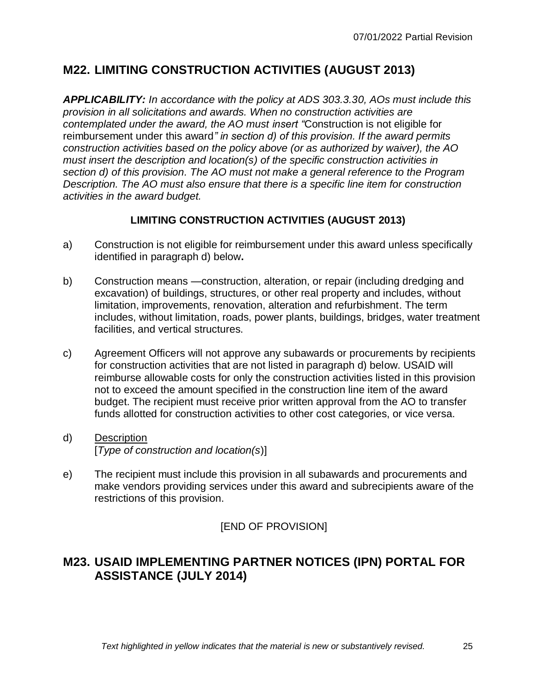## <span id="page-24-0"></span>**M22. LIMITING CONSTRUCTION ACTIVITIES (AUGUST 2013)**

*APPLICABILITY: In accordance with the policy at ADS 303.3.30, AOs must include this provision in all solicitations and awards. When no construction activities are contemplated under the award, the AO must insert "*Construction is not eligible for reimbursement under this award*" in section d) of this provision. If the award permits construction activities based on the policy above (or as authorized by waiver), the AO must insert the description and location(s) of the specific construction activities in section d) of this provision. The AO must not make a general reference to the Program Description. The AO must also ensure that there is a specific line item for construction activities in the award budget.*

#### **LIMITING CONSTRUCTION ACTIVITIES (AUGUST 2013)**

- a) Construction is not eligible for reimbursement under this award unless specifically identified in paragraph d) below**.**
- b) Construction means —construction, alteration, or repair (including dredging and excavation) of buildings, structures, or other real property and includes, without limitation, improvements, renovation, alteration and refurbishment. The term includes, without limitation, roads, power plants, buildings, bridges, water treatment facilities, and vertical structures.
- c) Agreement Officers will not approve any subawards or procurements by recipients for construction activities that are not listed in paragraph d) below. USAID will reimburse allowable costs for only the construction activities listed in this provision not to exceed the amount specified in the construction line item of the award budget. The recipient must receive prior written approval from the AO to transfer funds allotted for construction activities to other cost categories, or vice versa.
- d) Description [*Type of construction and location(s*)]
- e) The recipient must include this provision in all subawards and procurements and make vendors providing services under this award and subrecipients aware of the restrictions of this provision.

#### [END OF PROVISION]

## <span id="page-24-1"></span>**M23. USAID IMPLEMENTING PARTNER NOTICES (IPN) PORTAL FOR ASSISTANCE (JULY 2014)**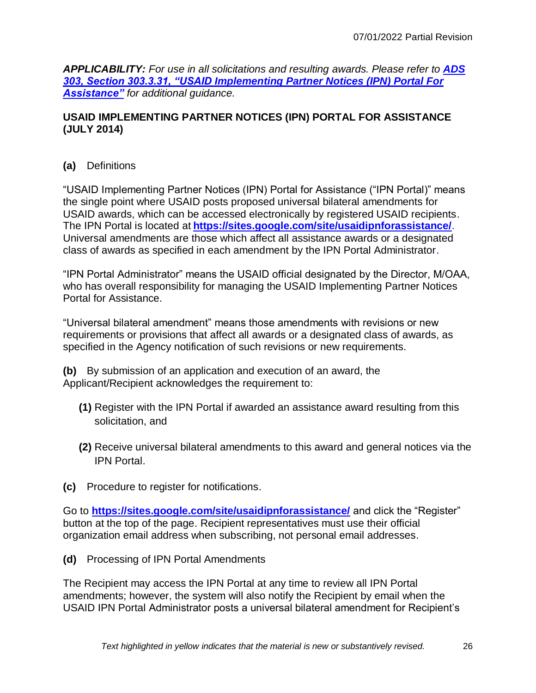*APPLICABILITY: For use in all solicitations and resulting awards. Please refer to ADS 303, Section 303.3.31, "USAID [Implementing Partner Notices \(IPN\) Portal For](http://www.usaid.gov/ads/policy/300/303)  [Assistance"](http://www.usaid.gov/ads/policy/300/303) for additional guidance.*

#### **USAID IMPLEMENTING PARTNER NOTICES (IPN) PORTAL FOR ASSISTANCE (JULY 2014)**

#### **(a)** Definitions

"USAID Implementing Partner Notices (IPN) Portal for Assistance ("IPN Portal)" means the single point where USAID posts proposed universal bilateral amendments for USAID awards, which can be accessed electronically by registered USAID recipients. The IPN Portal is located at **<https://sites.google.com/site/usaidipnforassistance/>**. Universal amendments are those which affect all assistance awards or a designated class of awards as specified in each amendment by the IPN Portal Administrator.

"IPN Portal Administrator" means the USAID official designated by the Director, M/OAA, who has overall responsibility for managing the USAID Implementing Partner Notices Portal for Assistance.

"Universal bilateral amendment" means those amendments with revisions or new requirements or provisions that affect all awards or a designated class of awards, as specified in the Agency notification of such revisions or new requirements.

**(b)** By submission of an application and execution of an award, the Applicant/Recipient acknowledges the requirement to:

- **(1)** Register with the IPN Portal if awarded an assistance award resulting from this solicitation, and
- **(2)** Receive universal bilateral amendments to this award and general notices via the IPN Portal.
- **(c)** Procedure to register for notifications.

Go to **<https://sites.google.com/site/usaidipnforassistance/>** and click the "Register" button at the top of the page. Recipient representatives must use their official organization email address when subscribing, not personal email addresses.

**(d)** Processing of IPN Portal Amendments

The Recipient may access the IPN Portal at any time to review all IPN Portal amendments; however, the system will also notify the Recipient by email when the USAID IPN Portal Administrator posts a universal bilateral amendment for Recipient's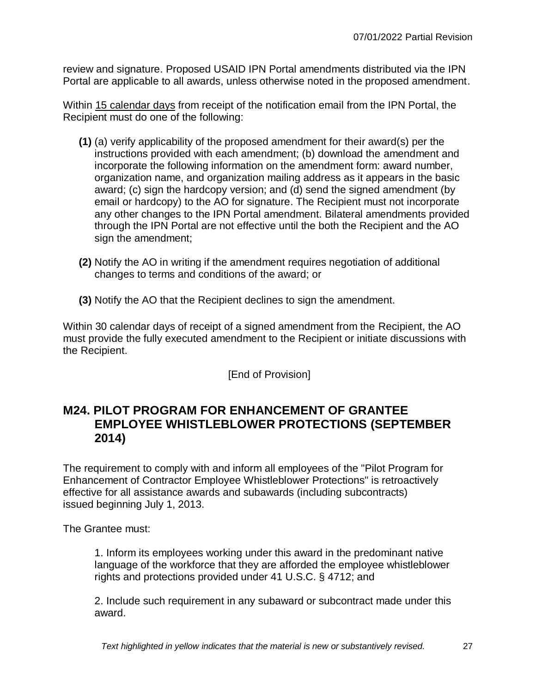review and signature. Proposed USAID IPN Portal amendments distributed via the IPN Portal are applicable to all awards, unless otherwise noted in the proposed amendment.

Within 15 calendar days from receipt of the notification email from the IPN Portal, the Recipient must do one of the following:

- **(1)** (a) verify applicability of the proposed amendment for their award(s) per the instructions provided with each amendment; (b) download the amendment and incorporate the following information on the amendment form: award number, organization name, and organization mailing address as it appears in the basic award; (c) sign the hardcopy version; and (d) send the signed amendment (by email or hardcopy) to the AO for signature. The Recipient must not incorporate any other changes to the IPN Portal amendment. Bilateral amendments provided through the IPN Portal are not effective until the both the Recipient and the AO sign the amendment;
- **(2)** Notify the AO in writing if the amendment requires negotiation of additional changes to terms and conditions of the award; or
- **(3)** Notify the AO that the Recipient declines to sign the amendment.

Within 30 calendar days of receipt of a signed amendment from the Recipient, the AO must provide the fully executed amendment to the Recipient or initiate discussions with the Recipient.

[End of Provision]

#### <span id="page-26-0"></span>**M24. PILOT PROGRAM FOR ENHANCEMENT OF GRANTEE EMPLOYEE WHISTLEBLOWER PROTECTIONS (SEPTEMBER 2014)**

The requirement to comply with and inform all employees of the "Pilot Program for Enhancement of Contractor Employee Whistleblower Protections" is retroactively effective for all assistance awards and subawards (including subcontracts) issued beginning July 1, 2013.

The Grantee must:

1. Inform its employees working under this award in the predominant native language of the workforce that they are afforded the employee whistleblower rights and protections provided under 41 U.S.C. § 4712; and

2. Include such requirement in any subaward or subcontract made under this award.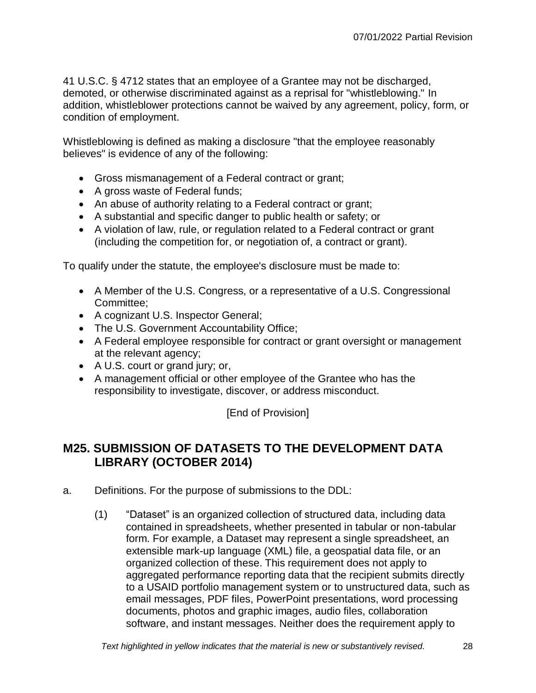41 U.S.C. § 4712 states that an employee of a Grantee may not be discharged, demoted, or otherwise discriminated against as a reprisal for "whistleblowing." In addition, whistleblower protections cannot be waived by any agreement, policy, form, or condition of employment.

Whistleblowing is defined as making a disclosure "that the employee reasonably believes" is evidence of any of the following:

- Gross mismanagement of a Federal contract or grant;
- A gross waste of Federal funds;
- An abuse of authority relating to a Federal contract or grant;
- A substantial and specific danger to public health or safety; or
- A violation of law, rule, or regulation related to a Federal contract or grant (including the competition for, or negotiation of, a contract or grant).

To qualify under the statute, the employee's disclosure must be made to:

- A Member of the U.S. Congress, or a representative of a U.S. Congressional Committee;
- A cognizant U.S. Inspector General;
- The U.S. Government Accountability Office;
- A Federal employee responsible for contract or grant oversight or management at the relevant agency;
- A U.S. court or grand jury; or,
- A management official or other employee of the Grantee who has the responsibility to investigate, discover, or address misconduct.

[End of Provision]

## <span id="page-27-0"></span>**M25. SUBMISSION OF DATASETS TO THE DEVELOPMENT DATA LIBRARY (OCTOBER 2014)**

- a. Definitions. For the purpose of submissions to the DDL:
	- (1) "Dataset" is an organized collection of structured data, including data contained in spreadsheets, whether presented in tabular or non-tabular form. For example, a Dataset may represent a single spreadsheet, an extensible mark-up language (XML) file, a geospatial data file, or an organized collection of these. This requirement does not apply to aggregated performance reporting data that the recipient submits directly to a USAID portfolio management system or to unstructured data, such as email messages, PDF files, PowerPoint presentations, word processing documents, photos and graphic images, audio files, collaboration software, and instant messages. Neither does the requirement apply to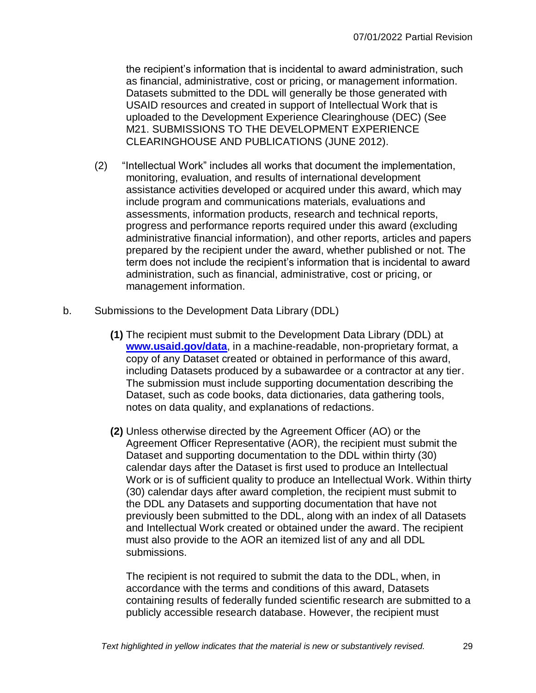the recipient's information that is incidental to award administration, such as financial, administrative, cost or pricing, or management information. Datasets submitted to the DDL will generally be those generated with USAID resources and created in support of Intellectual Work that is uploaded to the Development Experience Clearinghouse (DEC) (See M21. SUBMISSIONS TO THE DEVELOPMENT EXPERIENCE CLEARINGHOUSE AND PUBLICATIONS (JUNE 2012).

- (2) "Intellectual Work" includes all works that document the implementation, monitoring, evaluation, and results of international development assistance activities developed or acquired under this award, which may include program and communications materials, evaluations and assessments, information products, research and technical reports, progress and performance reports required under this award (excluding administrative financial information), and other reports, articles and papers prepared by the recipient under the award, whether published or not. The term does not include the recipient's information that is incidental to award administration, such as financial, administrative, cost or pricing, or management information.
- b. Submissions to the Development Data Library (DDL)
	- **(1)** The recipient must submit to the Development Data Library (DDL) at **[www.usaid.gov/data](http://www.usaid.gov/data)**, in a machine-readable, non-proprietary format, a copy of any Dataset created or obtained in performance of this award, including Datasets produced by a subawardee or a contractor at any tier. The submission must include supporting documentation describing the Dataset, such as code books, data dictionaries, data gathering tools, notes on data quality, and explanations of redactions.
	- **(2)** Unless otherwise directed by the Agreement Officer (AO) or the Agreement Officer Representative (AOR), the recipient must submit the Dataset and supporting documentation to the DDL within thirty (30) calendar days after the Dataset is first used to produce an Intellectual Work or is of sufficient quality to produce an Intellectual Work. Within thirty (30) calendar days after award completion, the recipient must submit to the DDL any Datasets and supporting documentation that have not previously been submitted to the DDL, along with an index of all Datasets and Intellectual Work created or obtained under the award. The recipient must also provide to the AOR an itemized list of any and all DDL submissions.

The recipient is not required to submit the data to the DDL, when, in accordance with the terms and conditions of this award, Datasets containing results of federally funded scientific research are submitted to a publicly accessible research database. However, the recipient must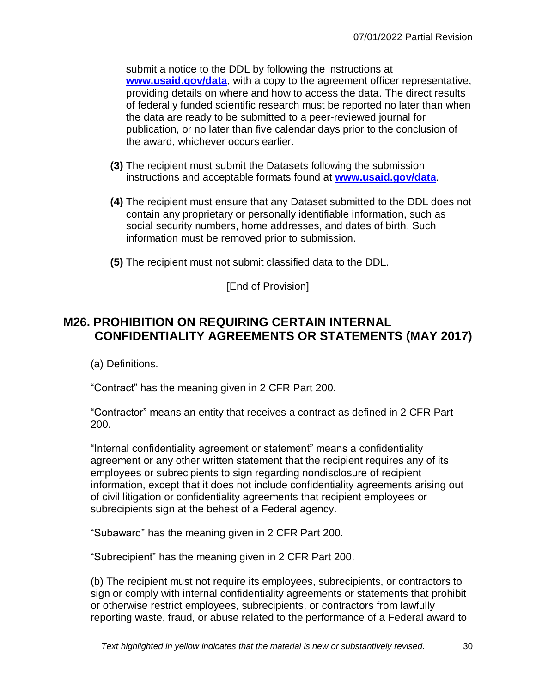submit a notice to the DDL by following the instructions at **[www.usaid.gov/data](file:///C:/Users/pmittelman/AppData/Local/Microsoft/Windows/Temporary%20Internet%20Files/Content.Outlook/EWE4X7Y8/www.usaid.gov/data)**, with a copy to the agreement officer representative, providing details on where and how to access the data. The direct results of federally funded scientific research must be reported no later than when the data are ready to be submitted to a peer-reviewed journal for publication, or no later than five calendar days prior to the conclusion of the award, whichever occurs earlier.

- **(3)** The recipient must submit the Datasets following the submission instructions and acceptable formats found at **[www.usaid.gov/data](http://www.usaid.gov/data)**.
- **(4)** The recipient must ensure that any Dataset submitted to the DDL does not contain any proprietary or personally identifiable information, such as social security numbers, home addresses, and dates of birth. Such information must be removed prior to submission.
- **(5)** The recipient must not submit classified data to the DDL.

[End of Provision]

## <span id="page-29-0"></span>**M26. PROHIBITION ON REQUIRING CERTAIN INTERNAL CONFIDENTIALITY AGREEMENTS OR STATEMENTS (MAY 2017)**

(a) Definitions.

"Contract" has the meaning given in 2 CFR Part 200.

"Contractor" means an entity that receives a contract as defined in 2 CFR Part 200.

"Internal confidentiality agreement or statement" means a confidentiality agreement or any other written statement that the recipient requires any of its employees or subrecipients to sign regarding nondisclosure of recipient information, except that it does not include confidentiality agreements arising out of civil litigation or confidentiality agreements that recipient employees or subrecipients sign at the behest of a Federal agency.

"Subaward" has the meaning given in 2 CFR Part 200.

"Subrecipient" has the meaning given in 2 CFR Part 200.

(b) The recipient must not require its employees, subrecipients, or contractors to sign or comply with internal confidentiality agreements or statements that prohibit or otherwise restrict employees, subrecipients, or contractors from lawfully reporting waste, fraud, or abuse related to the performance of a Federal award to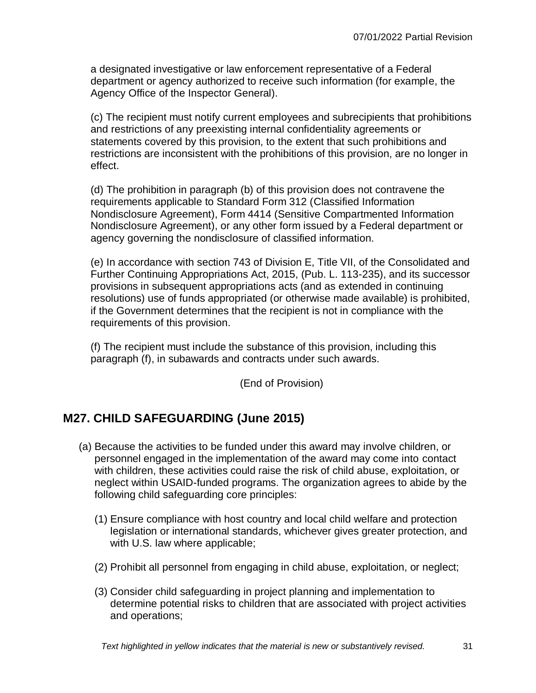a designated investigative or law enforcement representative of a Federal department or agency authorized to receive such information (for example, the Agency Office of the Inspector General).

(c) The recipient must notify current employees and subrecipients that prohibitions and restrictions of any preexisting internal confidentiality agreements or statements covered by this provision, to the extent that such prohibitions and restrictions are inconsistent with the prohibitions of this provision, are no longer in effect.

(d) The prohibition in paragraph (b) of this provision does not contravene the requirements applicable to Standard Form 312 (Classified Information Nondisclosure Agreement), Form 4414 (Sensitive Compartmented Information Nondisclosure Agreement), or any other form issued by a Federal department or agency governing the nondisclosure of classified information.

(e) In accordance with section 743 of Division E, Title VII, of the Consolidated and Further Continuing Appropriations Act, 2015, (Pub. L. 113-235), and its successor provisions in subsequent appropriations acts (and as extended in continuing resolutions) use of funds appropriated (or otherwise made available) is prohibited, if the Government determines that the recipient is not in compliance with the requirements of this provision.

(f) The recipient must include the substance of this provision, including this paragraph (f), in subawards and contracts under such awards.

(End of Provision)

## <span id="page-30-0"></span>**M27. CHILD SAFEGUARDING (June 2015)**

- (a) Because the activities to be funded under this award may involve children, or personnel engaged in the implementation of the award may come into contact with children, these activities could raise the risk of child abuse, exploitation, or neglect within USAID-funded programs. The organization agrees to abide by the following child safeguarding core principles:
	- (1) Ensure compliance with host country and local child welfare and protection legislation or international standards, whichever gives greater protection, and with U.S. law where applicable;
	- (2) Prohibit all personnel from engaging in child abuse, exploitation, or neglect;
	- (3) Consider child safeguarding in project planning and implementation to determine potential risks to children that are associated with project activities and operations;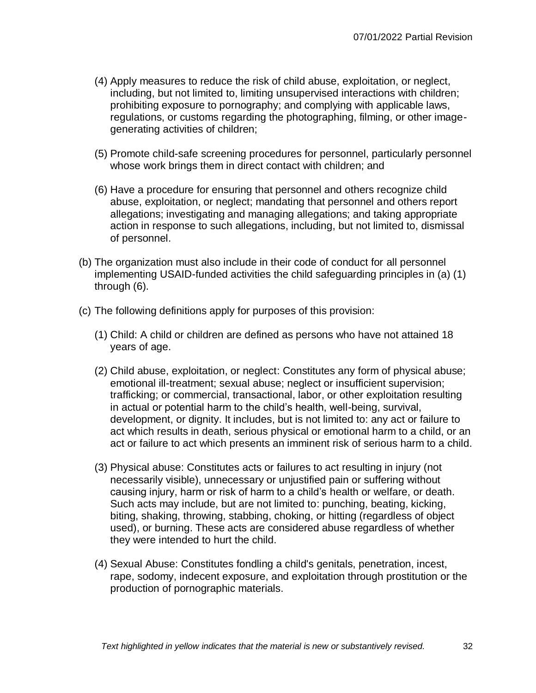- (4) Apply measures to reduce the risk of child abuse, exploitation, or neglect, including, but not limited to, limiting unsupervised interactions with children; prohibiting exposure to pornography; and complying with applicable laws, regulations, or customs regarding the photographing, filming, or other imagegenerating activities of children;
- (5) Promote child-safe screening procedures for personnel, particularly personnel whose work brings them in direct contact with children; and
- (6) Have a procedure for ensuring that personnel and others recognize child abuse, exploitation, or neglect; mandating that personnel and others report allegations; investigating and managing allegations; and taking appropriate action in response to such allegations, including, but not limited to, dismissal of personnel.
- (b) The organization must also include in their code of conduct for all personnel implementing USAID-funded activities the child safeguarding principles in (a) (1) through (6).
- (c) The following definitions apply for purposes of this provision:
	- (1) Child: A child or children are defined as persons who have not attained 18 years of age.
	- (2) Child abuse, exploitation, or neglect: Constitutes any form of physical abuse; emotional ill-treatment; sexual abuse; neglect or insufficient supervision; trafficking; or commercial, transactional, labor, or other exploitation resulting in actual or potential harm to the child's health, well-being, survival, development, or dignity. It includes, but is not limited to: any act or failure to act which results in death, serious physical or emotional harm to a child, or an act or failure to act which presents an imminent risk of serious harm to a child.
	- (3) Physical abuse: Constitutes acts or failures to act resulting in injury (not necessarily visible), unnecessary or unjustified pain or suffering without causing injury, harm or risk of harm to a child's health or welfare, or death. Such acts may include, but are not limited to: punching, beating, kicking, biting, shaking, throwing, stabbing, choking, or hitting (regardless of object used), or burning. These acts are considered abuse regardless of whether they were intended to hurt the child.
	- (4) Sexual Abuse: Constitutes fondling a child's genitals, penetration, incest, rape, sodomy, indecent exposure, and exploitation through prostitution or the production of pornographic materials.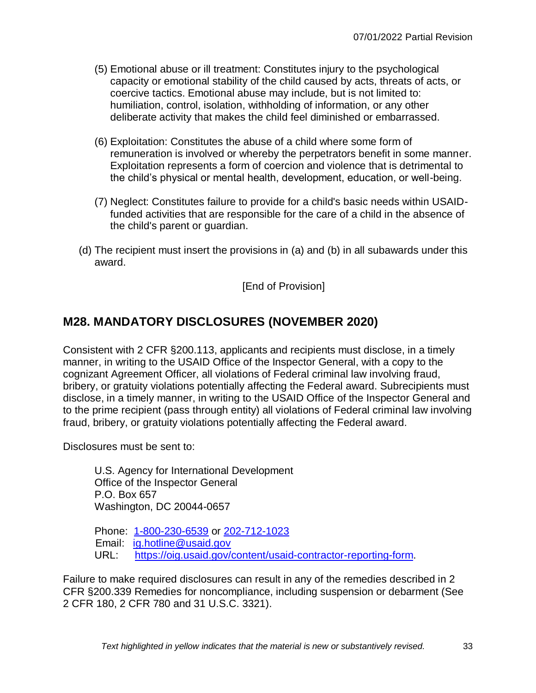- (5) Emotional abuse or ill treatment: Constitutes injury to the psychological capacity or emotional stability of the child caused by acts, threats of acts, or coercive tactics. Emotional abuse may include, but is not limited to: humiliation, control, isolation, withholding of information, or any other deliberate activity that makes the child feel diminished or embarrassed.
- (6) Exploitation: Constitutes the abuse of a child where some form of remuneration is involved or whereby the perpetrators benefit in some manner. Exploitation represents a form of coercion and violence that is detrimental to the child's physical or mental health, development, education, or well-being.
- (7) Neglect: Constitutes failure to provide for a child's basic needs within USAIDfunded activities that are responsible for the care of a child in the absence of the child's parent or guardian.
- (d) The recipient must insert the provisions in (a) and (b) in all subawards under this award.

[End of Provision]

## <span id="page-32-0"></span>**M28. MANDATORY DISCLOSURES (NOVEMBER 2020)**

Consistent with 2 CFR §200.113, applicants and recipients must disclose, in a timely manner, in writing to the USAID Office of the Inspector General, with a copy to the cognizant Agreement Officer, all violations of Federal criminal law involving fraud, bribery, or gratuity violations potentially affecting the Federal award. Subrecipients must disclose, in a timely manner, in writing to the USAID Office of the Inspector General and to the prime recipient (pass through entity) all violations of Federal criminal law involving fraud, bribery, or gratuity violations potentially affecting the Federal award.

Disclosures must be sent to:

U.S. Agency for International Development Office of the Inspector General P.O. Box 657 Washington, DC 20044-0657

Phone: 1-800-230-6539 or 202-712-1023 Email: [ig.hotline@usaid.gov](mailto:ig.hotline@usaid.gov) URL: [https://oig.usaid.gov/content/usaid-contractor-reporting-form.](https://oig.usaid.gov/content/usaid-contractor-reporting-form)

Failure to make required disclosures can result in any of the remedies described in 2 CFR §200.339 Remedies for noncompliance, including suspension or debarment (See 2 CFR 180, 2 CFR 780 and 31 U.S.C. 3321).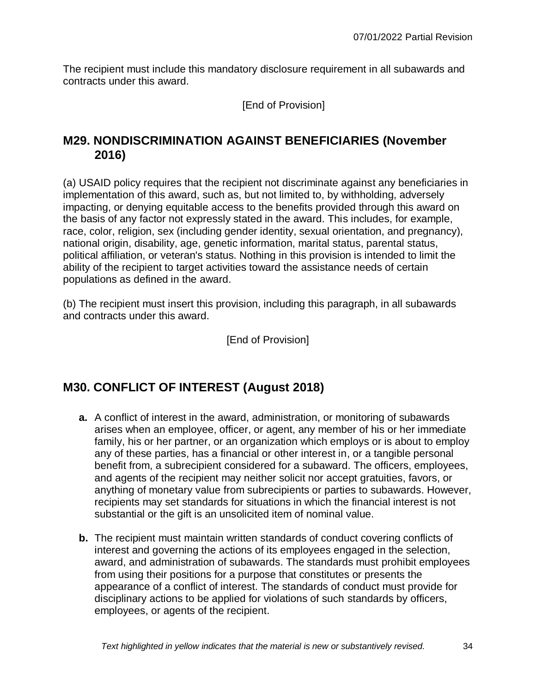The recipient must include this mandatory disclosure requirement in all subawards and contracts under this award.

[End of Provision]

## <span id="page-33-0"></span>**M29. NONDISCRIMINATION AGAINST BENEFICIARIES (November 2016)**

(a) USAID policy requires that the recipient not discriminate against any beneficiaries in implementation of this award, such as, but not limited to, by withholding, adversely impacting, or denying equitable access to the benefits provided through this award on the basis of any factor not expressly stated in the award. This includes, for example, race, color, religion, sex (including gender identity, sexual orientation, and pregnancy), national origin, disability, age, genetic information, marital status, parental status, political affiliation, or veteran's status. Nothing in this provision is intended to limit the ability of the recipient to target activities toward the assistance needs of certain populations as defined in the award.

(b) The recipient must insert this provision, including this paragraph, in all subawards and contracts under this award.

[End of Provision]

## <span id="page-33-1"></span>**M30. CONFLICT OF INTEREST (August 2018)**

- **a.** A conflict of interest in the award, administration, or monitoring of subawards arises when an employee, officer, or agent, any member of his or her immediate family, his or her partner, or an organization which employs or is about to employ any of these parties, has a financial or other interest in, or a tangible personal benefit from, a subrecipient considered for a subaward. The officers, employees, and agents of the recipient may neither solicit nor accept gratuities, favors, or anything of monetary value from subrecipients or parties to subawards. However, recipients may set standards for situations in which the financial interest is not substantial or the gift is an unsolicited item of nominal value.
- **b.** The recipient must maintain written standards of conduct covering conflicts of interest and governing the actions of its employees engaged in the selection, award, and administration of subawards. The standards must prohibit employees from using their positions for a purpose that constitutes or presents the appearance of a conflict of interest. The standards of conduct must provide for disciplinary actions to be applied for violations of such standards by officers, employees, or agents of the recipient.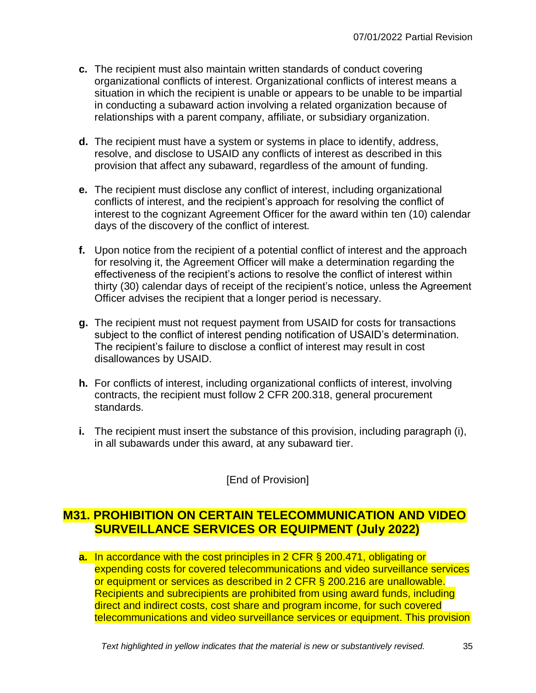- **c.** The recipient must also maintain written standards of conduct covering organizational conflicts of interest. Organizational conflicts of interest means a situation in which the recipient is unable or appears to be unable to be impartial in conducting a subaward action involving a related organization because of relationships with a parent company, affiliate, or subsidiary organization.
- **d.** The recipient must have a system or systems in place to identify, address, resolve, and disclose to USAID any conflicts of interest as described in this provision that affect any subaward, regardless of the amount of funding.
- **e.** The recipient must disclose any conflict of interest, including organizational conflicts of interest, and the recipient's approach for resolving the conflict of interest to the cognizant Agreement Officer for the award within ten (10) calendar days of the discovery of the conflict of interest.
- **f.** Upon notice from the recipient of a potential conflict of interest and the approach for resolving it, the Agreement Officer will make a determination regarding the effectiveness of the recipient's actions to resolve the conflict of interest within thirty (30) calendar days of receipt of the recipient's notice, unless the Agreement Officer advises the recipient that a longer period is necessary.
- **g.** The recipient must not request payment from USAID for costs for transactions subject to the conflict of interest pending notification of USAID's determination. The recipient's failure to disclose a conflict of interest may result in cost disallowances by USAID.
- **h.** For conflicts of interest, including organizational conflicts of interest, involving contracts, the recipient must follow 2 CFR 200.318, general procurement standards.
- **i.** The recipient must insert the substance of this provision, including paragraph (i), in all subawards under this award, at any subaward tier.

[End of Provision]

### <span id="page-34-0"></span>**M31. PROHIBITION ON CERTAIN TELECOMMUNICATION AND VIDEO SURVEILLANCE SERVICES OR EQUIPMENT (July 2022)**

**a.** In accordance with the cost principles in 2 CFR § 200.471, obligating or expending costs for covered telecommunications and video surveillance services or equipment or services as described in 2 CFR § 200.216 are unallowable. Recipients and subrecipients are prohibited from using award funds, including direct and indirect costs, cost share and program income, for such covered telecommunications and video surveillance services or equipment. This provision

*Text highlighted in yellow indicates that the material is new or substantively revised.* 35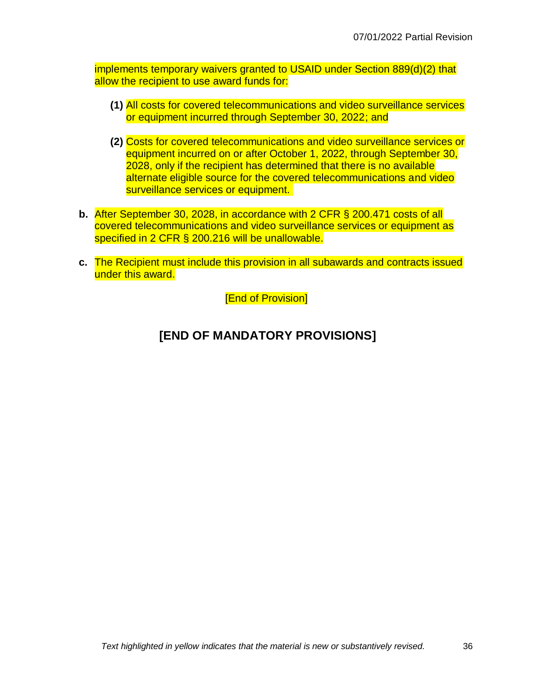implements temporary waivers granted to USAID under Section 889(d)(2) that allow the recipient to use award funds for:

- **(1)** All costs for covered telecommunications and video surveillance services or equipment incurred through September 30, 2022; and
- **(2)** Costs for covered telecommunications and video surveillance services or equipment incurred on or after October 1, 2022, through September 30, 2028, only if the recipient has determined that there is no available alternate eligible source for the covered telecommunications and video surveillance services or equipment.
- **b.** After September 30, 2028, in accordance with 2 CFR § 200.471 costs of all covered telecommunications and video surveillance services or equipment as specified in 2 CFR § 200.216 will be unallowable.
- **c.** The Recipient must include this provision in all subawards and contracts issued under this award.

[End of Provision]

## **[END OF MANDATORY PROVISIONS]**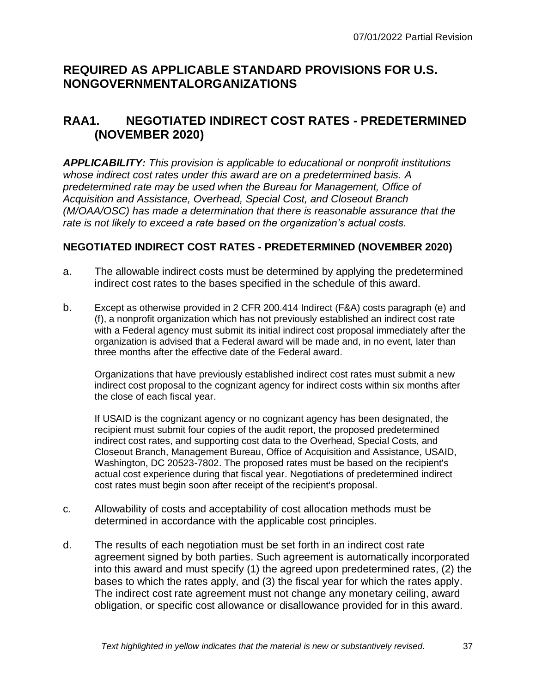## **REQUIRED AS APPLICABLE STANDARD PROVISIONS FOR U.S. NONGOVERNMENTALORGANIZATIONS**

# **RAA1. NEGOTIATED INDIRECT COST RATES - PREDETERMINED (NOVEMBER 2020)**

*APPLICABILITY: This provision is applicable to educational or nonprofit institutions whose indirect cost rates under this award are on a predetermined basis. A predetermined rate may be used when the Bureau for Management, Office of Acquisition and Assistance, Overhead, Special Cost, and Closeout Branch (M/OAA/OSC) has made a determination that there is reasonable assurance that the rate is not likely to exceed a rate based on the organization's actual costs.*

#### **NEGOTIATED INDIRECT COST RATES - PREDETERMINED (NOVEMBER 2020)**

- a. The allowable indirect costs must be determined by applying the predetermined indirect cost rates to the bases specified in the schedule of this award.
- b. Except as otherwise provided in 2 CFR 200.414 Indirect (F&A) costs paragraph (e) and (f), a nonprofit organization which has not previously established an indirect cost rate with a Federal agency must submit its initial indirect cost proposal immediately after the organization is advised that a Federal award will be made and, in no event, later than three months after the effective date of the Federal award.

Organizations that have previously established indirect cost rates must submit a new indirect cost proposal to the cognizant agency for indirect costs within six months after the close of each fiscal year.

If USAID is the cognizant agency or no cognizant agency has been designated, the recipient must submit four copies of the audit report, the proposed predetermined indirect cost rates, and supporting cost data to the Overhead, Special Costs, and Closeout Branch, Management Bureau, Office of Acquisition and Assistance, USAID, Washington, DC 20523-7802. The proposed rates must be based on the recipient's actual cost experience during that fiscal year. Negotiations of predetermined indirect cost rates must begin soon after receipt of the recipient's proposal.

- c. Allowability of costs and acceptability of cost allocation methods must be determined in accordance with the applicable cost principles.
- d. The results of each negotiation must be set forth in an indirect cost rate agreement signed by both parties. Such agreement is automatically incorporated into this award and must specify (1) the agreed upon predetermined rates, (2) the bases to which the rates apply, and (3) the fiscal year for which the rates apply. The indirect cost rate agreement must not change any monetary ceiling, award obligation, or specific cost allowance or disallowance provided for in this award.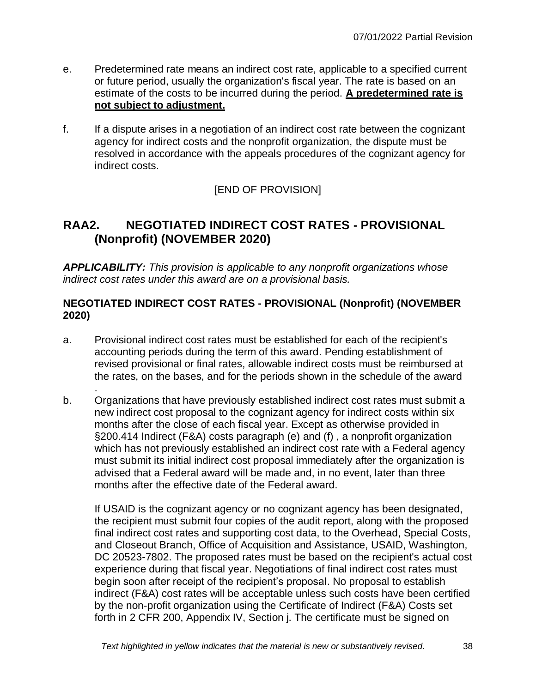- e. Predetermined rate means an indirect cost rate, applicable to a specified current or future period, usually the organization's fiscal year. The rate is based on an estimate of the costs to be incurred during the period. **A predetermined rate is not subject to adjustment.**
- f. If a dispute arises in a negotiation of an indirect cost rate between the cognizant agency for indirect costs and the nonprofit organization, the dispute must be resolved in accordance with the appeals procedures of the cognizant agency for indirect costs.

# **RAA2. NEGOTIATED INDIRECT COST RATES - PROVISIONAL (Nonprofit) (NOVEMBER 2020)**

*APPLICABILITY: This provision is applicable to any nonprofit organizations whose indirect cost rates under this award are on a provisional basis.*

#### **NEGOTIATED INDIRECT COST RATES - PROVISIONAL (Nonprofit) (NOVEMBER 2020)**

a. Provisional indirect cost rates must be established for each of the recipient's accounting periods during the term of this award. Pending establishment of revised provisional or final rates, allowable indirect costs must be reimbursed at the rates, on the bases, and for the periods shown in the schedule of the award

.

b. Organizations that have previously established indirect cost rates must submit a new indirect cost proposal to the cognizant agency for indirect costs within six months after the close of each fiscal year. Except as otherwise provided in §200.414 Indirect (F&A) costs paragraph (e) and (f) , a nonprofit organization which has not previously established an indirect cost rate with a Federal agency must submit its initial indirect cost proposal immediately after the organization is advised that a Federal award will be made and, in no event, later than three months after the effective date of the Federal award.

If USAID is the cognizant agency or no cognizant agency has been designated, the recipient must submit four copies of the audit report, along with the proposed final indirect cost rates and supporting cost data, to the Overhead, Special Costs, and Closeout Branch, Office of Acquisition and Assistance, USAID, Washington, DC 20523-7802. The proposed rates must be based on the recipient's actual cost experience during that fiscal year. Negotiations of final indirect cost rates must begin soon after receipt of the recipient's proposal. No proposal to establish indirect (F&A) cost rates will be acceptable unless such costs have been certified by the non-profit organization using the Certificate of Indirect (F&A) Costs set forth in 2 CFR 200, Appendix IV, Section j. The certificate must be signed on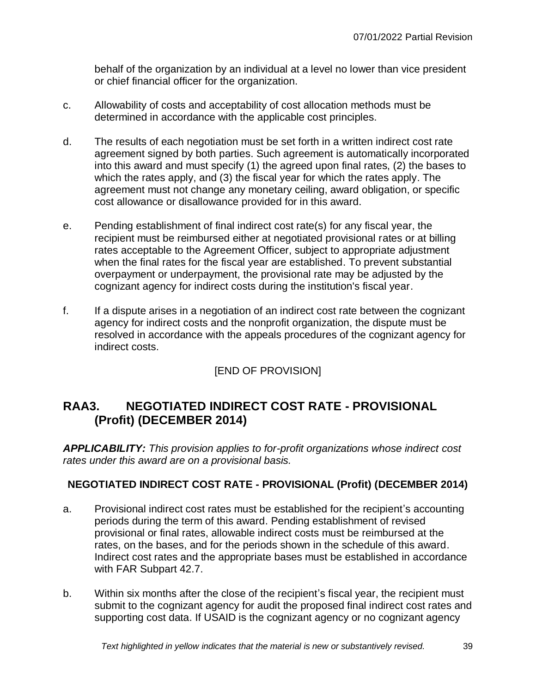behalf of the organization by an individual at a level no lower than vice president or chief financial officer for the organization.

- c. Allowability of costs and acceptability of cost allocation methods must be determined in accordance with the applicable cost principles.
- d. The results of each negotiation must be set forth in a written indirect cost rate agreement signed by both parties. Such agreement is automatically incorporated into this award and must specify (1) the agreed upon final rates, (2) the bases to which the rates apply, and (3) the fiscal year for which the rates apply. The agreement must not change any monetary ceiling, award obligation, or specific cost allowance or disallowance provided for in this award.
- e. Pending establishment of final indirect cost rate(s) for any fiscal year, the recipient must be reimbursed either at negotiated provisional rates or at billing rates acceptable to the Agreement Officer, subject to appropriate adjustment when the final rates for the fiscal year are established. To prevent substantial overpayment or underpayment, the provisional rate may be adjusted by the cognizant agency for indirect costs during the institution's fiscal year.
- f. If a dispute arises in a negotiation of an indirect cost rate between the cognizant agency for indirect costs and the nonprofit organization, the dispute must be resolved in accordance with the appeals procedures of the cognizant agency for indirect costs.

# [END OF PROVISION]

# **RAA3. NEGOTIATED INDIRECT COST RATE - PROVISIONAL (Profit) (DECEMBER 2014)**

*APPLICABILITY: This provision applies to for-profit organizations whose indirect cost rates under this award are on a provisional basis.*

### **NEGOTIATED INDIRECT COST RATE - PROVISIONAL (Profit) (DECEMBER 2014)**

- a. Provisional indirect cost rates must be established for the recipient's accounting periods during the term of this award. Pending establishment of revised provisional or final rates, allowable indirect costs must be reimbursed at the rates, on the bases, and for the periods shown in the schedule of this award. Indirect cost rates and the appropriate bases must be established in accordance with FAR Subpart 42.7.
- b. Within six months after the close of the recipient's fiscal year, the recipient must submit to the cognizant agency for audit the proposed final indirect cost rates and supporting cost data. If USAID is the cognizant agency or no cognizant agency

*Text highlighted in yellow indicates that the material is new or substantively revised.* 39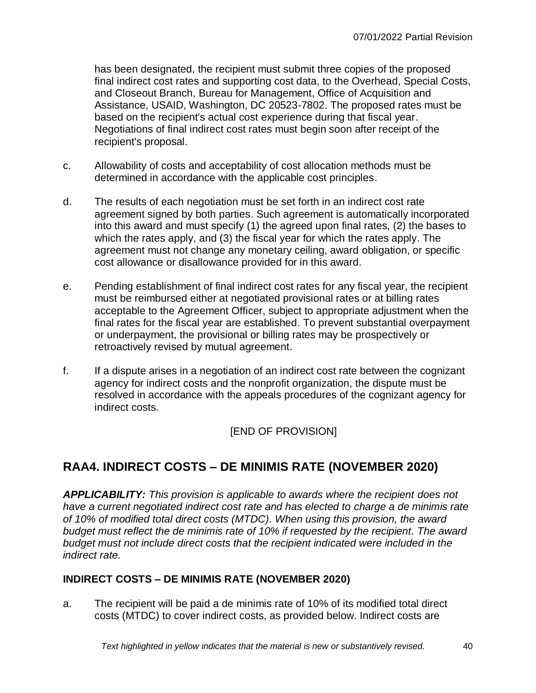has been designated, the recipient must submit three copies of the proposed final indirect cost rates and supporting cost data, to the Overhead, Special Costs, and Closeout Branch, Bureau for Management, Office of Acquisition and Assistance, USAID, Washington, DC 20523-7802. The proposed rates must be based on the recipient's actual cost experience during that fiscal year. Negotiations of final indirect cost rates must begin soon after receipt of the recipient's proposal.

- c. Allowability of costs and acceptability of cost allocation methods must be determined in accordance with the applicable cost principles.
- d. The results of each negotiation must be set forth in an indirect cost rate agreement signed by both parties. Such agreement is automatically incorporated into this award and must specify (1) the agreed upon final rates, (2) the bases to which the rates apply, and (3) the fiscal year for which the rates apply. The agreement must not change any monetary ceiling, award obligation, or specific cost allowance or disallowance provided for in this award.
- e. Pending establishment of final indirect cost rates for any fiscal year, the recipient must be reimbursed either at negotiated provisional rates or at billing rates acceptable to the Agreement Officer, subject to appropriate adjustment when the final rates for the fiscal year are established. To prevent substantial overpayment or underpayment, the provisional or billing rates may be prospectively or retroactively revised by mutual agreement.
- f. If a dispute arises in a negotiation of an indirect cost rate between the cognizant agency for indirect costs and the nonprofit organization, the dispute must be resolved in accordance with the appeals procedures of the cognizant agency for indirect costs.

[END OF PROVISION]

# **RAA4. INDIRECT COSTS – DE MINIMIS RATE (NOVEMBER 2020)**

*APPLICABILITY: This provision is applicable to awards where the recipient does not have a current negotiated indirect cost rate and has elected to charge a de minimis rate of 10% of modified total direct costs (MTDC). When using this provision, the award budget must reflect the de minimis rate of 10% if requested by the recipient. The award budget must not include direct costs that the recipient indicated were included in the indirect rate.*

### **INDIRECT COSTS – DE MINIMIS RATE (NOVEMBER 2020)**

a. The recipient will be paid a de minimis rate of 10% of its modified total direct costs (MTDC) to cover indirect costs, as provided below. Indirect costs are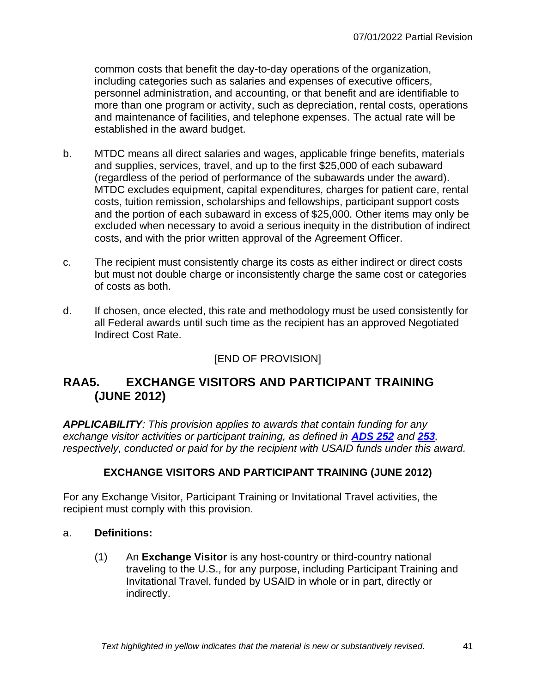common costs that benefit the day-to-day operations of the organization, including categories such as salaries and expenses of executive officers, personnel administration, and accounting, or that benefit and are identifiable to more than one program or activity, such as depreciation, rental costs, operations and maintenance of facilities, and telephone expenses. The actual rate will be established in the award budget.

- b. MTDC means all direct salaries and wages, applicable fringe benefits, materials and supplies, services, travel, and up to the first \$25,000 of each subaward (regardless of the period of performance of the subawards under the award). MTDC excludes equipment, capital expenditures, charges for patient care, rental costs, tuition remission, scholarships and fellowships, participant support costs and the portion of each subaward in excess of \$25,000. Other items may only be excluded when necessary to avoid a serious inequity in the distribution of indirect costs, and with the prior written approval of the Agreement Officer.
- c. The recipient must consistently charge its costs as either indirect or direct costs but must not double charge or inconsistently charge the same cost or categories of costs as both.
- d. If chosen, once elected, this rate and methodology must be used consistently for all Federal awards until such time as the recipient has an approved Negotiated Indirect Cost Rate.

# [END OF PROVISION]

# **RAA5. EXCHANGE VISITORS AND PARTICIPANT TRAINING (JUNE 2012)**

*APPLICABILITY: This provision applies to awards that contain funding for any exchange visitor activities or participant training, as defined in [ADS 252](http://www.usaid.gov/ads/policy/200/252) and [253](http://www.usaid.gov/ads/policy/200/253), respectively, conducted or paid for by the recipient with USAID funds under this award.* 

### **EXCHANGE VISITORS AND PARTICIPANT TRAINING (JUNE 2012)**

For any Exchange Visitor, Participant Training or Invitational Travel activities, the recipient must comply with this provision.

#### a. **Definitions:**

(1) An **Exchange Visitor** is any host-country or third-country national traveling to the U.S., for any purpose, including Participant Training and Invitational Travel, funded by USAID in whole or in part, directly or indirectly.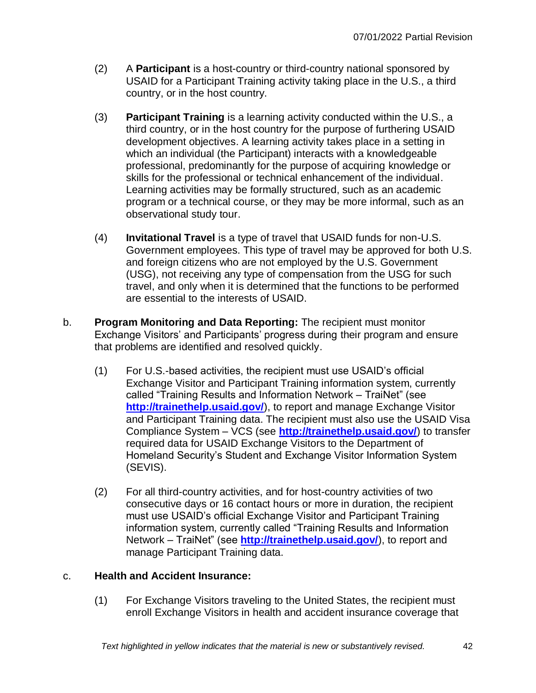- (2) A **Participant** is a host-country or third-country national sponsored by USAID for a Participant Training activity taking place in the U.S., a third country, or in the host country.
- (3) **Participant Training** is a learning activity conducted within the U.S., a third country, or in the host country for the purpose of furthering USAID development objectives. A learning activity takes place in a setting in which an individual (the Participant) interacts with a knowledgeable professional, predominantly for the purpose of acquiring knowledge or skills for the professional or technical enhancement of the individual. Learning activities may be formally structured, such as an academic program or a technical course, or they may be more informal, such as an observational study tour.
- (4) **Invitational Travel** is a type of travel that USAID funds for non-U.S. Government employees. This type of travel may be approved for both U.S. and foreign citizens who are not employed by the U.S. Government (USG), not receiving any type of compensation from the USG for such travel, and only when it is determined that the functions to be performed are essential to the interests of USAID.
- b. **Program Monitoring and Data Reporting:** The recipient must monitor Exchange Visitors' and Participants' progress during their program and ensure that problems are identified and resolved quickly.
	- (1) For U.S.-based activities, the recipient must use USAID's official Exchange Visitor and Participant Training information system, currently called "Training Results and Information Network – TraiNet" (see **<http://trainethelp.usaid.gov/>**), to report and manage Exchange Visitor and Participant Training data. The recipient must also use the USAID Visa Compliance System – VCS (see **<http://trainethelp.usaid.gov/>**) to transfer required data for USAID Exchange Visitors to the Department of Homeland Security's Student and Exchange Visitor Information System (SEVIS).
	- (2) For all third-country activities, and for host-country activities of two consecutive days or 16 contact hours or more in duration, the recipient must use USAID's official Exchange Visitor and Participant Training information system, currently called "Training Results and Information Network – TraiNet" (see **<http://trainethelp.usaid.gov/>**), to report and manage Participant Training data.

### c. **Health and Accident Insurance:**

(1) For Exchange Visitors traveling to the United States, the recipient must enroll Exchange Visitors in health and accident insurance coverage that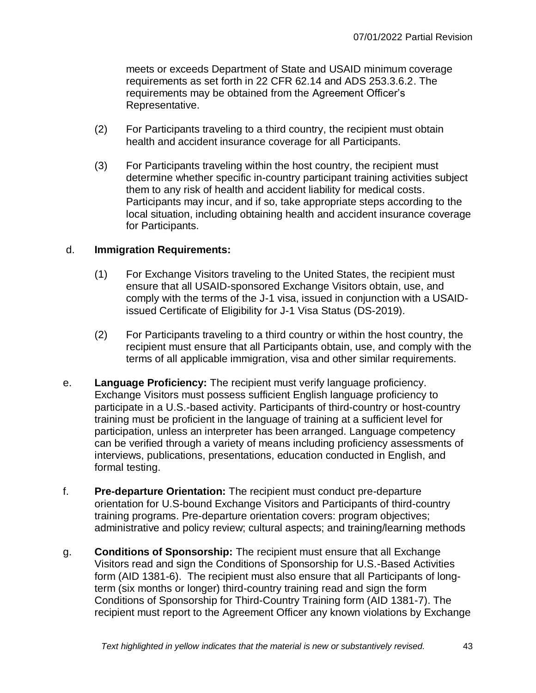meets or exceeds Department of State and USAID minimum coverage requirements as set forth in 22 CFR 62.14 and ADS 253.3.6.2. The requirements may be obtained from the Agreement Officer's Representative.

- (2) For Participants traveling to a third country, the recipient must obtain health and accident insurance coverage for all Participants.
- (3) For Participants traveling within the host country, the recipient must determine whether specific in-country participant training activities subject them to any risk of health and accident liability for medical costs. Participants may incur, and if so, take appropriate steps according to the local situation, including obtaining health and accident insurance coverage for Participants.

### d. **Immigration Requirements:**

- (1) For Exchange Visitors traveling to the United States, the recipient must ensure that all USAID-sponsored Exchange Visitors obtain, use, and comply with the terms of the J-1 visa, issued in conjunction with a USAIDissued Certificate of Eligibility for J-1 Visa Status (DS-2019).
- (2) For Participants traveling to a third country or within the host country, the recipient must ensure that all Participants obtain, use, and comply with the terms of all applicable immigration, visa and other similar requirements.
- e. **Language Proficiency:** The recipient must verify language proficiency. Exchange Visitors must possess sufficient English language proficiency to participate in a U.S.-based activity. Participants of third-country or host-country training must be proficient in the language of training at a sufficient level for participation, unless an interpreter has been arranged. Language competency can be verified through a variety of means including proficiency assessments of interviews, publications, presentations, education conducted in English, and formal testing.
- f. **Pre-departure Orientation:** The recipient must conduct pre-departure orientation for U.S-bound Exchange Visitors and Participants of third-country training programs. Pre-departure orientation covers: program objectives; administrative and policy review; cultural aspects; and training/learning methods
- g. **Conditions of Sponsorship:** The recipient must ensure that all Exchange Visitors read and sign the Conditions of Sponsorship for U.S.-Based Activities form (AID 1381-6). The recipient must also ensure that all Participants of longterm (six months or longer) third-country training read and sign the form Conditions of Sponsorship for Third-Country Training form (AID 1381-7). The recipient must report to the Agreement Officer any known violations by Exchange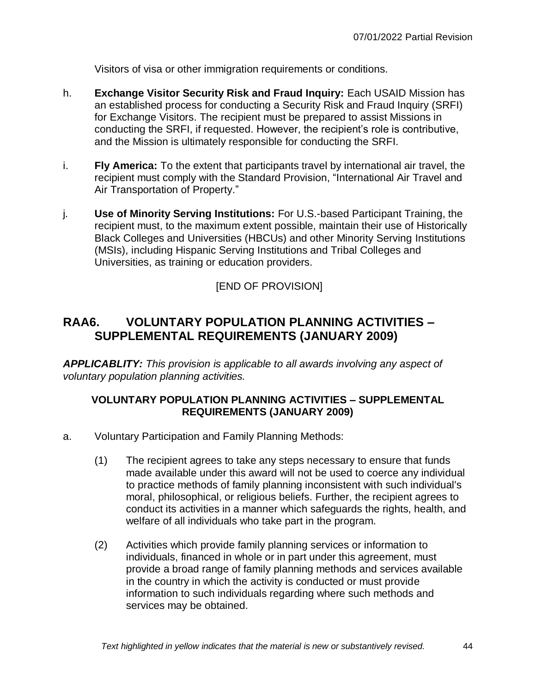Visitors of visa or other immigration requirements or conditions.

- h. **Exchange Visitor Security Risk and Fraud Inquiry:** Each USAID Mission has an established process for conducting a Security Risk and Fraud Inquiry (SRFI) for Exchange Visitors. The recipient must be prepared to assist Missions in conducting the SRFI, if requested. However, the recipient's role is contributive, and the Mission is ultimately responsible for conducting the SRFI.
- i. **Fly America:** To the extent that participants travel by international air travel, the recipient must comply with the Standard Provision, "International Air Travel and Air Transportation of Property."
- j. **Use of Minority Serving Institutions:** For U.S.-based Participant Training, the recipient must, to the maximum extent possible, maintain their use of Historically Black Colleges and Universities (HBCUs) and other Minority Serving Institutions (MSIs), including Hispanic Serving Institutions and Tribal Colleges and Universities, as training or education providers.

# [END OF PROVISION]

# **RAA6. VOLUNTARY POPULATION PLANNING ACTIVITIES – SUPPLEMENTAL REQUIREMENTS (JANUARY 2009)**

*APPLICABLITY: This provision is applicable to all awards involving any aspect of voluntary population planning activities.*

#### **VOLUNTARY POPULATION PLANNING ACTIVITIES – SUPPLEMENTAL REQUIREMENTS (JANUARY 2009)**

- a. Voluntary Participation and Family Planning Methods:
	- (1) The recipient agrees to take any steps necessary to ensure that funds made available under this award will not be used to coerce any individual to practice methods of family planning inconsistent with such individual's moral, philosophical, or religious beliefs. Further, the recipient agrees to conduct its activities in a manner which safeguards the rights, health, and welfare of all individuals who take part in the program.
	- (2) Activities which provide family planning services or information to individuals, financed in whole or in part under this agreement, must provide a broad range of family planning methods and services available in the country in which the activity is conducted or must provide information to such individuals regarding where such methods and services may be obtained.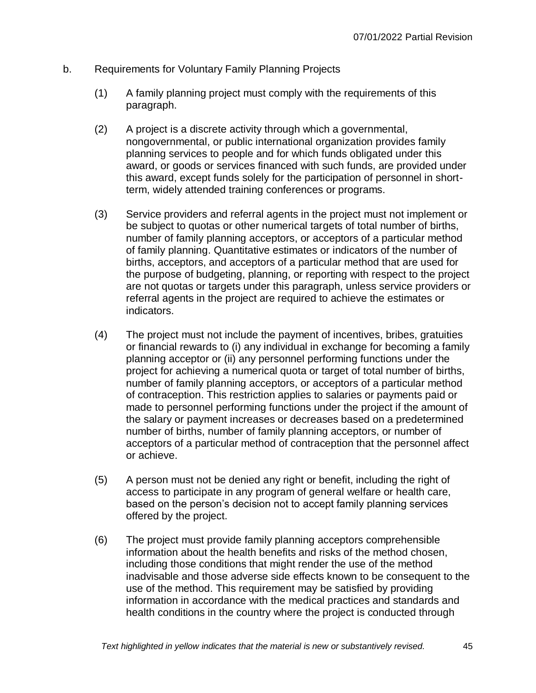- b. Requirements for Voluntary Family Planning Projects
	- (1) A family planning project must comply with the requirements of this paragraph.
	- (2) A project is a discrete activity through which a governmental, nongovernmental, or public international organization provides family planning services to people and for which funds obligated under this award, or goods or services financed with such funds, are provided under this award, except funds solely for the participation of personnel in shortterm, widely attended training conferences or programs.
	- (3) Service providers and referral agents in the project must not implement or be subject to quotas or other numerical targets of total number of births, number of family planning acceptors, or acceptors of a particular method of family planning. Quantitative estimates or indicators of the number of births, acceptors, and acceptors of a particular method that are used for the purpose of budgeting, planning, or reporting with respect to the project are not quotas or targets under this paragraph, unless service providers or referral agents in the project are required to achieve the estimates or indicators.
	- (4) The project must not include the payment of incentives, bribes, gratuities or financial rewards to (i) any individual in exchange for becoming a family planning acceptor or (ii) any personnel performing functions under the project for achieving a numerical quota or target of total number of births, number of family planning acceptors, or acceptors of a particular method of contraception. This restriction applies to salaries or payments paid or made to personnel performing functions under the project if the amount of the salary or payment increases or decreases based on a predetermined number of births, number of family planning acceptors, or number of acceptors of a particular method of contraception that the personnel affect or achieve.
	- (5) A person must not be denied any right or benefit, including the right of access to participate in any program of general welfare or health care, based on the person's decision not to accept family planning services offered by the project.
	- (6) The project must provide family planning acceptors comprehensible information about the health benefits and risks of the method chosen, including those conditions that might render the use of the method inadvisable and those adverse side effects known to be consequent to the use of the method. This requirement may be satisfied by providing information in accordance with the medical practices and standards and health conditions in the country where the project is conducted through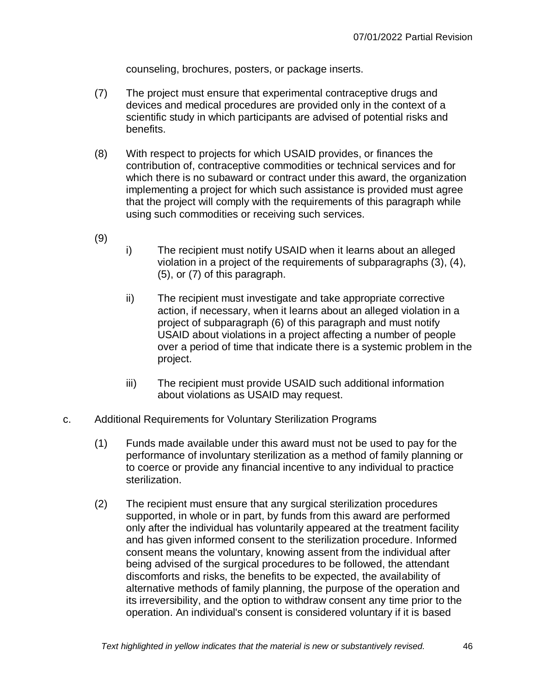counseling, brochures, posters, or package inserts.

- (7) The project must ensure that experimental contraceptive drugs and devices and medical procedures are provided only in the context of a scientific study in which participants are advised of potential risks and benefits.
- (8) With respect to projects for which USAID provides, or finances the contribution of, contraceptive commodities or technical services and for which there is no subaward or contract under this award, the organization implementing a project for which such assistance is provided must agree that the project will comply with the requirements of this paragraph while using such commodities or receiving such services.
- (9)
- i) The recipient must notify USAID when it learns about an alleged violation in a project of the requirements of subparagraphs (3), (4), (5), or (7) of this paragraph.
- ii) The recipient must investigate and take appropriate corrective action, if necessary, when it learns about an alleged violation in a project of subparagraph (6) of this paragraph and must notify USAID about violations in a project affecting a number of people over a period of time that indicate there is a systemic problem in the project.
- iii) The recipient must provide USAID such additional information about violations as USAID may request.
- c. Additional Requirements for Voluntary Sterilization Programs
	- (1) Funds made available under this award must not be used to pay for the performance of involuntary sterilization as a method of family planning or to coerce or provide any financial incentive to any individual to practice sterilization.
	- (2) The recipient must ensure that any surgical sterilization procedures supported, in whole or in part, by funds from this award are performed only after the individual has voluntarily appeared at the treatment facility and has given informed consent to the sterilization procedure. Informed consent means the voluntary, knowing assent from the individual after being advised of the surgical procedures to be followed, the attendant discomforts and risks, the benefits to be expected, the availability of alternative methods of family planning, the purpose of the operation and its irreversibility, and the option to withdraw consent any time prior to the operation. An individual's consent is considered voluntary if it is based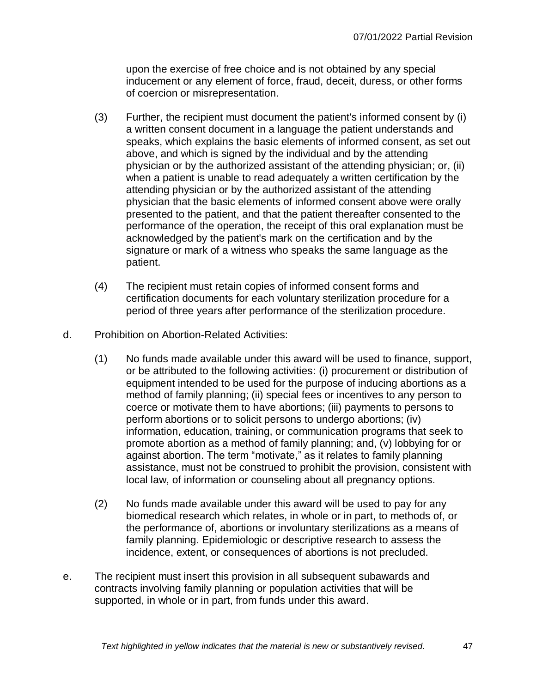upon the exercise of free choice and is not obtained by any special inducement or any element of force, fraud, deceit, duress, or other forms of coercion or misrepresentation.

- (3) Further, the recipient must document the patient's informed consent by (i) a written consent document in a language the patient understands and speaks, which explains the basic elements of informed consent, as set out above, and which is signed by the individual and by the attending physician or by the authorized assistant of the attending physician; or, (ii) when a patient is unable to read adequately a written certification by the attending physician or by the authorized assistant of the attending physician that the basic elements of informed consent above were orally presented to the patient, and that the patient thereafter consented to the performance of the operation, the receipt of this oral explanation must be acknowledged by the patient's mark on the certification and by the signature or mark of a witness who speaks the same language as the patient.
- (4) The recipient must retain copies of informed consent forms and certification documents for each voluntary sterilization procedure for a period of three years after performance of the sterilization procedure.
- d. Prohibition on Abortion-Related Activities:
	- (1) No funds made available under this award will be used to finance, support, or be attributed to the following activities: (i) procurement or distribution of equipment intended to be used for the purpose of inducing abortions as a method of family planning; (ii) special fees or incentives to any person to coerce or motivate them to have abortions; (iii) payments to persons to perform abortions or to solicit persons to undergo abortions; (iv) information, education, training, or communication programs that seek to promote abortion as a method of family planning; and, (v) lobbying for or against abortion. The term "motivate," as it relates to family planning assistance, must not be construed to prohibit the provision, consistent with local law, of information or counseling about all pregnancy options.
	- (2) No funds made available under this award will be used to pay for any biomedical research which relates, in whole or in part, to methods of, or the performance of, abortions or involuntary sterilizations as a means of family planning. Epidemiologic or descriptive research to assess the incidence, extent, or consequences of abortions is not precluded.
- e. The recipient must insert this provision in all subsequent subawards and contracts involving family planning or population activities that will be supported, in whole or in part, from funds under this award.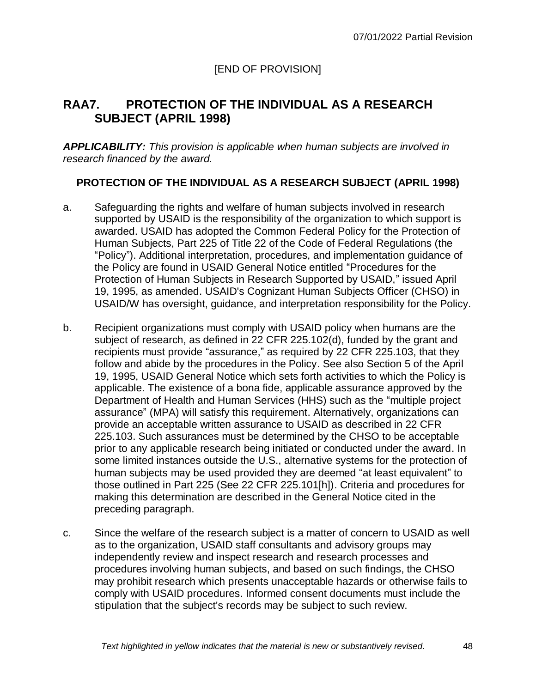# **RAA7. PROTECTION OF THE INDIVIDUAL AS A RESEARCH SUBJECT (APRIL 1998)**

*APPLICABILITY: This provision is applicable when human subjects are involved in research financed by the award.*

#### **PROTECTION OF THE INDIVIDUAL AS A RESEARCH SUBJECT (APRIL 1998)**

- a. Safeguarding the rights and welfare of human subjects involved in research supported by USAID is the responsibility of the organization to which support is awarded. USAID has adopted the Common Federal Policy for the Protection of Human Subjects, Part 225 of Title 22 of the Code of Federal Regulations (the "Policy"). Additional interpretation, procedures, and implementation guidance of the Policy are found in USAID General Notice entitled "Procedures for the Protection of Human Subjects in Research Supported by USAID," issued April 19, 1995, as amended. USAID's Cognizant Human Subjects Officer (CHSO) in USAID/W has oversight, guidance, and interpretation responsibility for the Policy.
- b. Recipient organizations must comply with USAID policy when humans are the subject of research, as defined in 22 CFR 225.102(d), funded by the grant and recipients must provide "assurance," as required by 22 CFR 225.103, that they follow and abide by the procedures in the Policy. See also Section 5 of the April 19, 1995, USAID General Notice which sets forth activities to which the Policy is applicable. The existence of a bona fide, applicable assurance approved by the Department of Health and Human Services (HHS) such as the "multiple project assurance" (MPA) will satisfy this requirement. Alternatively, organizations can provide an acceptable written assurance to USAID as described in 22 CFR 225.103. Such assurances must be determined by the CHSO to be acceptable prior to any applicable research being initiated or conducted under the award. In some limited instances outside the U.S., alternative systems for the protection of human subjects may be used provided they are deemed "at least equivalent" to those outlined in Part 225 (See 22 CFR 225.101[h]). Criteria and procedures for making this determination are described in the General Notice cited in the preceding paragraph.
- c. Since the welfare of the research subject is a matter of concern to USAID as well as to the organization, USAID staff consultants and advisory groups may independently review and inspect research and research processes and procedures involving human subjects, and based on such findings, the CHSO may prohibit research which presents unacceptable hazards or otherwise fails to comply with USAID procedures. Informed consent documents must include the stipulation that the subject's records may be subject to such review.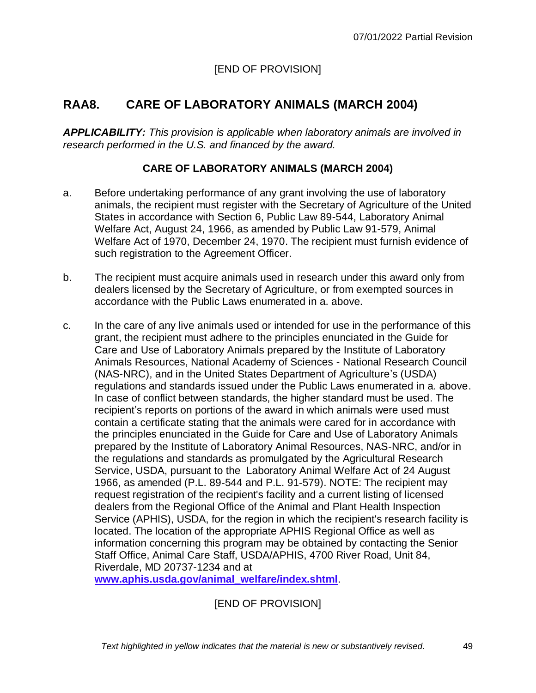# **RAA8. CARE OF LABORATORY ANIMALS (MARCH 2004)**

*APPLICABILITY: This provision is applicable when laboratory animals are involved in research performed in the U.S. and financed by the award.*

### **CARE OF LABORATORY ANIMALS (MARCH 2004)**

- a. Before undertaking performance of any grant involving the use of laboratory animals, the recipient must register with the Secretary of Agriculture of the United States in accordance with Section 6, Public Law 89-544, Laboratory Animal Welfare Act, August 24, 1966, as amended by Public Law 91-579, Animal Welfare Act of 1970, December 24, 1970. The recipient must furnish evidence of such registration to the Agreement Officer.
- b. The recipient must acquire animals used in research under this award only from dealers licensed by the Secretary of Agriculture, or from exempted sources in accordance with the Public Laws enumerated in a. above.
- c. In the care of any live animals used or intended for use in the performance of this grant, the recipient must adhere to the principles enunciated in the Guide for Care and Use of Laboratory Animals prepared by the Institute of Laboratory Animals Resources, National Academy of Sciences - National Research Council (NAS-NRC), and in the United States Department of Agriculture's (USDA) regulations and standards issued under the Public Laws enumerated in a. above. In case of conflict between standards, the higher standard must be used. The recipient's reports on portions of the award in which animals were used must contain a certificate stating that the animals were cared for in accordance with the principles enunciated in the Guide for Care and Use of Laboratory Animals prepared by the Institute of Laboratory Animal Resources, NAS-NRC, and/or in the regulations and standards as promulgated by the Agricultural Research Service, USDA, pursuant to the Laboratory Animal Welfare Act of 24 August 1966, as amended (P.L. 89-544 and P.L. 91-579). NOTE: The recipient may request registration of the recipient's facility and a current listing of licensed dealers from the Regional Office of the Animal and Plant Health Inspection Service (APHIS), USDA, for the region in which the recipient's research facility is located. The location of the appropriate APHIS Regional Office as well as information concerning this program may be obtained by contacting the Senior Staff Office, Animal Care Staff, USDA/APHIS, 4700 River Road, Unit 84, Riverdale, MD 20737-1234 and at

**[www.aphis.usda.gov/animal\\_welfare/index.shtml](http://www.aphis.usda.gov/animal_welfare/index.shtml)**.

[END OF PROVISION]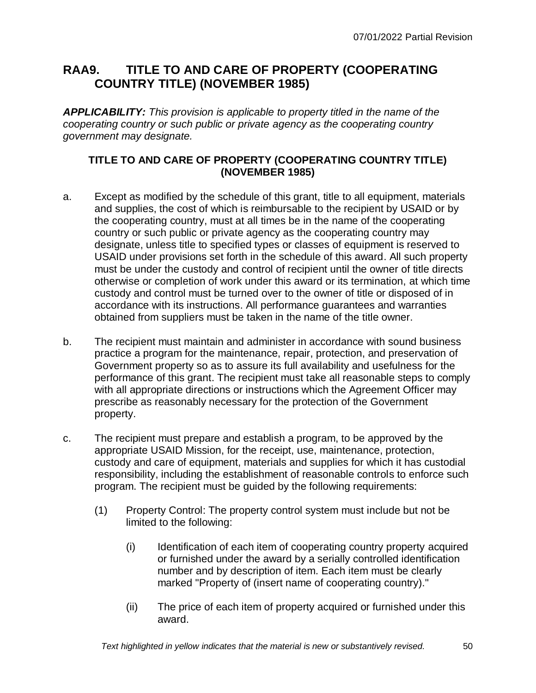# **RAA9. TITLE TO AND CARE OF PROPERTY (COOPERATING COUNTRY TITLE) (NOVEMBER 1985)**

*APPLICABILITY: This provision is applicable to property titled in the name of the cooperating country or such public or private agency as the cooperating country government may designate.*

### **TITLE TO AND CARE OF PROPERTY (COOPERATING COUNTRY TITLE) (NOVEMBER 1985)**

- a. Except as modified by the schedule of this grant, title to all equipment, materials and supplies, the cost of which is reimbursable to the recipient by USAID or by the cooperating country, must at all times be in the name of the cooperating country or such public or private agency as the cooperating country may designate, unless title to specified types or classes of equipment is reserved to USAID under provisions set forth in the schedule of this award. All such property must be under the custody and control of recipient until the owner of title directs otherwise or completion of work under this award or its termination, at which time custody and control must be turned over to the owner of title or disposed of in accordance with its instructions. All performance guarantees and warranties obtained from suppliers must be taken in the name of the title owner.
- b. The recipient must maintain and administer in accordance with sound business practice a program for the maintenance, repair, protection, and preservation of Government property so as to assure its full availability and usefulness for the performance of this grant. The recipient must take all reasonable steps to comply with all appropriate directions or instructions which the Agreement Officer may prescribe as reasonably necessary for the protection of the Government property.
- c. The recipient must prepare and establish a program, to be approved by the appropriate USAID Mission, for the receipt, use, maintenance, protection, custody and care of equipment, materials and supplies for which it has custodial responsibility, including the establishment of reasonable controls to enforce such program. The recipient must be guided by the following requirements:
	- (1) Property Control: The property control system must include but not be limited to the following:
		- (i) Identification of each item of cooperating country property acquired or furnished under the award by a serially controlled identification number and by description of item. Each item must be clearly marked "Property of (insert name of cooperating country)."
		- (ii) The price of each item of property acquired or furnished under this award.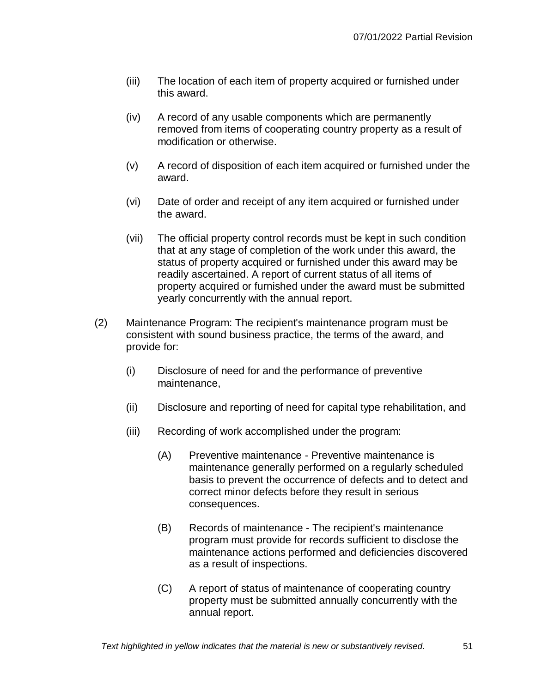- (iii) The location of each item of property acquired or furnished under this award.
- (iv) A record of any usable components which are permanently removed from items of cooperating country property as a result of modification or otherwise.
- (v) A record of disposition of each item acquired or furnished under the award.
- (vi) Date of order and receipt of any item acquired or furnished under the award.
- (vii) The official property control records must be kept in such condition that at any stage of completion of the work under this award, the status of property acquired or furnished under this award may be readily ascertained. A report of current status of all items of property acquired or furnished under the award must be submitted yearly concurrently with the annual report.
- (2) Maintenance Program: The recipient's maintenance program must be consistent with sound business practice, the terms of the award, and provide for:
	- (i) Disclosure of need for and the performance of preventive maintenance,
	- (ii) Disclosure and reporting of need for capital type rehabilitation, and
	- (iii) Recording of work accomplished under the program:
		- (A) Preventive maintenance Preventive maintenance is maintenance generally performed on a regularly scheduled basis to prevent the occurrence of defects and to detect and correct minor defects before they result in serious consequences.
		- (B) Records of maintenance The recipient's maintenance program must provide for records sufficient to disclose the maintenance actions performed and deficiencies discovered as a result of inspections.
		- (C) A report of status of maintenance of cooperating country property must be submitted annually concurrently with the annual report.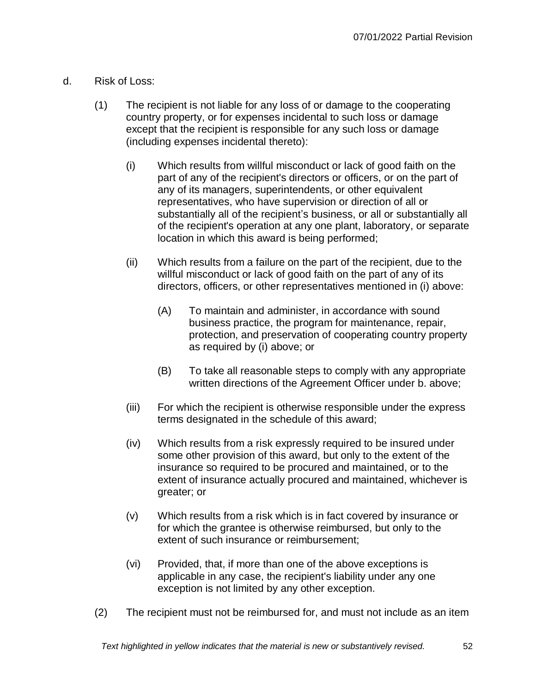- d. Risk of Loss:
	- (1) The recipient is not liable for any loss of or damage to the cooperating country property, or for expenses incidental to such loss or damage except that the recipient is responsible for any such loss or damage (including expenses incidental thereto):
		- (i) Which results from willful misconduct or lack of good faith on the part of any of the recipient's directors or officers, or on the part of any of its managers, superintendents, or other equivalent representatives, who have supervision or direction of all or substantially all of the recipient's business, or all or substantially all of the recipient's operation at any one plant, laboratory, or separate location in which this award is being performed;
		- (ii) Which results from a failure on the part of the recipient, due to the willful misconduct or lack of good faith on the part of any of its directors, officers, or other representatives mentioned in (i) above:
			- (A) To maintain and administer, in accordance with sound business practice, the program for maintenance, repair, protection, and preservation of cooperating country property as required by (i) above; or
			- (B) To take all reasonable steps to comply with any appropriate written directions of the Agreement Officer under b. above;
		- (iii) For which the recipient is otherwise responsible under the express terms designated in the schedule of this award;
		- (iv) Which results from a risk expressly required to be insured under some other provision of this award, but only to the extent of the insurance so required to be procured and maintained, or to the extent of insurance actually procured and maintained, whichever is greater; or
		- (v) Which results from a risk which is in fact covered by insurance or for which the grantee is otherwise reimbursed, but only to the extent of such insurance or reimbursement;
		- (vi) Provided, that, if more than one of the above exceptions is applicable in any case, the recipient's liability under any one exception is not limited by any other exception.
	- (2) The recipient must not be reimbursed for, and must not include as an item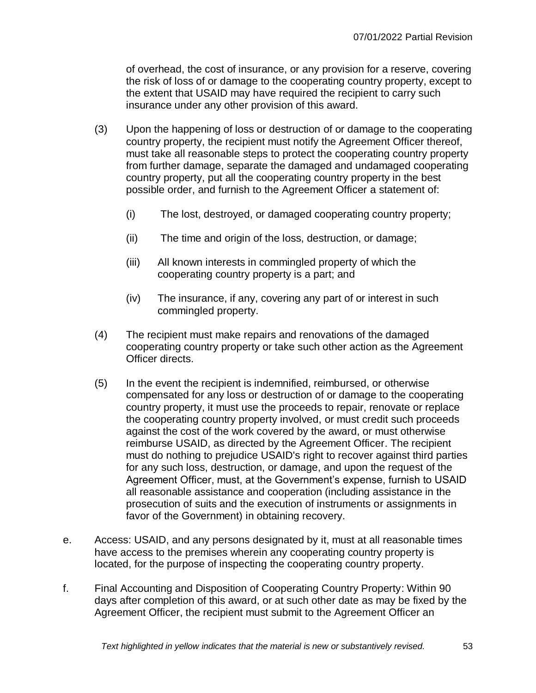of overhead, the cost of insurance, or any provision for a reserve, covering the risk of loss of or damage to the cooperating country property, except to the extent that USAID may have required the recipient to carry such insurance under any other provision of this award.

- (3) Upon the happening of loss or destruction of or damage to the cooperating country property, the recipient must notify the Agreement Officer thereof, must take all reasonable steps to protect the cooperating country property from further damage, separate the damaged and undamaged cooperating country property, put all the cooperating country property in the best possible order, and furnish to the Agreement Officer a statement of:
	- (i) The lost, destroyed, or damaged cooperating country property;
	- (ii) The time and origin of the loss, destruction, or damage;
	- (iii) All known interests in commingled property of which the cooperating country property is a part; and
	- (iv) The insurance, if any, covering any part of or interest in such commingled property.
- (4) The recipient must make repairs and renovations of the damaged cooperating country property or take such other action as the Agreement Officer directs.
- (5) In the event the recipient is indemnified, reimbursed, or otherwise compensated for any loss or destruction of or damage to the cooperating country property, it must use the proceeds to repair, renovate or replace the cooperating country property involved, or must credit such proceeds against the cost of the work covered by the award, or must otherwise reimburse USAID, as directed by the Agreement Officer. The recipient must do nothing to prejudice USAID's right to recover against third parties for any such loss, destruction, or damage, and upon the request of the Agreement Officer, must, at the Government's expense, furnish to USAID all reasonable assistance and cooperation (including assistance in the prosecution of suits and the execution of instruments or assignments in favor of the Government) in obtaining recovery.
- e. Access: USAID, and any persons designated by it, must at all reasonable times have access to the premises wherein any cooperating country property is located, for the purpose of inspecting the cooperating country property.
- f. Final Accounting and Disposition of Cooperating Country Property: Within 90 days after completion of this award, or at such other date as may be fixed by the Agreement Officer, the recipient must submit to the Agreement Officer an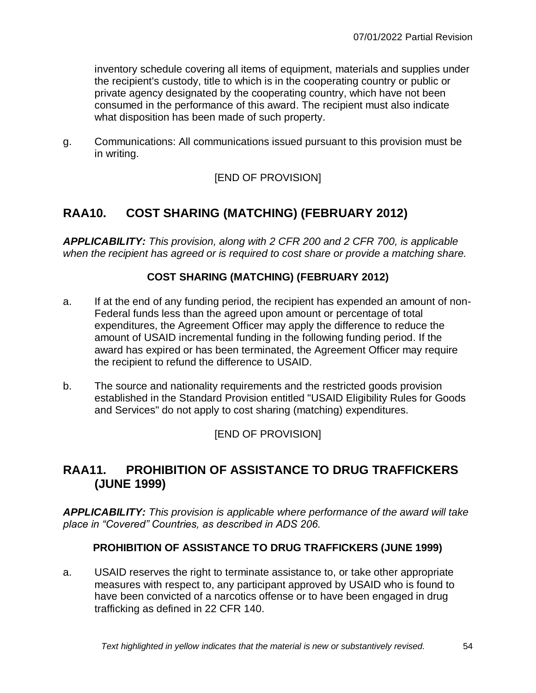inventory schedule covering all items of equipment, materials and supplies under the recipient's custody, title to which is in the cooperating country or public or private agency designated by the cooperating country, which have not been consumed in the performance of this award. The recipient must also indicate what disposition has been made of such property.

g. Communications: All communications issued pursuant to this provision must be in writing.

[END OF PROVISION]

# **RAA10. COST SHARING (MATCHING) (FEBRUARY 2012)**

*APPLICABILITY: This provision, along with 2 CFR 200 and 2 CFR 700, is applicable when the recipient has agreed or is required to cost share or provide a matching share.*

### **COST SHARING (MATCHING) (FEBRUARY 2012)**

- a. If at the end of any funding period, the recipient has expended an amount of non-Federal funds less than the agreed upon amount or percentage of total expenditures, the Agreement Officer may apply the difference to reduce the amount of USAID incremental funding in the following funding period. If the award has expired or has been terminated, the Agreement Officer may require the recipient to refund the difference to USAID.
- b. The source and nationality requirements and the restricted goods provision established in the Standard Provision entitled "USAID Eligibility Rules for Goods and Services" do not apply to cost sharing (matching) expenditures.

[END OF PROVISION]

# **RAA11. PROHIBITION OF ASSISTANCE TO DRUG TRAFFICKERS (JUNE 1999)**

*APPLICABILITY: This provision is applicable where performance of the award will take place in "Covered" Countries, as described in ADS 206.*

### **PROHIBITION OF ASSISTANCE TO DRUG TRAFFICKERS (JUNE 1999)**

a. USAID reserves the right to terminate assistance to, or take other appropriate measures with respect to, any participant approved by USAID who is found to have been convicted of a narcotics offense or to have been engaged in drug trafficking as defined in 22 CFR 140.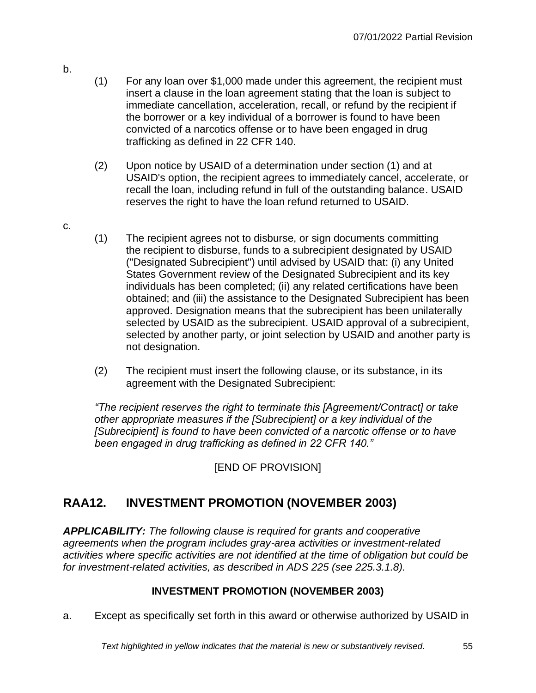- (1) For any loan over \$1,000 made under this agreement, the recipient must insert a clause in the loan agreement stating that the loan is subject to immediate cancellation, acceleration, recall, or refund by the recipient if the borrower or a key individual of a borrower is found to have been convicted of a narcotics offense or to have been engaged in drug trafficking as defined in 22 CFR 140.
	- (2) Upon notice by USAID of a determination under section (1) and at USAID's option, the recipient agrees to immediately cancel, accelerate, or recall the loan, including refund in full of the outstanding balance. USAID reserves the right to have the loan refund returned to USAID.
- c.

b.

- (1) The recipient agrees not to disburse, or sign documents committing the recipient to disburse, funds to a subrecipient designated by USAID ("Designated Subrecipient") until advised by USAID that: (i) any United States Government review of the Designated Subrecipient and its key individuals has been completed; (ii) any related certifications have been obtained; and (iii) the assistance to the Designated Subrecipient has been approved. Designation means that the subrecipient has been unilaterally selected by USAID as the subrecipient. USAID approval of a subrecipient, selected by another party, or joint selection by USAID and another party is not designation.
- (2) The recipient must insert the following clause, or its substance, in its agreement with the Designated Subrecipient:

*"The recipient reserves the right to terminate this [Agreement/Contract] or take other appropriate measures if the [Subrecipient] or a key individual of the [Subrecipient] is found to have been convicted of a narcotic offense or to have been engaged in drug trafficking as defined in 22 CFR 140."*

# [END OF PROVISION]

# **RAA12. INVESTMENT PROMOTION (NOVEMBER 2003)**

*APPLICABILITY: The following clause is required for grants and cooperative agreements when the program includes gray-area activities or investment-related activities where specific activities are not identified at the time of obligation but could be for investment-related activities, as described in ADS 225 (see 225.3.1.8).*

### **INVESTMENT PROMOTION (NOVEMBER 2003)**

a. Except as specifically set forth in this award or otherwise authorized by USAID in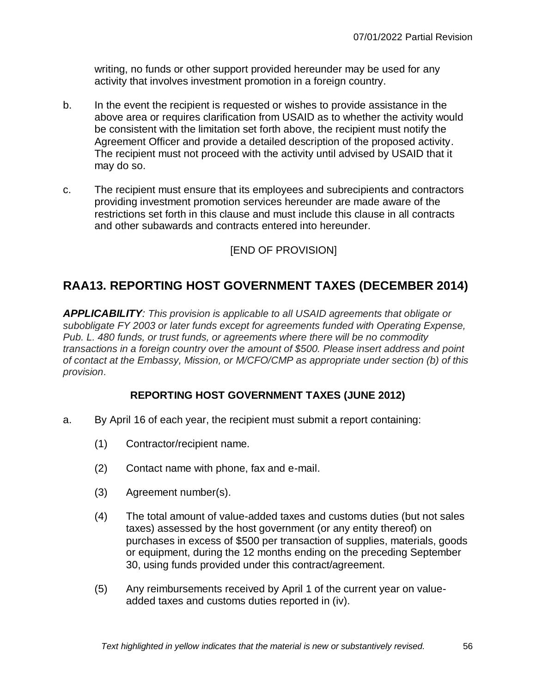writing, no funds or other support provided hereunder may be used for any activity that involves investment promotion in a foreign country.

- b. In the event the recipient is requested or wishes to provide assistance in the above area or requires clarification from USAID as to whether the activity would be consistent with the limitation set forth above, the recipient must notify the Agreement Officer and provide a detailed description of the proposed activity. The recipient must not proceed with the activity until advised by USAID that it may do so.
- c. The recipient must ensure that its employees and subrecipients and contractors providing investment promotion services hereunder are made aware of the restrictions set forth in this clause and must include this clause in all contracts and other subawards and contracts entered into hereunder.

[END OF PROVISION]

# **RAA13. REPORTING HOST GOVERNMENT TAXES (DECEMBER 2014)**

*APPLICABILITY: This provision is applicable to all USAID agreements that obligate or subobligate FY 2003 or later funds except for agreements funded with Operating Expense, Pub. L. 480 funds, or trust funds, or agreements where there will be no commodity transactions in a foreign country over the amount of \$500. Please insert address and point of contact at the Embassy, Mission, or M/CFO/CMP as appropriate under section (b) of this provision*.

### **REPORTING HOST GOVERNMENT TAXES (JUNE 2012)**

- a. By April 16 of each year, the recipient must submit a report containing:
	- (1) Contractor/recipient name.
	- (2) Contact name with phone, fax and e-mail.
	- (3) Agreement number(s).
	- (4) The total amount of value-added taxes and customs duties (but not sales taxes) assessed by the host government (or any entity thereof) on purchases in excess of \$500 per transaction of supplies, materials, goods or equipment, during the 12 months ending on the preceding September 30, using funds provided under this contract/agreement.
	- (5) Any reimbursements received by April 1 of the current year on valueadded taxes and customs duties reported in (iv).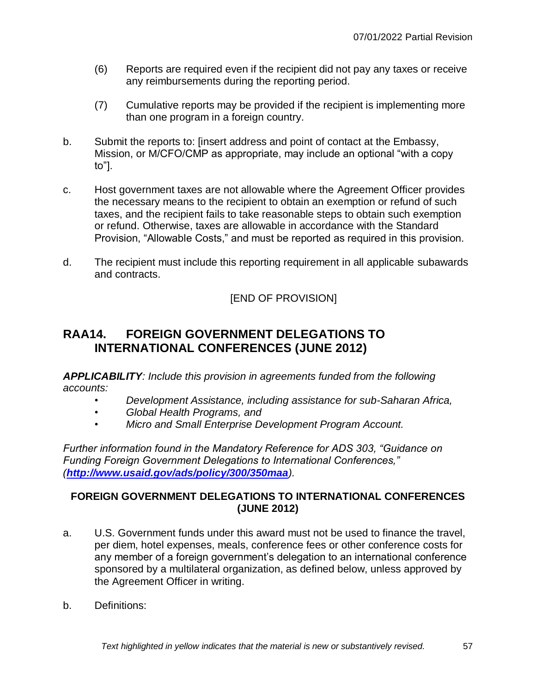- (6) Reports are required even if the recipient did not pay any taxes or receive any reimbursements during the reporting period.
- (7) Cumulative reports may be provided if the recipient is implementing more than one program in a foreign country.
- b. Submit the reports to: [insert address and point of contact at the Embassy, Mission, or M/CFO/CMP as appropriate, may include an optional "with a copy to"].
- c. Host government taxes are not allowable where the Agreement Officer provides the necessary means to the recipient to obtain an exemption or refund of such taxes, and the recipient fails to take reasonable steps to obtain such exemption or refund. Otherwise, taxes are allowable in accordance with the Standard Provision, "Allowable Costs," and must be reported as required in this provision.
- d. The recipient must include this reporting requirement in all applicable subawards and contracts.

# **RAA14. FOREIGN GOVERNMENT DELEGATIONS TO INTERNATIONAL CONFERENCES (JUNE 2012)**

*APPLICABILITY: Include this provision in agreements funded from the following accounts:*

- *• Development Assistance, including assistance for sub-Saharan Africa,*
- *• Global Health Programs, and*
- *• Micro and Small Enterprise Development Program Account.*

*Further information found in the Mandatory Reference for ADS 303, "Guidance on Funding Foreign Government Delegations to International Conferences," (<http://www.usaid.gov/ads/policy/300/350maa>).*

### **FOREIGN GOVERNMENT DELEGATIONS TO INTERNATIONAL CONFERENCES (JUNE 2012)**

- a. U.S. Government funds under this award must not be used to finance the travel, per diem, hotel expenses, meals, conference fees or other conference costs for any member of a foreign government's delegation to an international conference sponsored by a multilateral organization, as defined below, unless approved by the Agreement Officer in writing.
- b. Definitions: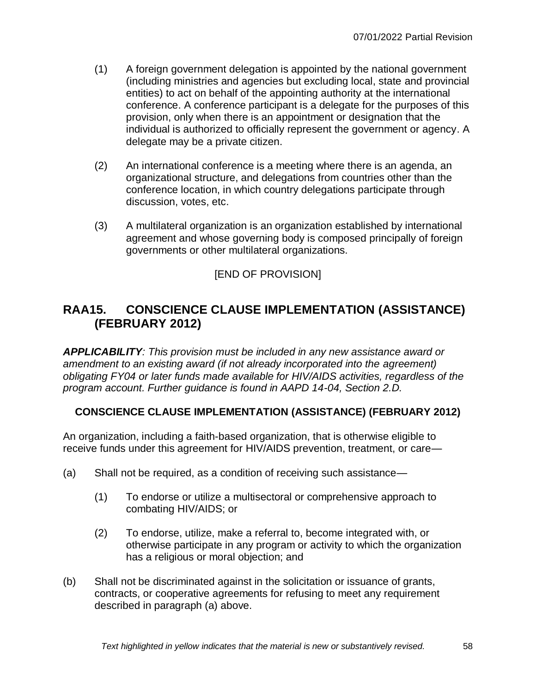- (1) A foreign government delegation is appointed by the national government (including ministries and agencies but excluding local, state and provincial entities) to act on behalf of the appointing authority at the international conference. A conference participant is a delegate for the purposes of this provision, only when there is an appointment or designation that the individual is authorized to officially represent the government or agency. A delegate may be a private citizen.
- (2) An international conference is a meeting where there is an agenda, an organizational structure, and delegations from countries other than the conference location, in which country delegations participate through discussion, votes, etc.
- (3) A multilateral organization is an organization established by international agreement and whose governing body is composed principally of foreign governments or other multilateral organizations.

# **RAA15. CONSCIENCE CLAUSE IMPLEMENTATION (ASSISTANCE) (FEBRUARY 2012)**

*APPLICABILITY: This provision must be included in any new assistance award or amendment to an existing award (if not already incorporated into the agreement) obligating FY04 or later funds made available for HIV/AIDS activities, regardless of the program account. Further guidance is found in AAPD 14-04, Section 2.D.*

### **CONSCIENCE CLAUSE IMPLEMENTATION (ASSISTANCE) (FEBRUARY 2012)**

An organization, including a faith-based organization, that is otherwise eligible to receive funds under this agreement for HIV/AIDS prevention, treatment, or care—

- (a) Shall not be required, as a condition of receiving such assistance—
	- (1) To endorse or utilize a multisectoral or comprehensive approach to combating HIV/AIDS; or
	- (2) To endorse, utilize, make a referral to, become integrated with, or otherwise participate in any program or activity to which the organization has a religious or moral objection; and
- (b) Shall not be discriminated against in the solicitation or issuance of grants, contracts, or cooperative agreements for refusing to meet any requirement described in paragraph (a) above.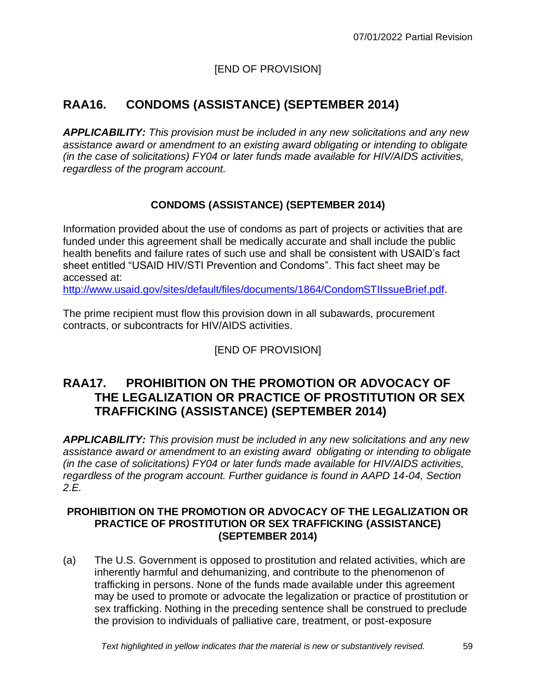# **RAA16. CONDOMS (ASSISTANCE) (SEPTEMBER 2014)**

*APPLICABILITY: This provision must be included in any new solicitations and any new assistance award or amendment to an existing award obligating or intending to obligate (in the case of solicitations) FY04 or later funds made available for HIV/AIDS activities, regardless of the program account.* 

### **CONDOMS (ASSISTANCE) (SEPTEMBER 2014)**

Information provided about the use of condoms as part of projects or activities that are funded under this agreement shall be medically accurate and shall include the public health benefits and failure rates of such use and shall be consistent with USAID's fact sheet entitled "USAID HIV/STI Prevention and Condoms". This fact sheet may be accessed at:

[http://www.usaid.gov/sites/default/files/documents/1864/CondomSTIIssueBrief.pdf.](http://www.usaid.gov/sites/default/files/documents/1864/CondomSTIIssueBrief.pdf)

The prime recipient must flow this provision down in all subawards, procurement contracts, or subcontracts for HIV/AIDS activities.

### [END OF PROVISION]

# **RAA17. PROHIBITION ON THE PROMOTION OR ADVOCACY OF THE LEGALIZATION OR PRACTICE OF PROSTITUTION OR SEX TRAFFICKING (ASSISTANCE) (SEPTEMBER 2014)**

*APPLICABILITY: This provision must be included in any new solicitations and any new assistance award or amendment to an existing award obligating or intending to obligate (in the case of solicitations) FY04 or later funds made available for HIV/AIDS activities, regardless of the program account. Further guidance is found in AAPD 14-04, Section 2.E.*

#### **PROHIBITION ON THE PROMOTION OR ADVOCACY OF THE LEGALIZATION OR PRACTICE OF PROSTITUTION OR SEX TRAFFICKING (ASSISTANCE) (SEPTEMBER 2014)**

(a) The U.S. Government is opposed to prostitution and related activities, which are inherently harmful and dehumanizing, and contribute to the phenomenon of trafficking in persons. None of the funds made available under this agreement may be used to promote or advocate the legalization or practice of prostitution or sex trafficking. Nothing in the preceding sentence shall be construed to preclude the provision to individuals of palliative care, treatment, or post-exposure

*Text highlighted in yellow indicates that the material is new or substantively revised.* 59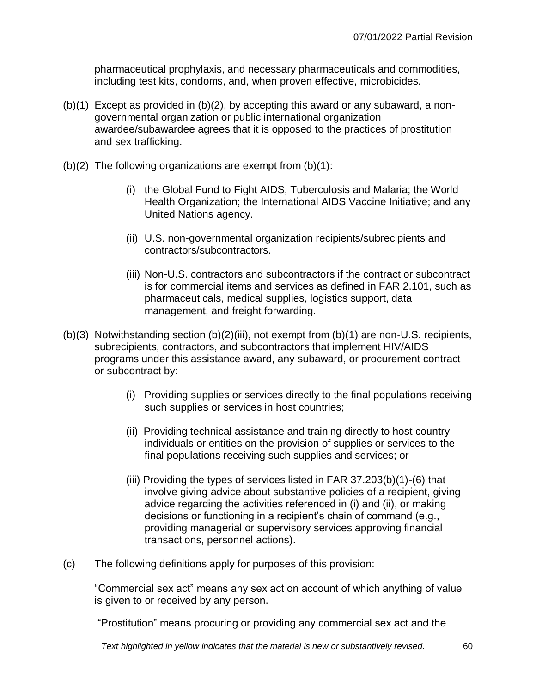pharmaceutical prophylaxis, and necessary pharmaceuticals and commodities, including test kits, condoms, and, when proven effective, microbicides.

- (b)(1) Except as provided in (b)(2), by accepting this award or any subaward, a nongovernmental organization or public international organization awardee/subawardee agrees that it is opposed to the practices of prostitution and sex trafficking.
- (b)(2) The following organizations are exempt from  $(b)(1)$ :
	- (i) the Global Fund to Fight AIDS, Tuberculosis and Malaria; the World Health Organization; the International AIDS Vaccine Initiative; and any United Nations agency.
	- (ii) U.S. non-governmental organization recipients/subrecipients and contractors/subcontractors.
	- (iii) Non-U.S. contractors and subcontractors if the contract or subcontract is for commercial items and services as defined in FAR 2.101, such as pharmaceuticals, medical supplies, logistics support, data management, and freight forwarding.
- (b)(3) Notwithstanding section (b)(2)(iii), not exempt from (b)(1) are non-U.S. recipients, subrecipients, contractors, and subcontractors that implement HIV/AIDS programs under this assistance award, any subaward, or procurement contract or subcontract by:
	- (i) Providing supplies or services directly to the final populations receiving such supplies or services in host countries;
	- (ii) Providing technical assistance and training directly to host country individuals or entities on the provision of supplies or services to the final populations receiving such supplies and services; or
	- (iii) Providing the types of services listed in FAR 37.203(b)(1)-(6) that involve giving advice about substantive policies of a recipient, giving advice regarding the activities referenced in (i) and (ii), or making decisions or functioning in a recipient's chain of command (e.g., providing managerial or supervisory services approving financial transactions, personnel actions).
- (c) The following definitions apply for purposes of this provision:

"Commercial sex act" means any sex act on account of which anything of value is given to or received by any person.

"Prostitution" means procuring or providing any commercial sex act and the

*Text highlighted in yellow indicates that the material is new or substantively revised.* 60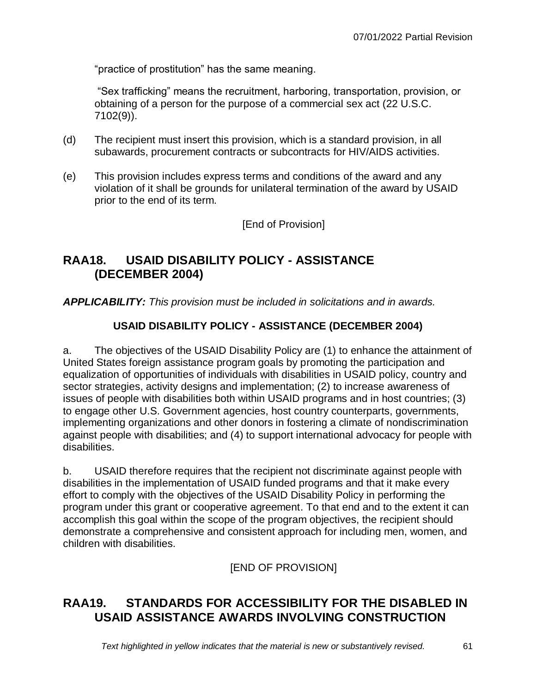"practice of prostitution" has the same meaning.

"Sex trafficking" means the recruitment, harboring, transportation, provision, or obtaining of a person for the purpose of a commercial sex act (22 U.S.C. 7102(9)).

- (d) The recipient must insert this provision, which is a standard provision, in all subawards, procurement contracts or subcontracts for HIV/AIDS activities.
- (e) This provision includes express terms and conditions of the award and any violation of it shall be grounds for unilateral termination of the award by USAID prior to the end of its term.

[End of Provision]

# **RAA18. USAID DISABILITY POLICY - ASSISTANCE (DECEMBER 2004)**

*APPLICABILITY: This provision must be included in solicitations and in awards.*

### **USAID DISABILITY POLICY - ASSISTANCE (DECEMBER 2004)**

a. The objectives of the USAID Disability Policy are (1) to enhance the attainment of United States foreign assistance program goals by promoting the participation and equalization of opportunities of individuals with disabilities in USAID policy, country and sector strategies, activity designs and implementation; (2) to increase awareness of issues of people with disabilities both within USAID programs and in host countries; (3) to engage other U.S. Government agencies, host country counterparts, governments, implementing organizations and other donors in fostering a climate of nondiscrimination against people with disabilities; and (4) to support international advocacy for people with disabilities.

b. USAID therefore requires that the recipient not discriminate against people with disabilities in the implementation of USAID funded programs and that it make every effort to comply with the objectives of the USAID Disability Policy in performing the program under this grant or cooperative agreement. To that end and to the extent it can accomplish this goal within the scope of the program objectives, the recipient should demonstrate a comprehensive and consistent approach for including men, women, and children with disabilities.

[END OF PROVISION]

# **RAA19. STANDARDS FOR ACCESSIBILITY FOR THE DISABLED IN USAID ASSISTANCE AWARDS INVOLVING CONSTRUCTION**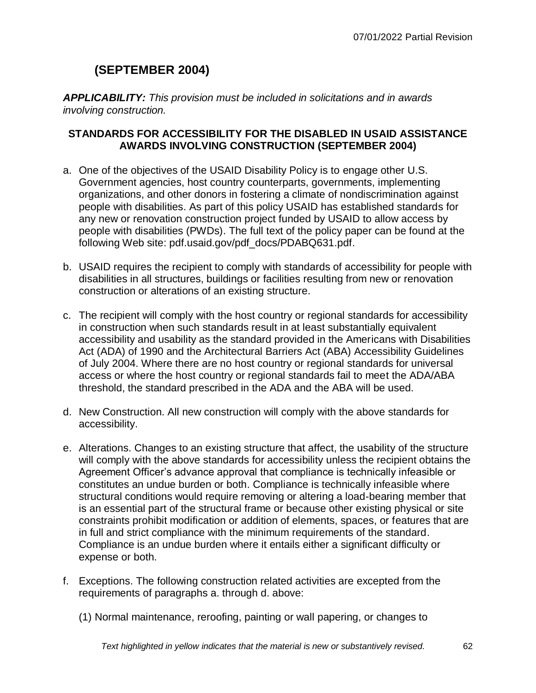# **(SEPTEMBER 2004)**

*APPLICABILITY: This provision must be included in solicitations and in awards involving construction.*

#### **STANDARDS FOR ACCESSIBILITY FOR THE DISABLED IN USAID ASSISTANCE AWARDS INVOLVING CONSTRUCTION (SEPTEMBER 2004)**

- a. One of the objectives of the USAID Disability Policy is to engage other U.S. Government agencies, host country counterparts, governments, implementing organizations, and other donors in fostering a climate of nondiscrimination against people with disabilities. As part of this policy USAID has established standards for any new or renovation construction project funded by USAID to allow access by people with disabilities (PWDs). The full text of the policy paper can be found at the following Web site: [pdf.usaid.gov/pdf\\_docs/PDABQ631.pdf.](http://pdf.usaid.gov/pdf_docs/PDABQ631.pdf)
- b. USAID requires the recipient to comply with standards of accessibility for people with disabilities in all structures, buildings or facilities resulting from new or renovation construction or alterations of an existing structure.
- c. The recipient will comply with the host country or regional standards for accessibility in construction when such standards result in at least substantially equivalent accessibility and usability as the standard provided in the Americans with Disabilities Act (ADA) of 1990 and the Architectural Barriers Act (ABA) Accessibility Guidelines of July 2004. Where there are no host country or regional standards for universal access or where the host country or regional standards fail to meet the ADA/ABA threshold, the standard prescribed in the ADA and the ABA will be used.
- d. New Construction. All new construction will comply with the above standards for accessibility.
- e. Alterations. Changes to an existing structure that affect, the usability of the structure will comply with the above standards for accessibility unless the recipient obtains the Agreement Officer's advance approval that compliance is technically infeasible or constitutes an undue burden or both. Compliance is technically infeasible where structural conditions would require removing or altering a load-bearing member that is an essential part of the structural frame or because other existing physical or site constraints prohibit modification or addition of elements, spaces, or features that are in full and strict compliance with the minimum requirements of the standard. Compliance is an undue burden where it entails either a significant difficulty or expense or both.
- f. Exceptions. The following construction related activities are excepted from the requirements of paragraphs a. through d. above:
	- (1) Normal maintenance, reroofing, painting or wall papering, or changes to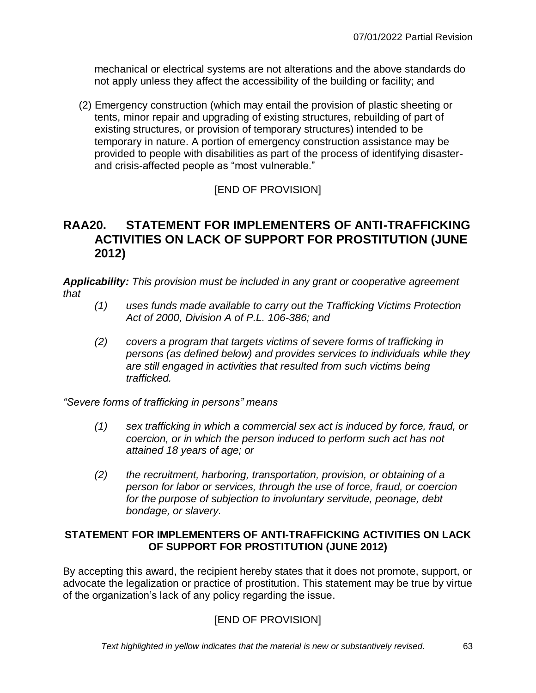mechanical or electrical systems are not alterations and the above standards do not apply unless they affect the accessibility of the building or facility; and

(2) Emergency construction (which may entail the provision of plastic sheeting or tents, minor repair and upgrading of existing structures, rebuilding of part of existing structures, or provision of temporary structures) intended to be temporary in nature. A portion of emergency construction assistance may be provided to people with disabilities as part of the process of identifying disasterand crisis-affected people as "most vulnerable."

### [END OF PROVISION]

### **RAA20. STATEMENT FOR IMPLEMENTERS OF ANTI-TRAFFICKING ACTIVITIES ON LACK OF SUPPORT FOR PROSTITUTION (JUNE 2012)**

*Applicability: This provision must be included in any grant or cooperative agreement that* 

- *(1) uses funds made available to carry out the Trafficking Victims Protection Act of 2000, Division A of P.L. 106-386; and*
- *(2) covers a program that targets victims of severe forms of trafficking in persons (as defined below) and provides services to individuals while they are still engaged in activities that resulted from such victims being trafficked.*

*"Severe forms of trafficking in persons" means*

- *(1) sex trafficking in which a commercial sex act is induced by force, fraud, or coercion, or in which the person induced to perform such act has not attained 18 years of age; or*
- *(2) the recruitment, harboring, transportation, provision, or obtaining of a person for labor or services, through the use of force, fraud, or coercion for the purpose of subjection to involuntary servitude, peonage, debt bondage, or slavery.*

#### **STATEMENT FOR IMPLEMENTERS OF ANTI-TRAFFICKING ACTIVITIES ON LACK OF SUPPORT FOR PROSTITUTION (JUNE 2012)**

By accepting this award, the recipient hereby states that it does not promote, support, or advocate the legalization or practice of prostitution. This statement may be true by virtue of the organization's lack of any policy regarding the issue.

### [END OF PROVISION]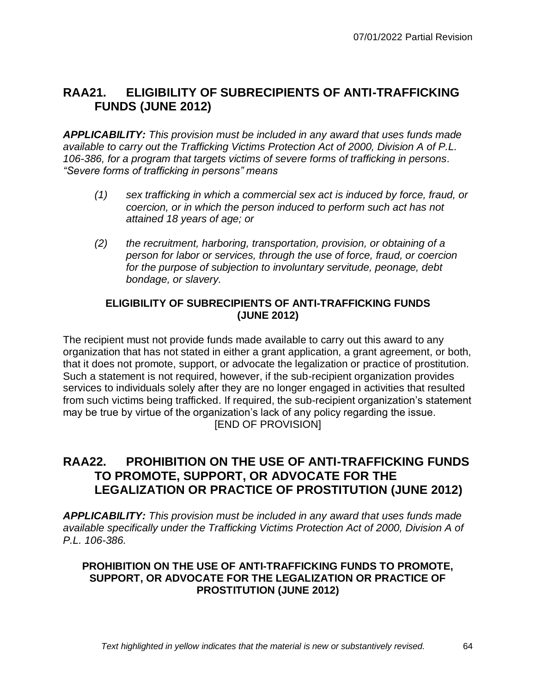# **RAA21. ELIGIBILITY OF SUBRECIPIENTS OF ANTI-TRAFFICKING FUNDS (JUNE 2012)**

*APPLICABILITY: This provision must be included in any award that uses funds made available to carry out the Trafficking Victims Protection Act of 2000, Division A of P.L. 106-386, for a program that targets victims of severe forms of trafficking in persons. "Severe forms of trafficking in persons" means*

- *(1) sex trafficking in which a commercial sex act is induced by force, fraud, or coercion, or in which the person induced to perform such act has not attained 18 years of age; or*
- *(2) the recruitment, harboring, transportation, provision, or obtaining of a person for labor or services, through the use of force, fraud, or coercion for the purpose of subjection to involuntary servitude, peonage, debt bondage, or slavery.*

#### **ELIGIBILITY OF SUBRECIPIENTS OF ANTI-TRAFFICKING FUNDS (JUNE 2012)**

The recipient must not provide funds made available to carry out this award to any organization that has not stated in either a grant application, a grant agreement, or both, that it does not promote, support, or advocate the legalization or practice of prostitution. Such a statement is not required, however, if the sub-recipient organization provides services to individuals solely after they are no longer engaged in activities that resulted from such victims being trafficked. If required, the sub-recipient organization's statement may be true by virtue of the organization's lack of any policy regarding the issue. [END OF PROVISION]

## **RAA22. PROHIBITION ON THE USE OF ANTI-TRAFFICKING FUNDS TO PROMOTE, SUPPORT, OR ADVOCATE FOR THE LEGALIZATION OR PRACTICE OF PROSTITUTION (JUNE 2012)**

*APPLICABILITY: This provision must be included in any award that uses funds made available specifically under the Trafficking Victims Protection Act of 2000, Division A of P.L. 106-386.*

#### **PROHIBITION ON THE USE OF ANTI-TRAFFICKING FUNDS TO PROMOTE, SUPPORT, OR ADVOCATE FOR THE LEGALIZATION OR PRACTICE OF PROSTITUTION (JUNE 2012)**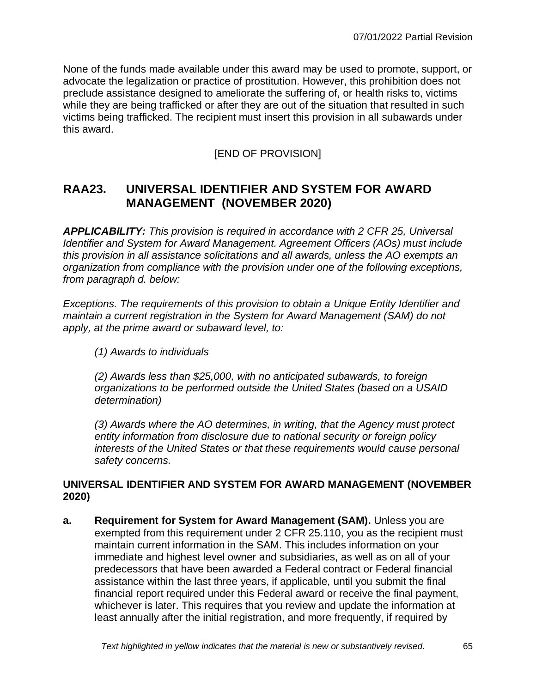None of the funds made available under this award may be used to promote, support, or advocate the legalization or practice of prostitution. However, this prohibition does not preclude assistance designed to ameliorate the suffering of, or health risks to, victims while they are being trafficked or after they are out of the situation that resulted in such victims being trafficked. The recipient must insert this provision in all subawards under this award.

### [END OF PROVISION]

# **RAA23. UNIVERSAL IDENTIFIER AND SYSTEM FOR AWARD MANAGEMENT (NOVEMBER 2020)**

*APPLICABILITY: This provision is required in accordance with 2 CFR 25, Universal Identifier and System for Award Management. Agreement Officers (AOs) must include this provision in all assistance solicitations and all awards, unless the AO exempts an organization from compliance with the provision under one of the following exceptions, from paragraph d. below:*

*Exceptions. The requirements of this provision to obtain a Unique Entity Identifier and maintain a current registration in the System for Award Management (SAM) do not apply, at the prime award or subaward level, to:*

*(1) Awards to individuals*

*(2) Awards less than \$25,000, with no anticipated subawards, to foreign organizations to be performed outside the United States (based on a USAID determination)*

*(3) Awards where the AO determines, in writing, that the Agency must protect entity information from disclosure due to national security or foreign policy interests of the United States or that these requirements would cause personal safety concerns.*

### **UNIVERSAL IDENTIFIER AND SYSTEM FOR AWARD MANAGEMENT (NOVEMBER 2020)**

**a. Requirement for System for Award Management (SAM).** Unless you are exempted from this requirement under 2 CFR 25.110, you as the recipient must maintain current information in the SAM. This includes information on your immediate and highest level owner and subsidiaries, as well as on all of your predecessors that have been awarded a Federal contract or Federal financial assistance within the last three years, if applicable, until you submit the final financial report required under this Federal award or receive the final payment, whichever is later. This requires that you review and update the information at least annually after the initial registration, and more frequently, if required by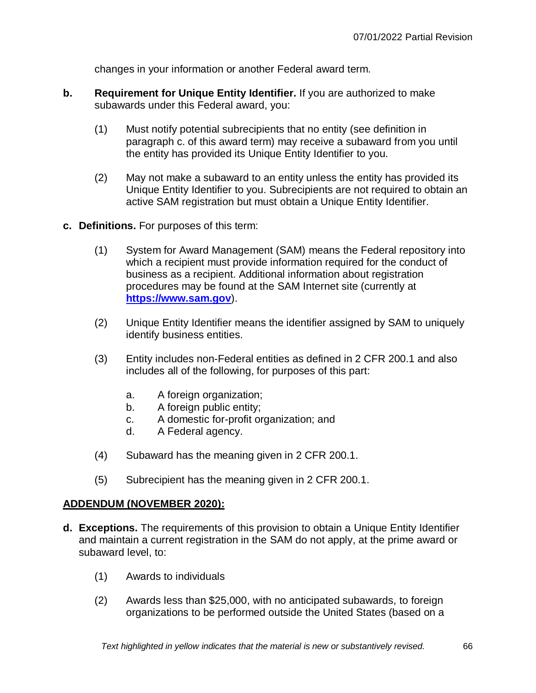changes in your information or another Federal award term.

- **b. Requirement for Unique Entity Identifier.** If you are authorized to make subawards under this Federal award, you:
	- (1) Must notify potential subrecipients that no entity (see definition in paragraph c. of this award term) may receive a subaward from you until the entity has provided its Unique Entity Identifier to you.
	- (2) May not make a subaward to an entity unless the entity has provided its Unique Entity Identifier to you. Subrecipients are not required to obtain an active SAM registration but must obtain a Unique Entity Identifier.
- **c. Definitions.** For purposes of this term:
	- (1) System for Award Management (SAM) means the Federal repository into which a recipient must provide information required for the conduct of business as a recipient. Additional information about registration procedures may be found at the SAM Internet site (currently at **[https://www.sam.gov](https://www.sam.gov/)**).
	- (2) Unique Entity Identifier means the identifier assigned by SAM to uniquely identify business entities.
	- (3) Entity includes non-Federal entities as defined in 2 CFR 200.1 and also includes all of the following, for purposes of this part:
		- a. A foreign organization;
		- b. A foreign public entity;
		- c. A domestic for-profit organization; and
		- d. A Federal agency.
	- (4) Subaward has the meaning given in 2 CFR 200.1.
	- (5) Subrecipient has the meaning given in 2 CFR 200.1.

#### **ADDENDUM (NOVEMBER 2020):**

- **d. Exceptions.** The requirements of this provision to obtain a Unique Entity Identifier and maintain a current registration in the SAM do not apply, at the prime award or subaward level, to:
	- (1) Awards to individuals
	- (2) Awards less than \$25,000, with no anticipated subawards, to foreign organizations to be performed outside the United States (based on a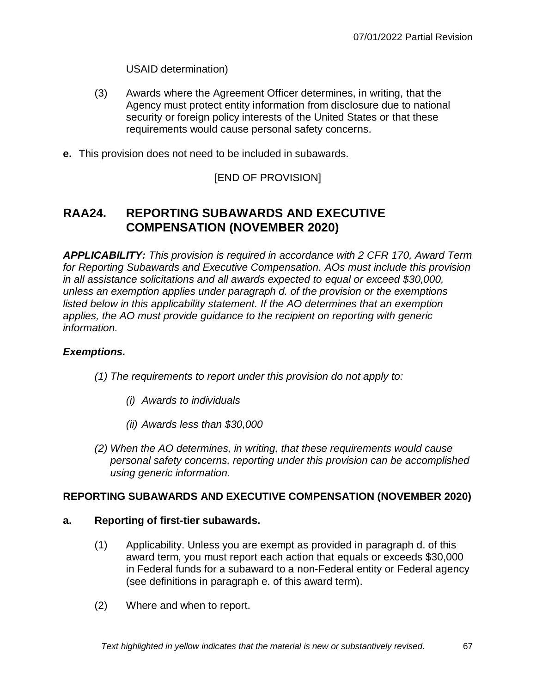USAID determination)

- (3) Awards where the Agreement Officer determines, in writing, that the Agency must protect entity information from disclosure due to national security or foreign policy interests of the United States or that these requirements would cause personal safety concerns.
- **e.** This provision does not need to be included in subawards.

### [END OF PROVISION]

# **RAA24. REPORTING SUBAWARDS AND EXECUTIVE COMPENSATION (NOVEMBER 2020)**

*APPLICABILITY: This provision is required in accordance with 2 CFR 170, Award Term for Reporting Subawards and Executive Compensation. AOs must include this provision in all assistance solicitations and all awards expected to equal or exceed \$30,000, unless an exemption applies under paragraph d. of the provision or the exemptions listed below in this applicability statement. If the AO determines that an exemption applies, the AO must provide guidance to the recipient on reporting with generic information.*

### *Exemptions.*

- *(1) The requirements to report under this provision do not apply to:*
	- *(i) Awards to individuals*
	- *(ii) Awards less than \$30,000*
- *(2) When the AO determines, in writing, that these requirements would cause personal safety concerns, reporting under this provision can be accomplished using generic information.*

#### **REPORTING SUBAWARDS AND EXECUTIVE COMPENSATION (NOVEMBER 2020)**

#### **a. Reporting of first-tier subawards.**

- (1) Applicability. Unless you are exempt as provided in paragraph d. of this award term, you must report each action that equals or exceeds \$30,000 in Federal funds for a subaward to a non-Federal entity or Federal agency (see definitions in paragraph e. of this award term).
- (2) Where and when to report.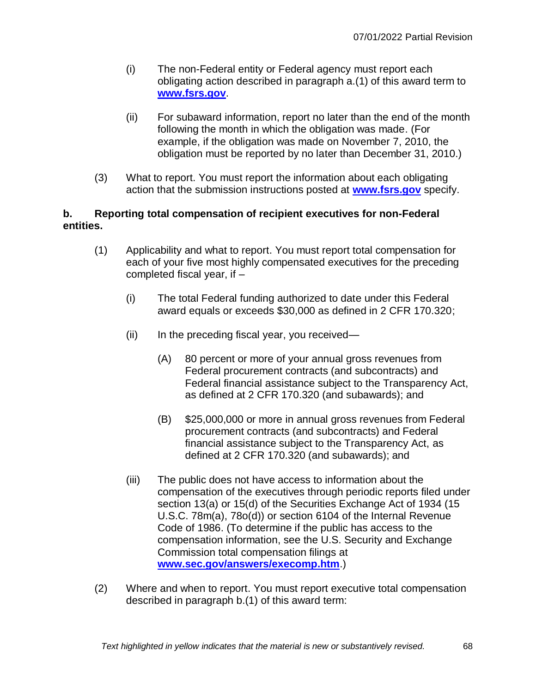- (i) The non-Federal entity or Federal agency must report each obligating action described in paragraph a.(1) of this award term to **[www.fsrs.gov](https://www.fsrs.gov/)**.
- (ii) For subaward information, report no later than the end of the month following the month in which the obligation was made. (For example, if the obligation was made on November 7, 2010, the obligation must be reported by no later than December 31, 2010.)
- (3) What to report. You must report the information about each obligating action that the submission instructions posted at **[www.fsrs.gov](https://www.fsrs.gov/)** specify.

#### **b. Reporting total compensation of recipient executives for non-Federal entities.**

- (1) Applicability and what to report. You must report total compensation for each of your five most highly compensated executives for the preceding completed fiscal year, if –
	- (i) The total Federal funding authorized to date under this Federal award equals or exceeds \$30,000 as defined in 2 CFR 170.320;
	- $(ii)$  In the preceding fiscal year, you received—
		- (A) 80 percent or more of your annual gross revenues from Federal procurement contracts (and subcontracts) and Federal financial assistance subject to the Transparency Act, as defined at 2 CFR 170.320 (and subawards); and
		- (B) \$25,000,000 or more in annual gross revenues from Federal procurement contracts (and subcontracts) and Federal financial assistance subject to the Transparency Act, as defined at 2 CFR 170.320 (and subawards); and
	- (iii) The public does not have access to information about the compensation of the executives through periodic reports filed under section 13(a) or 15(d) of the Securities Exchange Act of 1934 (15 U.S.C. 78m(a), 78o(d)) or section 6104 of the Internal Revenue Code of 1986. (To determine if the public has access to the compensation information, see the U.S. Security and Exchange Commission total compensation filings at **[www.sec.gov/answers/execomp.htm](http://www.sec.gov/answers/execomp.htm)**.)
- (2) Where and when to report. You must report executive total compensation described in paragraph b.(1) of this award term: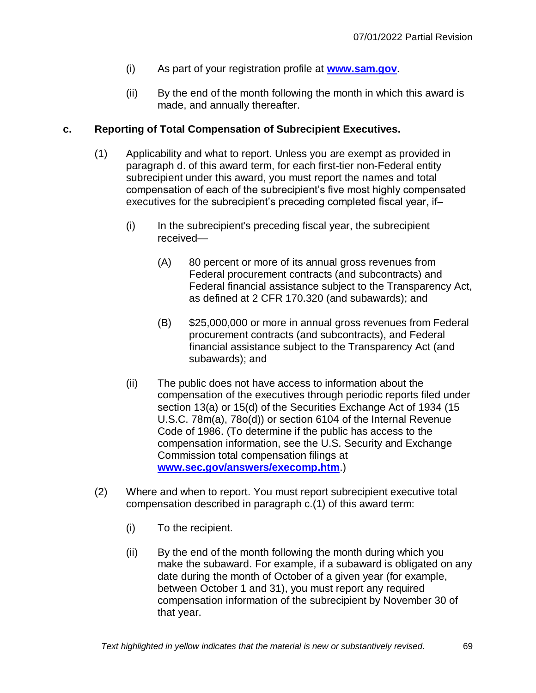- (i) As part of your registration profile at **[www.sam.gov](http://www.sam.gov/)**.
- (ii) By the end of the month following the month in which this award is made, and annually thereafter.

#### **c. Reporting of Total Compensation of Subrecipient Executives.**

- (1) Applicability and what to report. Unless you are exempt as provided in paragraph d. of this award term, for each first-tier non-Federal entity subrecipient under this award, you must report the names and total compensation of each of the subrecipient's five most highly compensated executives for the subrecipient's preceding completed fiscal year, if–
	- (i) In the subrecipient's preceding fiscal year, the subrecipient received—
		- (A) 80 percent or more of its annual gross revenues from Federal procurement contracts (and subcontracts) and Federal financial assistance subject to the Transparency Act, as defined at 2 CFR 170.320 (and subawards); and
		- (B) \$25,000,000 or more in annual gross revenues from Federal procurement contracts (and subcontracts), and Federal financial assistance subject to the Transparency Act (and subawards); and
	- (ii) The public does not have access to information about the compensation of the executives through periodic reports filed under section 13(a) or 15(d) of the Securities Exchange Act of 1934 (15 U.S.C. 78m(a), 78o(d)) or section 6104 of the Internal Revenue Code of 1986. (To determine if the public has access to the compensation information, see the U.S. Security and Exchange Commission total compensation filings at **[www.sec.gov/answers/execomp.htm](http://www.sec.gov/answers/execomp.htm)**.)
- (2) Where and when to report. You must report subrecipient executive total compensation described in paragraph c.(1) of this award term:
	- (i) To the recipient.
	- (ii) By the end of the month following the month during which you make the subaward. For example, if a subaward is obligated on any date during the month of October of a given year (for example, between October 1 and 31), you must report any required compensation information of the subrecipient by November 30 of that year.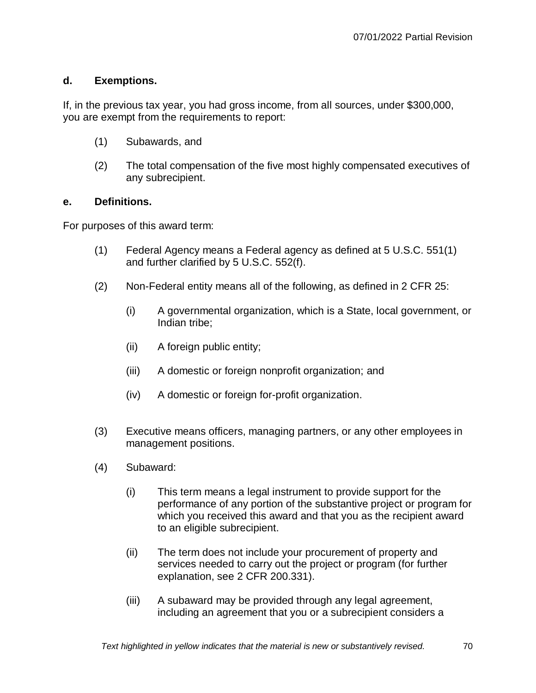#### **d. Exemptions.**

If, in the previous tax year, you had gross income, from all sources, under \$300,000, you are exempt from the requirements to report:

- (1) Subawards, and
- (2) The total compensation of the five most highly compensated executives of any subrecipient.

#### **e. Definitions.**

For purposes of this award term:

- (1) Federal Agency means a Federal agency as defined at 5 U.S.C. 551(1) and further clarified by 5 U.S.C. 552(f).
- (2) Non-Federal entity means all of the following, as defined in 2 CFR 25:
	- (i) A governmental organization, which is a State, local government, or Indian tribe;
	- (ii) A foreign public entity;
	- (iii) A domestic or foreign nonprofit organization; and
	- (iv) A domestic or foreign for-profit organization.
- (3) Executive means officers, managing partners, or any other employees in management positions.
- (4) Subaward:
	- (i) This term means a legal instrument to provide support for the performance of any portion of the substantive project or program for which you received this award and that you as the recipient award to an eligible subrecipient.
	- (ii) The term does not include your procurement of property and services needed to carry out the project or program (for further explanation, see 2 CFR 200.331).
	- (iii) A subaward may be provided through any legal agreement, including an agreement that you or a subrecipient considers a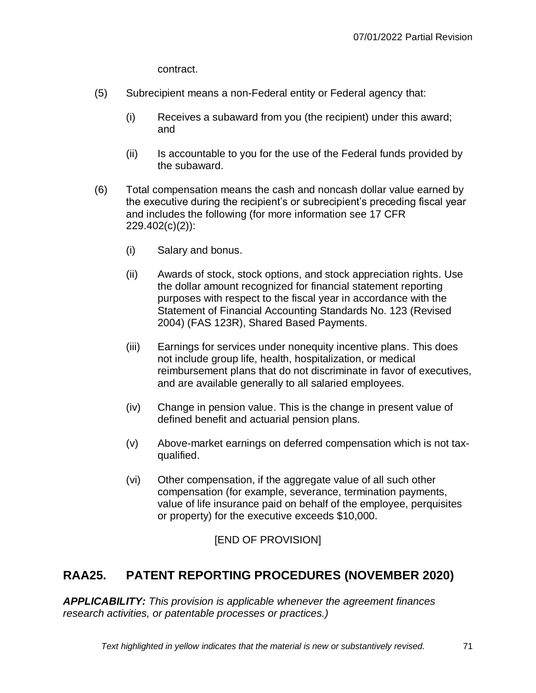contract.

- (5) Subrecipient means a non-Federal entity or Federal agency that:
	- (i) Receives a subaward from you (the recipient) under this award; and
	- (ii) Is accountable to you for the use of the Federal funds provided by the subaward.
- (6) Total compensation means the cash and noncash dollar value earned by the executive during the recipient's or subrecipient's preceding fiscal year and includes the following (for more information see 17 CFR 229.402(c)(2)):
	- (i) Salary and bonus.
	- (ii) Awards of stock, stock options, and stock appreciation rights. Use the dollar amount recognized for financial statement reporting purposes with respect to the fiscal year in accordance with the Statement of Financial Accounting Standards No. 123 (Revised 2004) (FAS 123R), Shared Based Payments.
	- (iii) Earnings for services under nonequity incentive plans. This does not include group life, health, hospitalization, or medical reimbursement plans that do not discriminate in favor of executives, and are available generally to all salaried employees.
	- (iv) Change in pension value. This is the change in present value of defined benefit and actuarial pension plans.
	- (v) Above-market earnings on deferred compensation which is not taxqualified.
	- (vi) Other compensation, if the aggregate value of all such other compensation (for example, severance, termination payments, value of life insurance paid on behalf of the employee, perquisites or property) for the executive exceeds \$10,000.

[END OF PROVISION]

# **RAA25. PATENT REPORTING PROCEDURES (NOVEMBER 2020)**

*APPLICABILITY: This provision is applicable whenever the agreement finances research activities, or patentable processes or practices.)*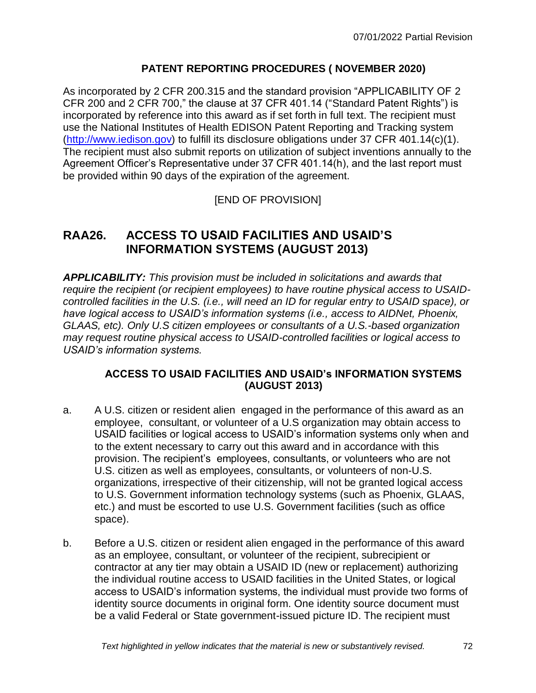### **PATENT REPORTING PROCEDURES ( NOVEMBER 2020)**

As incorporated by 2 CFR 200.315 and the standard provision "APPLICABILITY OF 2 CFR 200 and 2 CFR 700," the clause at 37 CFR 401.14 ("Standard Patent Rights") is incorporated by reference into this award as if set forth in full text. The recipient must use the National Institutes of Health EDISON Patent Reporting and Tracking system [\(http://www.iedison.gov\)](http://www.iedison.gov/) to fulfill its disclosure obligations under 37 CFR 401.14(c)(1). The recipient must also submit reports on utilization of subject inventions annually to the Agreement Officer's Representative under 37 CFR 401.14(h), and the last report must be provided within 90 days of the expiration of the agreement.

### [END OF PROVISION]

# **RAA26. ACCESS TO USAID FACILITIES AND USAID'S INFORMATION SYSTEMS (AUGUST 2013)**

*APPLICABILITY: This provision must be included in solicitations and awards that require the recipient (or recipient employees) to have routine physical access to USAIDcontrolled facilities in the U.S. (i.e., will need an ID for regular entry to USAID space), or have logical access to USAID's information systems (i.e., access to AIDNet, Phoenix, GLAAS, etc). Only U.S citizen employees or consultants of a U.S.-based organization may request routine physical access to USAID-controlled facilities or logical access to USAID's information systems.*

#### **ACCESS TO USAID FACILITIES AND USAID's INFORMATION SYSTEMS (AUGUST 2013)**

- a. A U.S. citizen or resident alien engaged in the performance of this award as an employee, consultant, or volunteer of a U.S organization may obtain access to USAID facilities or logical access to USAID's information systems only when and to the extent necessary to carry out this award and in accordance with this provision. The recipient's employees, consultants, or volunteers who are not U.S. citizen as well as employees, consultants, or volunteers of non-U.S. organizations, irrespective of their citizenship, will not be granted logical access to U.S. Government information technology systems (such as Phoenix, GLAAS, etc.) and must be escorted to use U.S. Government facilities (such as office space).
- b. Before a U.S. citizen or resident alien engaged in the performance of this award as an employee, consultant, or volunteer of the recipient, subrecipient or contractor at any tier may obtain a USAID ID (new or replacement) authorizing the individual routine access to USAID facilities in the United States, or logical access to USAID's information systems, the individual must provide two forms of identity source documents in original form. One identity source document must be a valid Federal or State government-issued picture ID. The recipient must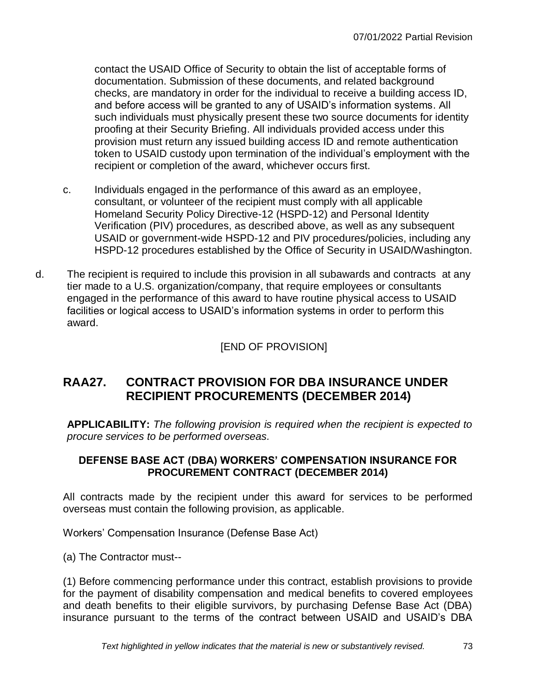contact the USAID Office of Security to obtain the list of acceptable forms of documentation. Submission of these documents, and related background checks, are mandatory in order for the individual to receive a building access ID, and before access will be granted to any of USAID's information systems. All such individuals must physically present these two source documents for identity proofing at their Security Briefing. All individuals provided access under this provision must return any issued building access ID and remote authentication token to USAID custody upon termination of the individual's employment with the recipient or completion of the award, whichever occurs first.

- c. Individuals engaged in the performance of this award as an employee, consultant, or volunteer of the recipient must comply with all applicable Homeland Security Policy Directive-12 (HSPD-12) and Personal Identity Verification (PIV) procedures, as described above, as well as any subsequent USAID or government-wide HSPD-12 and PIV procedures/policies, including any HSPD-12 procedures established by the Office of Security in USAID/Washington.
- d. The recipient is required to include this provision in all subawards and contracts at any tier made to a U.S. organization/company, that require employees or consultants engaged in the performance of this award to have routine physical access to USAID facilities or logical access to USAID's information systems in order to perform this award.

[END OF PROVISION]

# **RAA27. CONTRACT PROVISION FOR DBA INSURANCE UNDER RECIPIENT PROCUREMENTS (DECEMBER 2014)**

**APPLICABILITY:** *The following provision is required when the recipient is expected to procure services to be performed overseas.*

## **DEFENSE BASE ACT (DBA) WORKERS' COMPENSATION INSURANCE FOR PROCUREMENT CONTRACT (DECEMBER 2014)**

All contracts made by the recipient under this award for services to be performed overseas must contain the following provision, as applicable.

Workers' Compensation Insurance (Defense Base Act)

(a) The Contractor must--

(1) Before commencing performance under this contract, establish provisions to provide for the payment of disability compensation and medical benefits to covered employees and death benefits to their eligible survivors, by purchasing Defense Base Act (DBA) insurance pursuant to the terms of the contract between USAID and USAID's DBA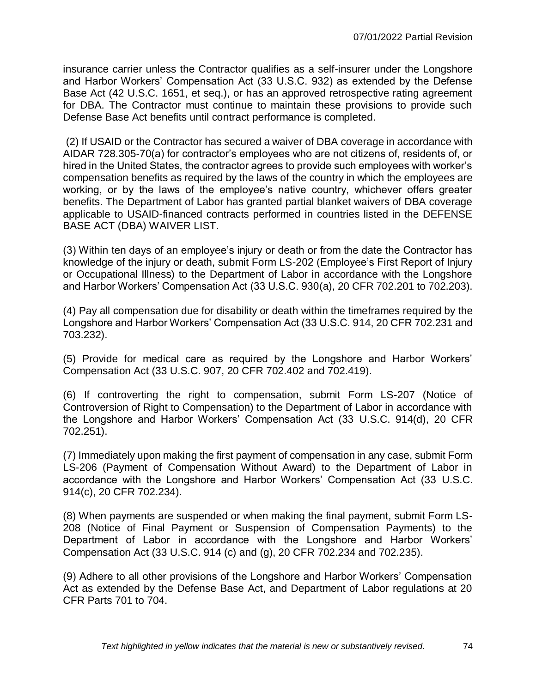insurance carrier unless the Contractor qualifies as a self-insurer under the Longshore and Harbor Workers' Compensation Act (33 U.S.C. 932) as extended by the Defense Base Act (42 U.S.C. 1651, et seq.), or has an approved retrospective rating agreement for DBA. The Contractor must continue to maintain these provisions to provide such Defense Base Act benefits until contract performance is completed.

(2) If USAID or the Contractor has secured a waiver of DBA coverage in accordance with AIDAR 728.305-70(a) for contractor's employees who are not citizens of, residents of, or hired in the United States, the contractor agrees to provide such employees with worker's compensation benefits as required by the laws of the country in which the employees are working, or by the laws of the employee's native country, whichever offers greater benefits. The Department of Labor has granted partial blanket waivers of DBA coverage applicable to USAID-financed contracts performed in countries listed in the DEFENSE BASE ACT (DBA) WAIVER LIST.

(3) Within ten days of an employee's injury or death or from the date the Contractor has knowledge of the injury or death, submit Form LS-202 (Employee's First Report of Injury or Occupational Illness) to the Department of Labor in accordance with the Longshore and Harbor Workers' Compensation Act (33 U.S.C. 930(a), 20 CFR 702.201 to 702.203).

(4) Pay all compensation due for disability or death within the timeframes required by the Longshore and Harbor Workers' Compensation Act (33 U.S.C. 914, 20 CFR 702.231 and 703.232).

(5) Provide for medical care as required by the Longshore and Harbor Workers' Compensation Act (33 U.S.C. 907, 20 CFR 702.402 and 702.419).

(6) If controverting the right to compensation, submit Form LS-207 (Notice of Controversion of Right to Compensation) to the Department of Labor in accordance with the Longshore and Harbor Workers' Compensation Act (33 U.S.C. 914(d), 20 CFR 702.251).

(7) Immediately upon making the first payment of compensation in any case, submit Form LS-206 (Payment of Compensation Without Award) to the Department of Labor in accordance with the Longshore and Harbor Workers' Compensation Act (33 U.S.C. 914(c), 20 CFR 702.234).

(8) When payments are suspended or when making the final payment, submit Form LS-208 (Notice of Final Payment or Suspension of Compensation Payments) to the Department of Labor in accordance with the Longshore and Harbor Workers' Compensation Act (33 U.S.C. 914 (c) and (g), 20 CFR 702.234 and 702.235).

(9) Adhere to all other provisions of the Longshore and Harbor Workers' Compensation Act as extended by the Defense Base Act, and Department of Labor regulations at 20 CFR Parts 701 to 704.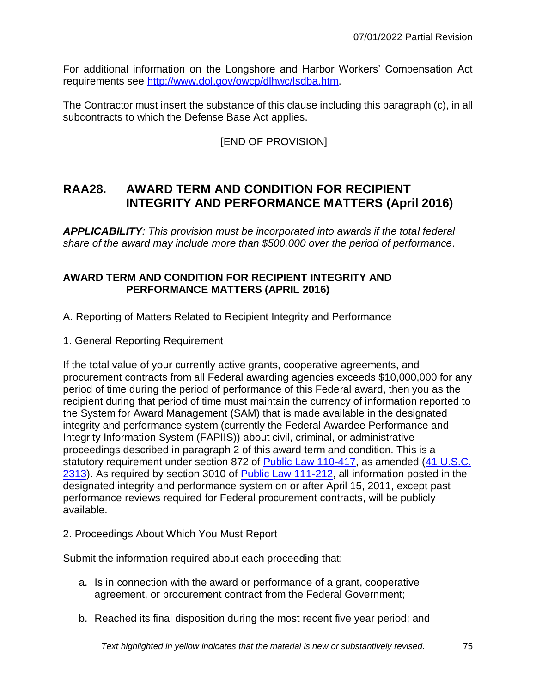For additional information on the Longshore and Harbor Workers' Compensation Act requirements see [http://www.dol.gov/owcp/dlhwc/lsdba.htm.](http://www.dol.gov/owcp/dlhwc/lsdba.htm)

The Contractor must insert the substance of this clause including this paragraph (c), in all subcontracts to which the Defense Base Act applies.

## [END OF PROVISION]

# **RAA28. AWARD TERM AND CONDITION FOR RECIPIENT INTEGRITY AND PERFORMANCE MATTERS (April 2016)**

*APPLICABILITY: This provision must be incorporated into awards if the total federal share of the award may include more than \$500,000 over the period of performance.* 

### **AWARD TERM AND CONDITION FOR RECIPIENT INTEGRITY AND PERFORMANCE MATTERS (APRIL 2016)**

- A. Reporting of Matters Related to Recipient Integrity and Performance
- 1. General Reporting Requirement

If the total value of your currently active grants, cooperative agreements, and procurement contracts from all Federal awarding agencies exceeds \$10,000,000 for any period of time during the period of performance of this Federal award, then you as the recipient during that period of time must maintain the currency of information reported to the System for Award Management (SAM) that is made available in the designated integrity and performance system (currently the Federal Awardee Performance and Integrity Information System (FAPIIS)) about civil, criminal, or administrative proceedings described in paragraph 2 of this award term and condition. This is a statutory requirement under section 872 of [Public Law 110-417,](http://api.fdsys.gov/link?collection=plaw&congress=110&lawtype=public&lawnum=417&link-type=html) as amended (41 U.S.C. [2313\)](http://api.fdsys.gov/link?collection=uscode&title=41&year=mostrecent§ion=2313&type=usc&link-type=html). As required by section 3010 of [Public Law 111-212,](http://api.fdsys.gov/link?collection=plaw&congress=111&lawtype=public&lawnum=212&link-type=html) all information posted in the designated integrity and performance system on or after April 15, 2011, except past performance reviews required for Federal procurement contracts, will be publicly available.

2. Proceedings About Which You Must Report

Submit the information required about each proceeding that:

- a. Is in connection with the award or performance of a grant, cooperative agreement, or procurement contract from the Federal Government;
- b. Reached its final disposition during the most recent five year period; and

*Text highlighted in yellow indicates that the material is new or substantively revised.* 75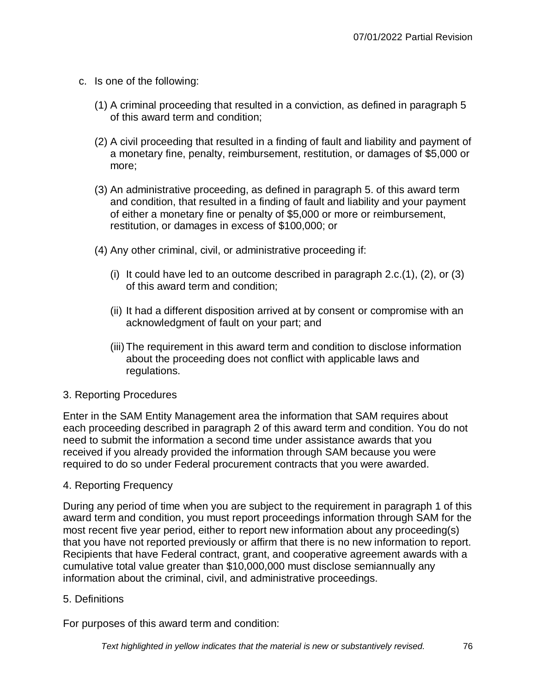- c. Is one of the following:
	- (1) A criminal proceeding that resulted in a conviction, as defined in paragraph 5 of this award term and condition;
	- (2) A civil proceeding that resulted in a finding of fault and liability and payment of a monetary fine, penalty, reimbursement, restitution, or damages of \$5,000 or more;
	- (3) An administrative proceeding, as defined in paragraph 5. of this award term and condition, that resulted in a finding of fault and liability and your payment of either a monetary fine or penalty of \$5,000 or more or reimbursement, restitution, or damages in excess of \$100,000; or
	- (4) Any other criminal, civil, or administrative proceeding if:
		- (i) It could have led to an outcome described in paragraph 2.c.(1), (2), or (3) of this award term and condition;
		- (ii) It had a different disposition arrived at by consent or compromise with an acknowledgment of fault on your part; and
		- (iii)The requirement in this award term and condition to disclose information about the proceeding does not conflict with applicable laws and regulations.

### 3. Reporting Procedures

Enter in the SAM Entity Management area the information that SAM requires about each proceeding described in paragraph 2 of this award term and condition. You do not need to submit the information a second time under assistance awards that you received if you already provided the information through SAM because you were required to do so under Federal procurement contracts that you were awarded.

### 4. Reporting Frequency

During any period of time when you are subject to the requirement in paragraph 1 of this award term and condition, you must report proceedings information through SAM for the most recent five year period, either to report new information about any proceeding(s) that you have not reported previously or affirm that there is no new information to report. Recipients that have Federal contract, grant, and cooperative agreement awards with a cumulative total value greater than \$10,000,000 must disclose semiannually any information about the criminal, civil, and administrative proceedings.

5. Definitions

For purposes of this award term and condition: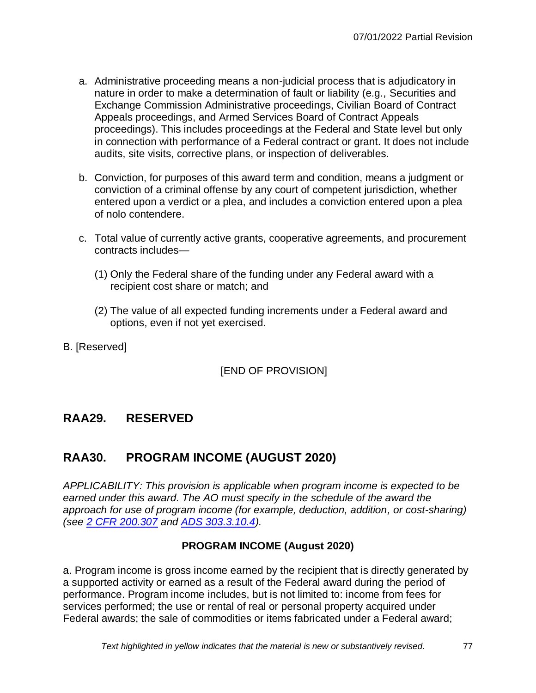- a. Administrative proceeding means a non-judicial process that is adjudicatory in nature in order to make a determination of fault or liability (e.g., Securities and Exchange Commission Administrative proceedings, Civilian Board of Contract Appeals proceedings, and Armed Services Board of Contract Appeals proceedings). This includes proceedings at the Federal and State level but only in connection with performance of a Federal contract or grant. It does not include audits, site visits, corrective plans, or inspection of deliverables.
- b. Conviction, for purposes of this award term and condition, means a judgment or conviction of a criminal offense by any court of competent jurisdiction, whether entered upon a verdict or a plea, and includes a conviction entered upon a plea of nolo contendere.
- c. Total value of currently active grants, cooperative agreements, and procurement contracts includes—
	- (1) Only the Federal share of the funding under any Federal award with a recipient cost share or match; and
	- (2) The value of all expected funding increments under a Federal award and options, even if not yet exercised.
- B. [Reserved]

[END OF PROVISION]

# **RAA29. RESERVED**

# **RAA30. PROGRAM INCOME (AUGUST 2020)**

*APPLICABILITY: This provision is applicable when program income is expected to be earned under this award. The AO must specify in the schedule of the award the approach for use of program income (for example, deduction, addition, or cost-sharing) (see [2 CFR 200.307](https://www.ecfr.gov/cgi-bin/text-idx?SID=38b4a06e55face9e2c8a0e8d32afd30b&mc=true&node=se2.1.200_1307&rgn=div8) and [ADS 303.3.10.4\)](http://www.usaid.gov/ads/policy/300/303).*

### **PROGRAM INCOME (August 2020)**

a. Program income is gross income earned by the recipient that is directly generated by a supported activity or earned as a result of the Federal award during the period of performance. Program income includes, but is not limited to: income from fees for services performed; the use or rental of real or personal property acquired under Federal awards; the sale of commodities or items fabricated under a Federal award;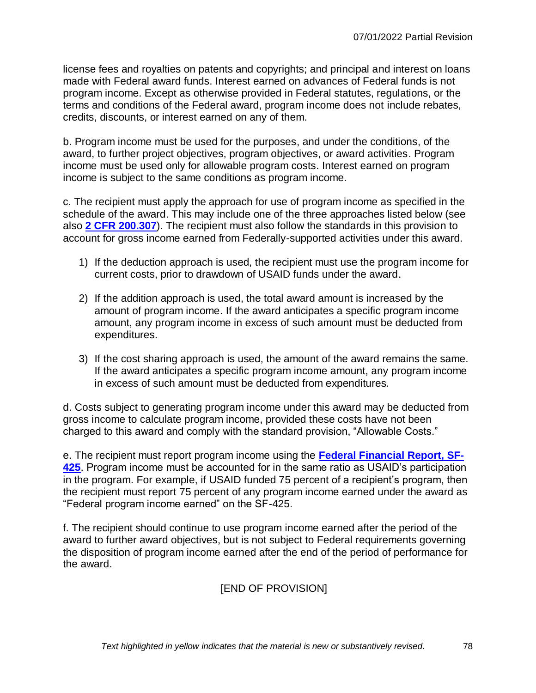license fees and royalties on patents and copyrights; and principal and interest on loans made with Federal award funds. Interest earned on advances of Federal funds is not program income. Except as otherwise provided in Federal statutes, regulations, or the terms and conditions of the Federal award, program income does not include rebates, credits, discounts, or interest earned on any of them.

b. Program income must be used for the purposes, and under the conditions, of the award, to further project objectives, program objectives, or award activities. Program income must be used only for allowable program costs. Interest earned on program income is subject to the same conditions as program income.

c. The recipient must apply the approach for use of program income as specified in the schedule of the award. This may include one of the three approaches listed below (see also **[2 CFR 200.307](https://www.ecfr.gov/cgi-bin/text-idx?SID=38b4a06e55face9e2c8a0e8d32afd30b&mc=true&node=se2.1.200_1307&rgn=div8)**). The recipient must also follow the standards in this provision to account for gross income earned from Federally-supported activities under this award.

- 1) If the deduction approach is used, the recipient must use the program income for current costs, prior to drawdown of USAID funds under the award.
- 2) If the addition approach is used, the total award amount is increased by the amount of program income. If the award anticipates a specific program income amount, any program income in excess of such amount must be deducted from expenditures.
- 3) If the cost sharing approach is used, the amount of the award remains the same. If the award anticipates a specific program income amount, any program income in excess of such amount must be deducted from expenditures.

d. Costs subject to generating program income under this award may be deducted from gross income to calculate program income, provided these costs have not been charged to this award and comply with the standard provision, "Allowable Costs."

e. The recipient must report program income using the **[Federal Financial Report, SF-](https://www.archives.gov/files/nhprc/pdfs/sf-425-fillable.pdf)[425](https://www.archives.gov/files/nhprc/pdfs/sf-425-fillable.pdf)**. Program income must be accounted for in the same ratio as USAID's participation in the program. For example, if USAID funded 75 percent of a recipient's program, then the recipient must report 75 percent of any program income earned under the award as "Federal program income earned" on the SF-425.

f. The recipient should continue to use program income earned after the period of the award to further award objectives, but is not subject to Federal requirements governing the disposition of program income earned after the end of the period of performance for the award.

## [END OF PROVISION]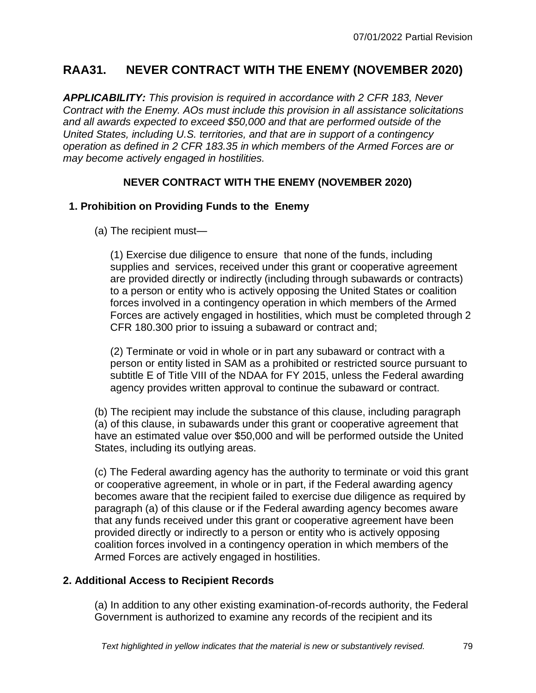# **RAA31. NEVER CONTRACT WITH THE ENEMY (NOVEMBER 2020)**

*APPLICABILITY: This provision is required in accordance with 2 CFR 183, Never Contract with the Enemy. AOs must include this provision in all assistance solicitations and all awards expected to exceed \$50,000 and that are performed outside of the United States, including U.S. territories, and that are in support of a contingency operation as defined in 2 CFR 183.35 in which members of the Armed Forces are or may become actively engaged in hostilities.*

### **NEVER CONTRACT WITH THE ENEMY (NOVEMBER 2020)**

### **1. Prohibition on Providing Funds to the Enemy**

(a) The recipient must—

(1) Exercise due diligence to ensure that none of the funds, including supplies and services, received under this grant or cooperative agreement are provided directly or indirectly (including through subawards or contracts) to a person or entity who is actively opposing the United States or coalition forces involved in a contingency operation in which members of the Armed Forces are actively engaged in hostilities, which must be completed through 2 CFR 180.300 prior to issuing a subaward or contract and;

(2) Terminate or void in whole or in part any subaward or contract with a person or entity listed in SAM as a prohibited or restricted source pursuant to subtitle E of Title VIII of the NDAA for FY 2015, unless the Federal awarding agency provides written approval to continue the subaward or contract.

(b) The recipient may include the substance of this clause, including paragraph (a) of this clause, in subawards under this grant or cooperative agreement that have an estimated value over \$50,000 and will be performed outside the United States, including its outlying areas.

(c) The Federal awarding agency has the authority to terminate or void this grant or cooperative agreement, in whole or in part, if the Federal awarding agency becomes aware that the recipient failed to exercise due diligence as required by paragraph (a) of this clause or if the Federal awarding agency becomes aware that any funds received under this grant or cooperative agreement have been provided directly or indirectly to a person or entity who is actively opposing coalition forces involved in a contingency operation in which members of the Armed Forces are actively engaged in hostilities.

### **2. Additional Access to Recipient Records**

(a) In addition to any other existing examination-of-records authority, the Federal Government is authorized to examine any records of the recipient and its